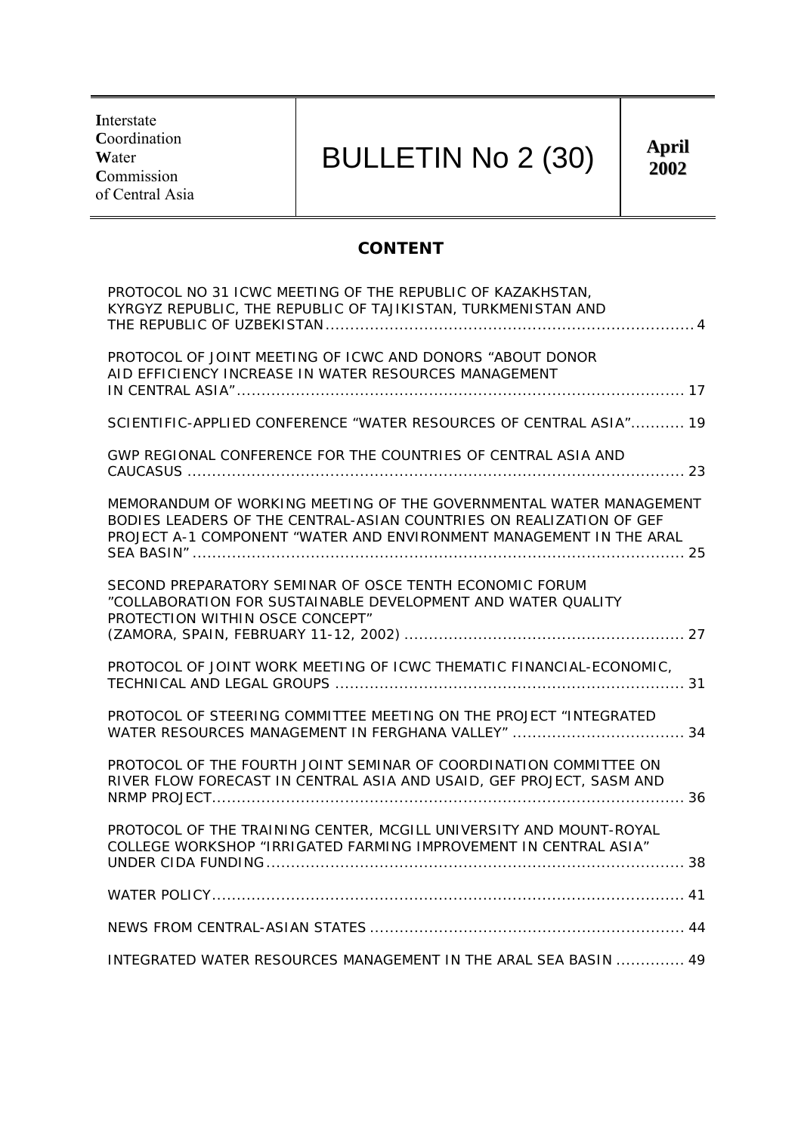**I**nterstate **C**oordination **W**ater **C**ommission of Central Asia

# BULLETIN No 2 (30)

## **CONTENT**

| PROTOCOL NO 31 ICWC MEETING OF THE REPUBLIC OF KAZAKHSTAN,<br>KYRGYZ REPUBLIC, THE REPUBLIC OF TAJIKISTAN, TURKMENISTAN AND                                                                                      |
|------------------------------------------------------------------------------------------------------------------------------------------------------------------------------------------------------------------|
| PROTOCOL OF JOINT MEETING OF ICWC AND DONORS "ABOUT DONOR<br>AID EFFICIENCY INCREASE IN WATER RESOURCES MANAGEMENT                                                                                               |
| SCIENTIFIC-APPLIED CONFERENCE "WATER RESOURCES OF CENTRAL ASIA" 19                                                                                                                                               |
| GWP REGIONAL CONFERENCE FOR THE COUNTRIES OF CENTRAL ASIA AND                                                                                                                                                    |
| MEMORANDUM OF WORKING MEETING OF THE GOVERNMENTAL WATER MANAGEMENT<br>BODIES LEADERS OF THE CENTRAL-ASIAN COUNTRIES ON REALIZATION OF GEF<br>PROJECT A-1 COMPONENT "WATER AND ENVIRONMENT MANAGEMENT IN THE ARAL |
| SECOND PREPARATORY SEMINAR OF OSCE TENTH ECONOMIC FORUM<br>"COLLABORATION FOR SUSTAINABLE DEVELOPMENT AND WATER QUALITY<br>PROTECTION WITHIN OSCE CONCEPT"                                                       |
| PROTOCOL OF JOINT WORK MEETING OF ICWC THEMATIC FINANCIAL-ECONOMIC,                                                                                                                                              |
| PROTOCOL OF STEERING COMMITTEE MEETING ON THE PROJECT "INTEGRATED<br>WATER RESOURCES MANAGEMENT IN FERGHANA VALLEY"  34                                                                                          |
| PROTOCOL OF THE FOURTH JOINT SEMINAR OF COORDINATION COMMITTEE ON<br>RIVER FLOW FORECAST IN CENTRAL ASIA AND USAID, GEF PROJECT, SASM AND                                                                        |
| PROTOCOL OF THE TRAINING CENTER, MCGILL UNIVERSITY AND MOUNT-ROYAL<br>COLLEGE WORKSHOP "IRRIGATED FARMING IMPROVEMENT IN CENTRAL ASIA"                                                                           |
|                                                                                                                                                                                                                  |
|                                                                                                                                                                                                                  |
| INTEGRATED WATER RESOURCES MANAGEMENT IN THE ARAL SEA BASIN  49                                                                                                                                                  |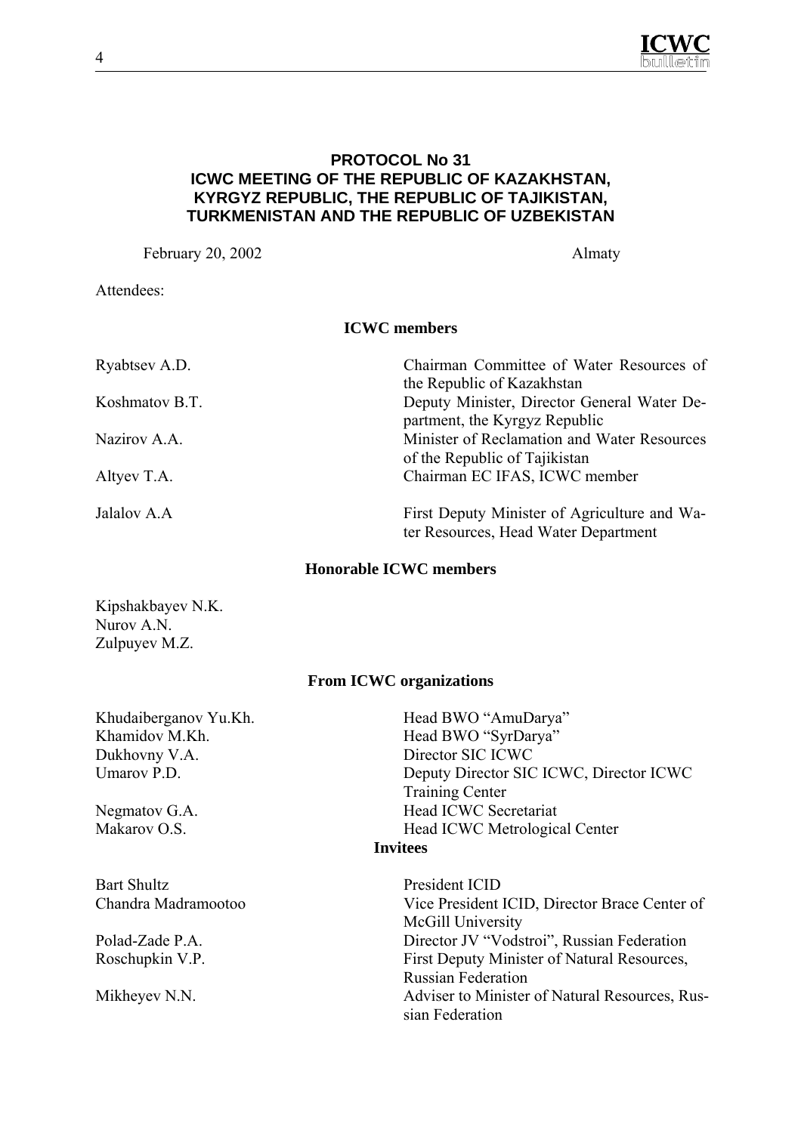

### **PROTOCOL No 31 ICWC MEETING OF THE REPUBLIC OF KAZAKHSTAN, KYRGYZ REPUBLIC, THE REPUBLIC OF TAJIKISTAN, TURKMENISTAN AND THE REPUBLIC OF UZBEKISTAN**

February 20, 2002 Almaty

Attendees:

## **ICWC members**

| Ryabtsev A.D.  | Chairman Committee of Water Resources of     |
|----------------|----------------------------------------------|
|                | the Republic of Kazakhstan                   |
| Koshmatov B.T. | Deputy Minister, Director General Water De-  |
|                | partment, the Kyrgyz Republic                |
| Nazirov A.A.   | Minister of Reclamation and Water Resources  |
|                | of the Republic of Tajikistan                |
| Altyev T.A.    | Chairman EC IFAS, ICWC member                |
| Jalalov A.A    | First Deputy Minister of Agriculture and Wa- |
|                | ter Resources, Head Water Department         |

#### **Honorable ICWC members**

Kipshakbayev N.K. Nurov A.N. Zulpuyev M.Z.

#### **From ICWC organizations**

Khudaiberganov Yu.Kh. Head BWO "AmuDarya" Khamidov M.Kh. Head BWO "SyrDarya" Dukhovny V.A. Director SIC ICWC Umarov P.D. Deputy Director SIC ICWC, Director ICWC Training Center Negmatov G.A. Head ICWC Secretariat Makarov O.S. Head ICWC Metrological Center **Invitees**  Bart Shultz President ICID Chandra Madramootoo Vice President ICID, Director Brace Center of McGill University Polad-Zade P.A. Director JV "Vodstroi", Russian Federation

Roschupkin V.P. First Deputy Minister of Natural Resources, Russian Federation Mikheyev N.N. Adviser to Minister of Natural Resources, Russian Federation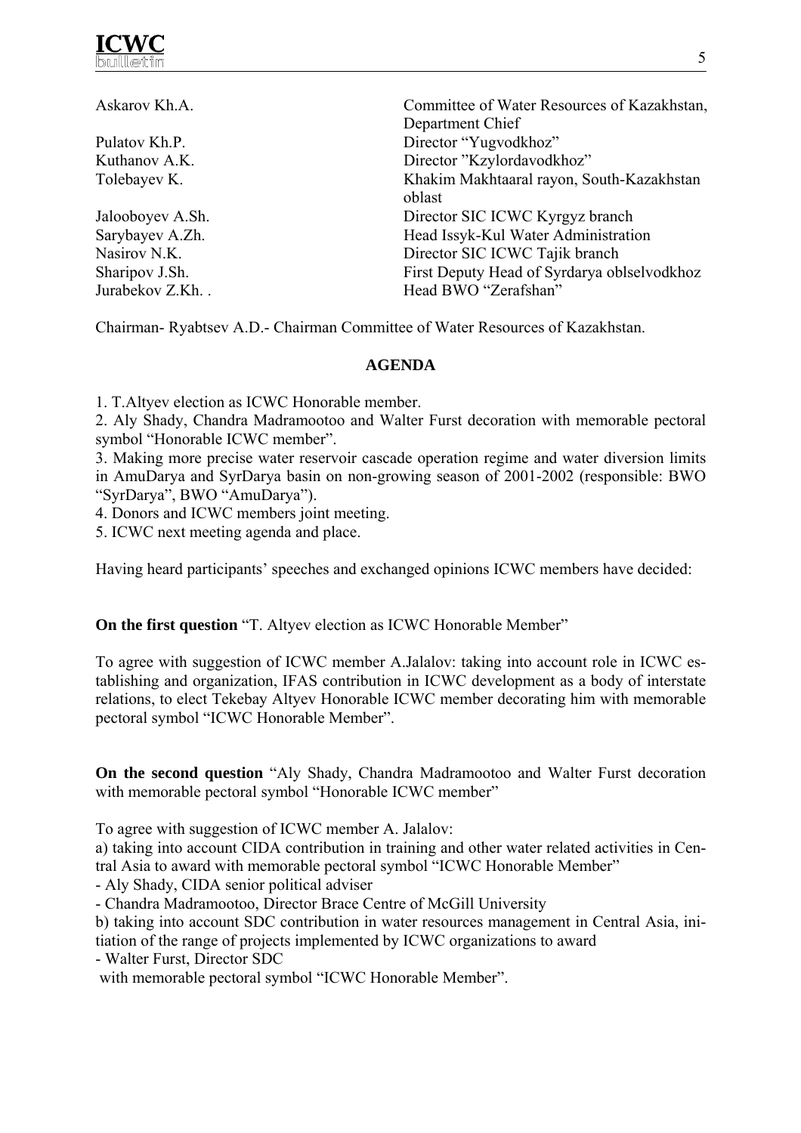

| Askarov Kh.A.    | Committee of Water Resources of Kazakhstan, |
|------------------|---------------------------------------------|
|                  | Department Chief                            |
| Pulatov Kh.P.    | Director "Yugvodkhoz"                       |
| Kuthanov A.K.    | Director "Kzylordavodkhoz"                  |
| Tolebayev K.     | Khakim Makhtaaral rayon, South-Kazakhstan   |
|                  | oblast                                      |
| Jalooboyev A.Sh. | Director SIC ICWC Kyrgyz branch             |
| Sarybayev A.Zh.  | Head Issyk-Kul Water Administration         |
| Nasirov N.K.     | Director SIC ICWC Tajik branch              |
| Sharipov J.Sh.   | First Deputy Head of Syrdarya oblselvodkhoz |
| Jurabekov Z.Kh   | Head BWO "Zerafshan"                        |

Chairman- Ryabtsev A.D.- Chairman Committee of Water Resources of Kazakhstan.

#### **AGENDA**

1. T.Altyev election as ICWC Honorable member.

2. Aly Shady, Chandra Madramootoo and Walter Furst decoration with memorable pectoral symbol "Honorable ICWC member".

3. Making more precise water reservoir cascade operation regime and water diversion limits in AmuDarya and SyrDarya basin on non-growing season of 2001-2002 (responsible: BWO "SyrDarya", BWO "AmuDarya").

4. Donors and ICWC members joint meeting.

5. ICWC next meeting agenda and place.

Having heard participants' speeches and exchanged opinions ICWC members have decided:

#### **On the first question** "T. Altyev election as ICWC Honorable Member"

To agree with suggestion of ICWC member A.Jalalov: taking into account role in ICWC establishing and organization, IFAS contribution in ICWC development as a body of interstate relations, to elect Tekebay Altyev Honorable ICWC member decorating him with memorable pectoral symbol "ICWC Honorable Member".

**On the second question** "Aly Shady, Chandra Madramootoo and Walter Furst decoration with memorable pectoral symbol "Honorable ICWC member"

To agree with suggestion of ICWC member A. Jalalov:

a) taking into account CIDA contribution in training and other water related activities in Central Asia to award with memorable pectoral symbol "ICWC Honorable Member"

- Aly Shady, CIDA senior political adviser

- Chandra Madramootoo, Director Brace Centre of McGill University

b) taking into account SDC contribution in water resources management in Central Asia, initiation of the range of projects implemented by ICWC organizations to award

- Walter Furst, Director SDC

with memorable pectoral symbol "ICWC Honorable Member".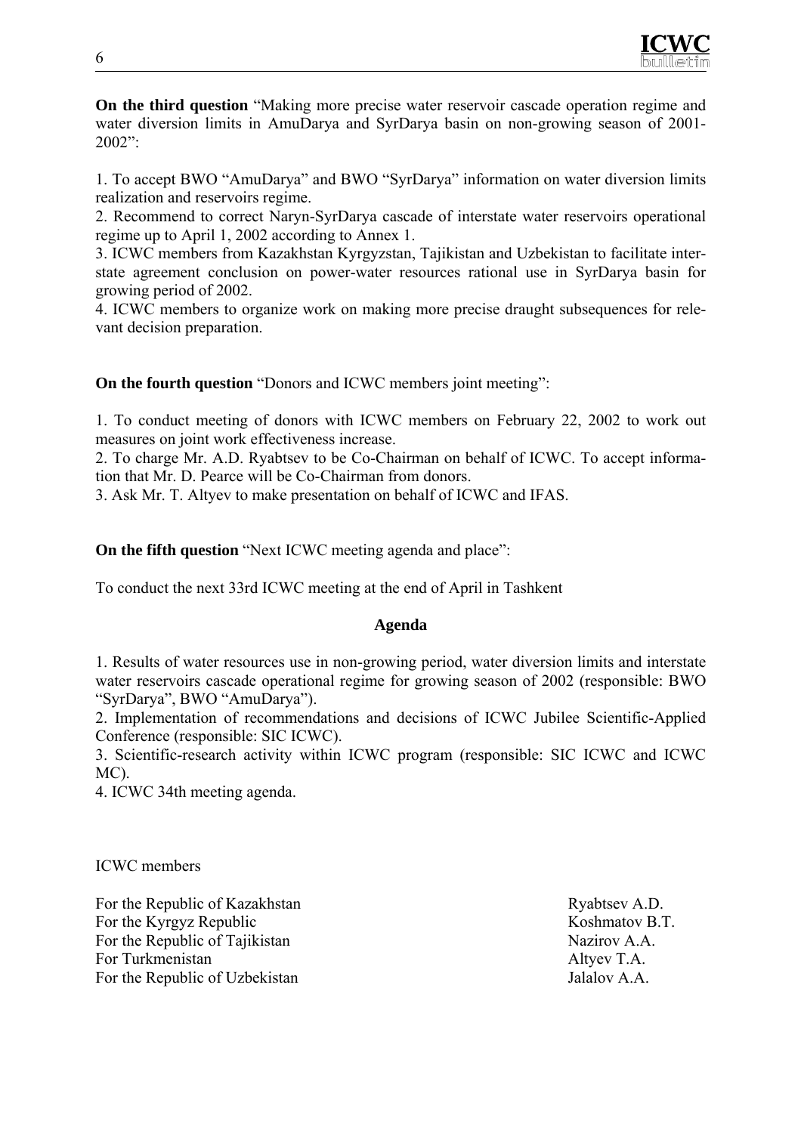

**On the third question** "Making more precise water reservoir cascade operation regime and water diversion limits in AmuDarya and SyrDarya basin on non-growing season of 2001- 2002":

1. To accept BWO "AmuDarya" and BWO "SyrDarya" information on water diversion limits realization and reservoirs regime.

2. Recommend to correct Naryn-SyrDarya cascade of interstate water reservoirs operational regime up to April 1, 2002 according to Annex 1.

3. ICWC members from Kazakhstan Kyrgyzstan, Tajikistan and Uzbekistan to facilitate interstate agreement conclusion on power-water resources rational use in SyrDarya basin for growing period of 2002.

4. ICWC members to organize work on making more precise draught subsequences for relevant decision preparation.

**On the fourth question** "Donors and ICWC members joint meeting":

1. To conduct meeting of donors with ICWC members on February 22, 2002 to work out measures on joint work effectiveness increase.

2. To charge Mr. A.D. Ryabtsev to be Co-Chairman on behalf of ICWC. To accept information that Mr. D. Pearce will be Co-Chairman from donors.

3. Ask Mr. T. Altyev to make presentation on behalf of ICWC and IFAS.

**On the fifth question** "Next ICWC meeting agenda and place":

To conduct the next 33rd ICWC meeting at the end of April in Tashkent

#### **Agenda**

1. Results of water resources use in non-growing period, water diversion limits and interstate water reservoirs cascade operational regime for growing season of 2002 (responsible: BWO "SyrDarya", BWO "AmuDarya").

2. Implementation of recommendations and decisions of ICWC Jubilee Scientific-Applied Conference (responsible: SIC ICWC).

3. Scientific-research activity within ICWC program (responsible: SIC ICWC and ICWC MC).

4. ICWC 34th meeting agenda.

ICWC members

For the Republic of Kazakhstan Ryabtsev A.D. For the Kyrgyz Republic Koshmatov B.T. For the Republic of Tajikistan Nazirov A.A. For Turkmenistan Altyev T.A. For the Republic of Uzbekistan Jalalov A.A.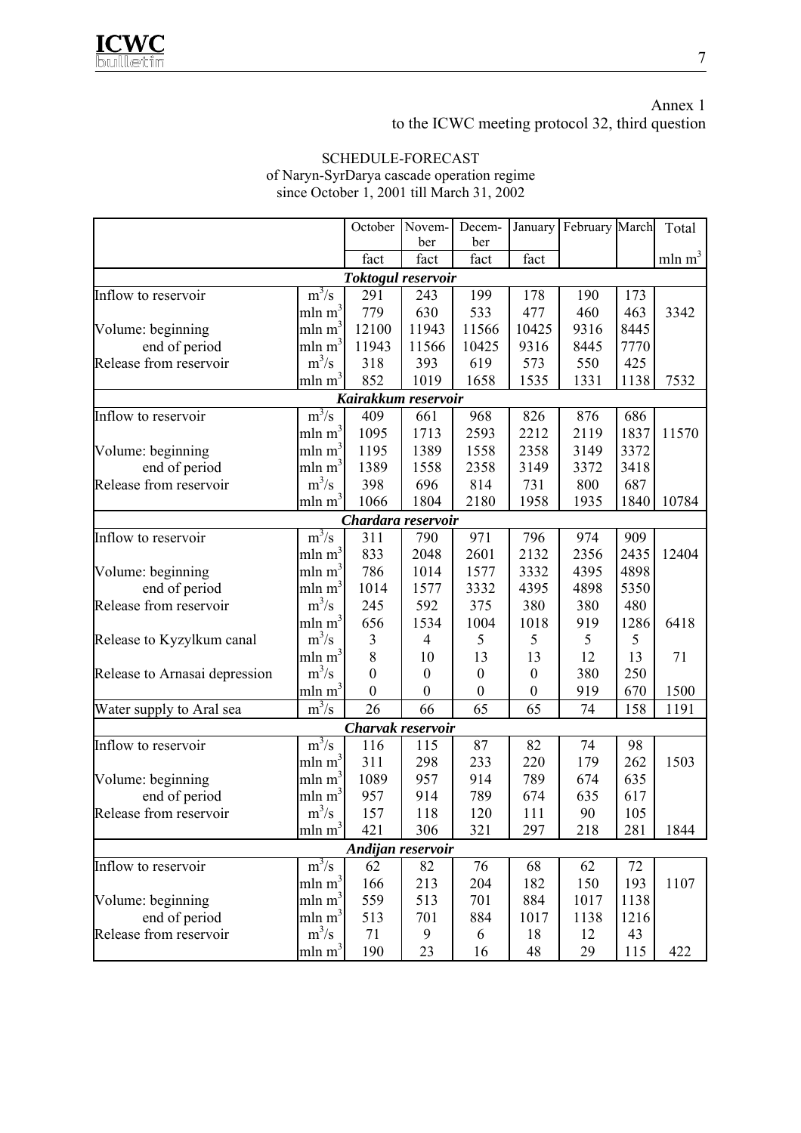Annex 1 to the ICWC meeting protocol 32, third question

#### SCHEDULE-FORECAST of Naryn-SyrDarya cascade operation regime since October 1, 2001 till March 31, 2002 October November December January February March Total

|                                                                                                                                                                                                                                                                                                                                                                                                                                                                                                                                                                                                                                                                                                                                                                                                                                                                                                                                                                                                                                                                                                                                                                                                                                                                                                                                                                                                                                                                                                                                                                                                                                                                                                                                                                                                                                                                                                                                                                                                                                                                                                                                                                                                                                                                                                                                                                                                                                                                                                                                                                                                                                                                                                                                                           |                    | fact | fact | fact | fact |      |      | mln m <sup>3</sup> |  |  |  |
|-----------------------------------------------------------------------------------------------------------------------------------------------------------------------------------------------------------------------------------------------------------------------------------------------------------------------------------------------------------------------------------------------------------------------------------------------------------------------------------------------------------------------------------------------------------------------------------------------------------------------------------------------------------------------------------------------------------------------------------------------------------------------------------------------------------------------------------------------------------------------------------------------------------------------------------------------------------------------------------------------------------------------------------------------------------------------------------------------------------------------------------------------------------------------------------------------------------------------------------------------------------------------------------------------------------------------------------------------------------------------------------------------------------------------------------------------------------------------------------------------------------------------------------------------------------------------------------------------------------------------------------------------------------------------------------------------------------------------------------------------------------------------------------------------------------------------------------------------------------------------------------------------------------------------------------------------------------------------------------------------------------------------------------------------------------------------------------------------------------------------------------------------------------------------------------------------------------------------------------------------------------------------------------------------------------------------------------------------------------------------------------------------------------------------------------------------------------------------------------------------------------------------------------------------------------------------------------------------------------------------------------------------------------------------------------------------------------------------------------------------------------|--------------------|------|------|------|------|------|------|--------------------|--|--|--|
| <b>DCI</b><br><b>DCI</b><br>Toktogul reservoir<br>$m^3/s$<br>199<br>Inflow to reservoir<br>291<br>178<br>173<br>243<br>190<br>mln m <sup>3</sup><br>779<br>630<br>533<br>460<br>477<br>463<br>mln m <sup>3</sup><br>Volume: beginning<br>12100<br>11943<br>11566<br>10425<br>9316<br>8445<br>mln m <sup>3</sup><br>9316<br>end of period<br>11943<br>11566<br>10425<br>8445<br>7770<br>$m^3/s$<br>Release from reservoir<br>393<br>619<br>550<br>318<br>573<br>425<br>mln m <sup>3</sup><br>852<br>1535<br>1019<br>1658<br>1331<br>1138<br>Kairakkum reservoir<br>$m^3/s$<br>409<br>968<br>876<br>Inflow to reservoir<br>661<br>826<br>686<br>mln m <sup>3</sup><br>1095<br>1837<br>1713<br>2593<br>2212<br>2119<br>mln m <sup>3</sup><br>1195<br>1389<br>1558<br>2358<br>3149<br>3372<br>Volume: beginning<br>mln m <sup>3</sup><br>end of period<br>1389<br>2358<br>1558<br>3149<br>3372<br>3418<br>$m^3/s$<br>398<br>687<br>Release from reservoir<br>696<br>814<br>731<br>800<br>$mln \, m^3$<br>1066<br>1804<br>2180<br>1958<br>1935<br>1840<br>Chardara reservoir<br>$\overline{m^3/s}$<br>Inflow to reservoir<br>311<br>790<br>971<br>796<br>974<br>909<br>mln m <sup>3</sup><br>833<br>2048<br>2601<br>2132<br>2356<br>2435<br>mln m <sup>3</sup><br>786<br>4395<br>4898<br>Volume: beginning<br>1014<br>1577<br>3332<br>mln m <sup>3</sup><br>end of period<br>4898<br>5350<br>1014<br>3332<br>4395<br>1577<br>$m^3/s$<br>375<br>380<br>Release from reservoir<br>592<br>380<br>480<br>245<br>mln m <sup>3</sup><br>656<br>1534<br>1004<br>1018<br>919<br>1286<br>$m^3/s$<br>5<br>5<br>$\mathfrak{Z}$<br>5<br>5<br>Release to Kyzylkum canal<br>$\overline{\mathcal{A}}$<br>mln m <sup>3</sup><br>$\,$ 8 $\,$<br>13<br>13<br>13<br>10<br>12<br>71<br>$m^3/s$<br>380<br>$\boldsymbol{0}$<br>$\boldsymbol{0}$<br>250<br>Release to Arnasai depression<br>$\boldsymbol{0}$<br>$\boldsymbol{0}$<br>mln m <sup>3</sup><br>$\boldsymbol{0}$<br>$\boldsymbol{0}$<br>$\boldsymbol{0}$<br>$\boldsymbol{0}$<br>919<br>670<br>$m^3/s$<br>65<br>26<br>66<br>65<br>74<br>158<br>1191<br>Water supply to Aral sea<br>Charvak reservoir<br>$m^3/s$<br>87<br>Inflow to reservoir<br>116<br>82<br>74<br>115<br>98<br>mln m <sup>3</sup><br>311<br>233<br>220<br>179<br>262<br>298<br>mln m <sup>3</sup><br>1089<br>914<br>789<br>Volume: beginning<br>957<br>674<br>635<br>mln m <sup>3</sup><br>end of period<br>957<br>914<br>789<br>635<br>674<br>617<br>$m^3/s$<br>Release from reservoir<br>157<br>118<br>120<br>111<br>90<br>105<br>min m <sup>3</sup><br>421<br>306<br>321<br>297<br>218<br>281<br>Andijan reservoir<br>$m^3/s$<br>76<br>62<br>82<br>68<br>72<br>Inflow to reservoir<br>62<br>mln m <sup>3</sup><br>166<br>204<br>182<br>150<br>193<br>213 |                    |      |      |      |      |      |      |                    |  |  |  |
|                                                                                                                                                                                                                                                                                                                                                                                                                                                                                                                                                                                                                                                                                                                                                                                                                                                                                                                                                                                                                                                                                                                                                                                                                                                                                                                                                                                                                                                                                                                                                                                                                                                                                                                                                                                                                                                                                                                                                                                                                                                                                                                                                                                                                                                                                                                                                                                                                                                                                                                                                                                                                                                                                                                                                           |                    |      |      |      |      |      |      |                    |  |  |  |
|                                                                                                                                                                                                                                                                                                                                                                                                                                                                                                                                                                                                                                                                                                                                                                                                                                                                                                                                                                                                                                                                                                                                                                                                                                                                                                                                                                                                                                                                                                                                                                                                                                                                                                                                                                                                                                                                                                                                                                                                                                                                                                                                                                                                                                                                                                                                                                                                                                                                                                                                                                                                                                                                                                                                                           |                    |      |      |      |      |      |      | 3342               |  |  |  |
|                                                                                                                                                                                                                                                                                                                                                                                                                                                                                                                                                                                                                                                                                                                                                                                                                                                                                                                                                                                                                                                                                                                                                                                                                                                                                                                                                                                                                                                                                                                                                                                                                                                                                                                                                                                                                                                                                                                                                                                                                                                                                                                                                                                                                                                                                                                                                                                                                                                                                                                                                                                                                                                                                                                                                           |                    |      |      |      |      |      |      |                    |  |  |  |
|                                                                                                                                                                                                                                                                                                                                                                                                                                                                                                                                                                                                                                                                                                                                                                                                                                                                                                                                                                                                                                                                                                                                                                                                                                                                                                                                                                                                                                                                                                                                                                                                                                                                                                                                                                                                                                                                                                                                                                                                                                                                                                                                                                                                                                                                                                                                                                                                                                                                                                                                                                                                                                                                                                                                                           |                    |      |      |      |      |      |      |                    |  |  |  |
|                                                                                                                                                                                                                                                                                                                                                                                                                                                                                                                                                                                                                                                                                                                                                                                                                                                                                                                                                                                                                                                                                                                                                                                                                                                                                                                                                                                                                                                                                                                                                                                                                                                                                                                                                                                                                                                                                                                                                                                                                                                                                                                                                                                                                                                                                                                                                                                                                                                                                                                                                                                                                                                                                                                                                           |                    |      |      |      |      |      |      |                    |  |  |  |
|                                                                                                                                                                                                                                                                                                                                                                                                                                                                                                                                                                                                                                                                                                                                                                                                                                                                                                                                                                                                                                                                                                                                                                                                                                                                                                                                                                                                                                                                                                                                                                                                                                                                                                                                                                                                                                                                                                                                                                                                                                                                                                                                                                                                                                                                                                                                                                                                                                                                                                                                                                                                                                                                                                                                                           |                    |      |      |      |      |      |      | 7532               |  |  |  |
|                                                                                                                                                                                                                                                                                                                                                                                                                                                                                                                                                                                                                                                                                                                                                                                                                                                                                                                                                                                                                                                                                                                                                                                                                                                                                                                                                                                                                                                                                                                                                                                                                                                                                                                                                                                                                                                                                                                                                                                                                                                                                                                                                                                                                                                                                                                                                                                                                                                                                                                                                                                                                                                                                                                                                           |                    |      |      |      |      |      |      |                    |  |  |  |
|                                                                                                                                                                                                                                                                                                                                                                                                                                                                                                                                                                                                                                                                                                                                                                                                                                                                                                                                                                                                                                                                                                                                                                                                                                                                                                                                                                                                                                                                                                                                                                                                                                                                                                                                                                                                                                                                                                                                                                                                                                                                                                                                                                                                                                                                                                                                                                                                                                                                                                                                                                                                                                                                                                                                                           |                    |      |      |      |      |      |      |                    |  |  |  |
|                                                                                                                                                                                                                                                                                                                                                                                                                                                                                                                                                                                                                                                                                                                                                                                                                                                                                                                                                                                                                                                                                                                                                                                                                                                                                                                                                                                                                                                                                                                                                                                                                                                                                                                                                                                                                                                                                                                                                                                                                                                                                                                                                                                                                                                                                                                                                                                                                                                                                                                                                                                                                                                                                                                                                           |                    |      |      |      |      |      |      | 11570              |  |  |  |
|                                                                                                                                                                                                                                                                                                                                                                                                                                                                                                                                                                                                                                                                                                                                                                                                                                                                                                                                                                                                                                                                                                                                                                                                                                                                                                                                                                                                                                                                                                                                                                                                                                                                                                                                                                                                                                                                                                                                                                                                                                                                                                                                                                                                                                                                                                                                                                                                                                                                                                                                                                                                                                                                                                                                                           |                    |      |      |      |      |      |      |                    |  |  |  |
|                                                                                                                                                                                                                                                                                                                                                                                                                                                                                                                                                                                                                                                                                                                                                                                                                                                                                                                                                                                                                                                                                                                                                                                                                                                                                                                                                                                                                                                                                                                                                                                                                                                                                                                                                                                                                                                                                                                                                                                                                                                                                                                                                                                                                                                                                                                                                                                                                                                                                                                                                                                                                                                                                                                                                           |                    |      |      |      |      |      |      |                    |  |  |  |
|                                                                                                                                                                                                                                                                                                                                                                                                                                                                                                                                                                                                                                                                                                                                                                                                                                                                                                                                                                                                                                                                                                                                                                                                                                                                                                                                                                                                                                                                                                                                                                                                                                                                                                                                                                                                                                                                                                                                                                                                                                                                                                                                                                                                                                                                                                                                                                                                                                                                                                                                                                                                                                                                                                                                                           |                    |      |      |      |      |      |      |                    |  |  |  |
|                                                                                                                                                                                                                                                                                                                                                                                                                                                                                                                                                                                                                                                                                                                                                                                                                                                                                                                                                                                                                                                                                                                                                                                                                                                                                                                                                                                                                                                                                                                                                                                                                                                                                                                                                                                                                                                                                                                                                                                                                                                                                                                                                                                                                                                                                                                                                                                                                                                                                                                                                                                                                                                                                                                                                           |                    |      |      |      |      |      |      | 10784              |  |  |  |
|                                                                                                                                                                                                                                                                                                                                                                                                                                                                                                                                                                                                                                                                                                                                                                                                                                                                                                                                                                                                                                                                                                                                                                                                                                                                                                                                                                                                                                                                                                                                                                                                                                                                                                                                                                                                                                                                                                                                                                                                                                                                                                                                                                                                                                                                                                                                                                                                                                                                                                                                                                                                                                                                                                                                                           |                    |      |      |      |      |      |      |                    |  |  |  |
|                                                                                                                                                                                                                                                                                                                                                                                                                                                                                                                                                                                                                                                                                                                                                                                                                                                                                                                                                                                                                                                                                                                                                                                                                                                                                                                                                                                                                                                                                                                                                                                                                                                                                                                                                                                                                                                                                                                                                                                                                                                                                                                                                                                                                                                                                                                                                                                                                                                                                                                                                                                                                                                                                                                                                           |                    |      |      |      |      |      |      |                    |  |  |  |
|                                                                                                                                                                                                                                                                                                                                                                                                                                                                                                                                                                                                                                                                                                                                                                                                                                                                                                                                                                                                                                                                                                                                                                                                                                                                                                                                                                                                                                                                                                                                                                                                                                                                                                                                                                                                                                                                                                                                                                                                                                                                                                                                                                                                                                                                                                                                                                                                                                                                                                                                                                                                                                                                                                                                                           |                    |      |      |      |      |      |      | 12404              |  |  |  |
|                                                                                                                                                                                                                                                                                                                                                                                                                                                                                                                                                                                                                                                                                                                                                                                                                                                                                                                                                                                                                                                                                                                                                                                                                                                                                                                                                                                                                                                                                                                                                                                                                                                                                                                                                                                                                                                                                                                                                                                                                                                                                                                                                                                                                                                                                                                                                                                                                                                                                                                                                                                                                                                                                                                                                           |                    |      |      |      |      |      |      |                    |  |  |  |
|                                                                                                                                                                                                                                                                                                                                                                                                                                                                                                                                                                                                                                                                                                                                                                                                                                                                                                                                                                                                                                                                                                                                                                                                                                                                                                                                                                                                                                                                                                                                                                                                                                                                                                                                                                                                                                                                                                                                                                                                                                                                                                                                                                                                                                                                                                                                                                                                                                                                                                                                                                                                                                                                                                                                                           |                    |      |      |      |      |      |      |                    |  |  |  |
|                                                                                                                                                                                                                                                                                                                                                                                                                                                                                                                                                                                                                                                                                                                                                                                                                                                                                                                                                                                                                                                                                                                                                                                                                                                                                                                                                                                                                                                                                                                                                                                                                                                                                                                                                                                                                                                                                                                                                                                                                                                                                                                                                                                                                                                                                                                                                                                                                                                                                                                                                                                                                                                                                                                                                           |                    |      |      |      |      |      |      |                    |  |  |  |
|                                                                                                                                                                                                                                                                                                                                                                                                                                                                                                                                                                                                                                                                                                                                                                                                                                                                                                                                                                                                                                                                                                                                                                                                                                                                                                                                                                                                                                                                                                                                                                                                                                                                                                                                                                                                                                                                                                                                                                                                                                                                                                                                                                                                                                                                                                                                                                                                                                                                                                                                                                                                                                                                                                                                                           |                    |      |      |      |      |      |      | 6418               |  |  |  |
|                                                                                                                                                                                                                                                                                                                                                                                                                                                                                                                                                                                                                                                                                                                                                                                                                                                                                                                                                                                                                                                                                                                                                                                                                                                                                                                                                                                                                                                                                                                                                                                                                                                                                                                                                                                                                                                                                                                                                                                                                                                                                                                                                                                                                                                                                                                                                                                                                                                                                                                                                                                                                                                                                                                                                           |                    |      |      |      |      |      |      |                    |  |  |  |
|                                                                                                                                                                                                                                                                                                                                                                                                                                                                                                                                                                                                                                                                                                                                                                                                                                                                                                                                                                                                                                                                                                                                                                                                                                                                                                                                                                                                                                                                                                                                                                                                                                                                                                                                                                                                                                                                                                                                                                                                                                                                                                                                                                                                                                                                                                                                                                                                                                                                                                                                                                                                                                                                                                                                                           |                    |      |      |      |      |      |      |                    |  |  |  |
|                                                                                                                                                                                                                                                                                                                                                                                                                                                                                                                                                                                                                                                                                                                                                                                                                                                                                                                                                                                                                                                                                                                                                                                                                                                                                                                                                                                                                                                                                                                                                                                                                                                                                                                                                                                                                                                                                                                                                                                                                                                                                                                                                                                                                                                                                                                                                                                                                                                                                                                                                                                                                                                                                                                                                           |                    |      |      |      |      |      |      |                    |  |  |  |
|                                                                                                                                                                                                                                                                                                                                                                                                                                                                                                                                                                                                                                                                                                                                                                                                                                                                                                                                                                                                                                                                                                                                                                                                                                                                                                                                                                                                                                                                                                                                                                                                                                                                                                                                                                                                                                                                                                                                                                                                                                                                                                                                                                                                                                                                                                                                                                                                                                                                                                                                                                                                                                                                                                                                                           |                    |      |      |      |      |      |      | 1500               |  |  |  |
|                                                                                                                                                                                                                                                                                                                                                                                                                                                                                                                                                                                                                                                                                                                                                                                                                                                                                                                                                                                                                                                                                                                                                                                                                                                                                                                                                                                                                                                                                                                                                                                                                                                                                                                                                                                                                                                                                                                                                                                                                                                                                                                                                                                                                                                                                                                                                                                                                                                                                                                                                                                                                                                                                                                                                           |                    |      |      |      |      |      |      |                    |  |  |  |
|                                                                                                                                                                                                                                                                                                                                                                                                                                                                                                                                                                                                                                                                                                                                                                                                                                                                                                                                                                                                                                                                                                                                                                                                                                                                                                                                                                                                                                                                                                                                                                                                                                                                                                                                                                                                                                                                                                                                                                                                                                                                                                                                                                                                                                                                                                                                                                                                                                                                                                                                                                                                                                                                                                                                                           |                    |      |      |      |      |      |      |                    |  |  |  |
|                                                                                                                                                                                                                                                                                                                                                                                                                                                                                                                                                                                                                                                                                                                                                                                                                                                                                                                                                                                                                                                                                                                                                                                                                                                                                                                                                                                                                                                                                                                                                                                                                                                                                                                                                                                                                                                                                                                                                                                                                                                                                                                                                                                                                                                                                                                                                                                                                                                                                                                                                                                                                                                                                                                                                           |                    |      |      |      |      |      |      |                    |  |  |  |
|                                                                                                                                                                                                                                                                                                                                                                                                                                                                                                                                                                                                                                                                                                                                                                                                                                                                                                                                                                                                                                                                                                                                                                                                                                                                                                                                                                                                                                                                                                                                                                                                                                                                                                                                                                                                                                                                                                                                                                                                                                                                                                                                                                                                                                                                                                                                                                                                                                                                                                                                                                                                                                                                                                                                                           |                    |      |      |      |      |      |      | 1503               |  |  |  |
|                                                                                                                                                                                                                                                                                                                                                                                                                                                                                                                                                                                                                                                                                                                                                                                                                                                                                                                                                                                                                                                                                                                                                                                                                                                                                                                                                                                                                                                                                                                                                                                                                                                                                                                                                                                                                                                                                                                                                                                                                                                                                                                                                                                                                                                                                                                                                                                                                                                                                                                                                                                                                                                                                                                                                           |                    |      |      |      |      |      |      |                    |  |  |  |
|                                                                                                                                                                                                                                                                                                                                                                                                                                                                                                                                                                                                                                                                                                                                                                                                                                                                                                                                                                                                                                                                                                                                                                                                                                                                                                                                                                                                                                                                                                                                                                                                                                                                                                                                                                                                                                                                                                                                                                                                                                                                                                                                                                                                                                                                                                                                                                                                                                                                                                                                                                                                                                                                                                                                                           |                    |      |      |      |      |      |      |                    |  |  |  |
|                                                                                                                                                                                                                                                                                                                                                                                                                                                                                                                                                                                                                                                                                                                                                                                                                                                                                                                                                                                                                                                                                                                                                                                                                                                                                                                                                                                                                                                                                                                                                                                                                                                                                                                                                                                                                                                                                                                                                                                                                                                                                                                                                                                                                                                                                                                                                                                                                                                                                                                                                                                                                                                                                                                                                           |                    |      |      |      |      |      |      |                    |  |  |  |
|                                                                                                                                                                                                                                                                                                                                                                                                                                                                                                                                                                                                                                                                                                                                                                                                                                                                                                                                                                                                                                                                                                                                                                                                                                                                                                                                                                                                                                                                                                                                                                                                                                                                                                                                                                                                                                                                                                                                                                                                                                                                                                                                                                                                                                                                                                                                                                                                                                                                                                                                                                                                                                                                                                                                                           |                    |      |      |      |      |      |      | 1844               |  |  |  |
|                                                                                                                                                                                                                                                                                                                                                                                                                                                                                                                                                                                                                                                                                                                                                                                                                                                                                                                                                                                                                                                                                                                                                                                                                                                                                                                                                                                                                                                                                                                                                                                                                                                                                                                                                                                                                                                                                                                                                                                                                                                                                                                                                                                                                                                                                                                                                                                                                                                                                                                                                                                                                                                                                                                                                           |                    |      |      |      |      |      |      |                    |  |  |  |
|                                                                                                                                                                                                                                                                                                                                                                                                                                                                                                                                                                                                                                                                                                                                                                                                                                                                                                                                                                                                                                                                                                                                                                                                                                                                                                                                                                                                                                                                                                                                                                                                                                                                                                                                                                                                                                                                                                                                                                                                                                                                                                                                                                                                                                                                                                                                                                                                                                                                                                                                                                                                                                                                                                                                                           |                    |      |      |      |      |      |      |                    |  |  |  |
|                                                                                                                                                                                                                                                                                                                                                                                                                                                                                                                                                                                                                                                                                                                                                                                                                                                                                                                                                                                                                                                                                                                                                                                                                                                                                                                                                                                                                                                                                                                                                                                                                                                                                                                                                                                                                                                                                                                                                                                                                                                                                                                                                                                                                                                                                                                                                                                                                                                                                                                                                                                                                                                                                                                                                           |                    |      |      |      |      |      |      | 1107               |  |  |  |
| Volume: beginning                                                                                                                                                                                                                                                                                                                                                                                                                                                                                                                                                                                                                                                                                                                                                                                                                                                                                                                                                                                                                                                                                                                                                                                                                                                                                                                                                                                                                                                                                                                                                                                                                                                                                                                                                                                                                                                                                                                                                                                                                                                                                                                                                                                                                                                                                                                                                                                                                                                                                                                                                                                                                                                                                                                                         | mln m <sup>3</sup> | 559  | 513  | 701  | 884  | 1017 | 1138 |                    |  |  |  |
| end of period                                                                                                                                                                                                                                                                                                                                                                                                                                                                                                                                                                                                                                                                                                                                                                                                                                                                                                                                                                                                                                                                                                                                                                                                                                                                                                                                                                                                                                                                                                                                                                                                                                                                                                                                                                                                                                                                                                                                                                                                                                                                                                                                                                                                                                                                                                                                                                                                                                                                                                                                                                                                                                                                                                                                             | mln m <sup>3</sup> | 513  | 701  | 884  | 1017 | 1138 | 1216 |                    |  |  |  |
| Release from reservoir                                                                                                                                                                                                                                                                                                                                                                                                                                                                                                                                                                                                                                                                                                                                                                                                                                                                                                                                                                                                                                                                                                                                                                                                                                                                                                                                                                                                                                                                                                                                                                                                                                                                                                                                                                                                                                                                                                                                                                                                                                                                                                                                                                                                                                                                                                                                                                                                                                                                                                                                                                                                                                                                                                                                    | $m^3/s$            | 71   | 9    | 6    | 18   | 12   | 43   |                    |  |  |  |
|                                                                                                                                                                                                                                                                                                                                                                                                                                                                                                                                                                                                                                                                                                                                                                                                                                                                                                                                                                                                                                                                                                                                                                                                                                                                                                                                                                                                                                                                                                                                                                                                                                                                                                                                                                                                                                                                                                                                                                                                                                                                                                                                                                                                                                                                                                                                                                                                                                                                                                                                                                                                                                                                                                                                                           | mln m <sup>3</sup> | 190  | 23   | 16   | 48   | 29   | 115  | 422                |  |  |  |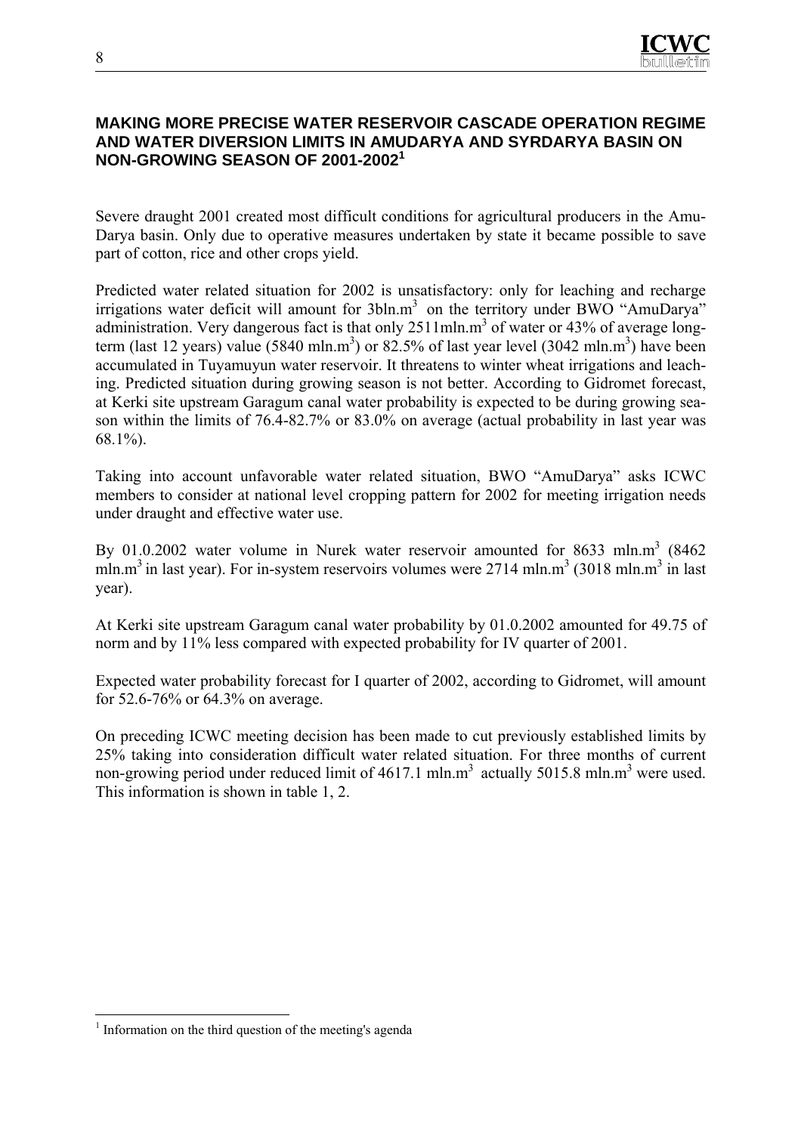

### **MAKING MORE PRECISE WATER RESERVOIR CASCADE OPERATION REGIME AND WATER DIVERSION LIMITS IN AMUDARYA AND SYRDARYA BASIN ON NON-GROWING SEASON OF 2001-2002<sup>1</sup>**

Severe draught 2001 created most difficult conditions for agricultural producers in the Amu-Darya basin. Only due to operative measures undertaken by state it became possible to save part of cotton, rice and other crops yield.

Predicted water related situation for 2002 is unsatisfactory: only for leaching and recharge irrigations water deficit will amount for 3bln.m<sup>3</sup> on the territory under BWO "AmuDarya" administration. Very dangerous fact is that only 2511mln.m<sup>3</sup> of water or 43% of average longterm (last 12 years) value (5840 mln.m<sup>3</sup>) or 82.5% of last year level (3042 mln.m<sup>3</sup>) have been accumulated in Tuyamuyun water reservoir. It threatens to winter wheat irrigations and leaching. Predicted situation during growing season is not better. According to Gidromet forecast, at Kerki site upstream Garagum canal water probability is expected to be during growing season within the limits of 76.4-82.7% or 83.0% on average (actual probability in last year was 68.1%).

Taking into account unfavorable water related situation, BWO "AmuDarya" asks ICWC members to consider at national level cropping pattern for 2002 for meeting irrigation needs under draught and effective water use.

By 01.0.2002 water volume in Nurek water reservoir amounted for 8633 mln.m<sup>3</sup> (8462) mln.m<sup>3</sup> in last year). For in-system reservoirs volumes were 2714 mln.m<sup>3</sup> (3018 mln.m<sup>3</sup> in last year).

At Kerki site upstream Garagum canal water probability by 01.0.2002 amounted for 49.75 of norm and by 11% less compared with expected probability for IV quarter of 2001.

Expected water probability forecast for I quarter of 2002, according to Gidromet, will amount for 52.6-76% or 64.3% on average.

On preceding ICWC meeting decision has been made to cut previously established limits by 25% taking into consideration difficult water related situation. For three months of current non-growing period under reduced limit of  $4617.1 \text{ mln} \cdot \text{m}^3$  actually 5015.8 mln.m<sup>3</sup> were used. This information is shown in table 1, 2.

 $\overline{a}$ <sup>1</sup> Information on the third question of the meeting's agenda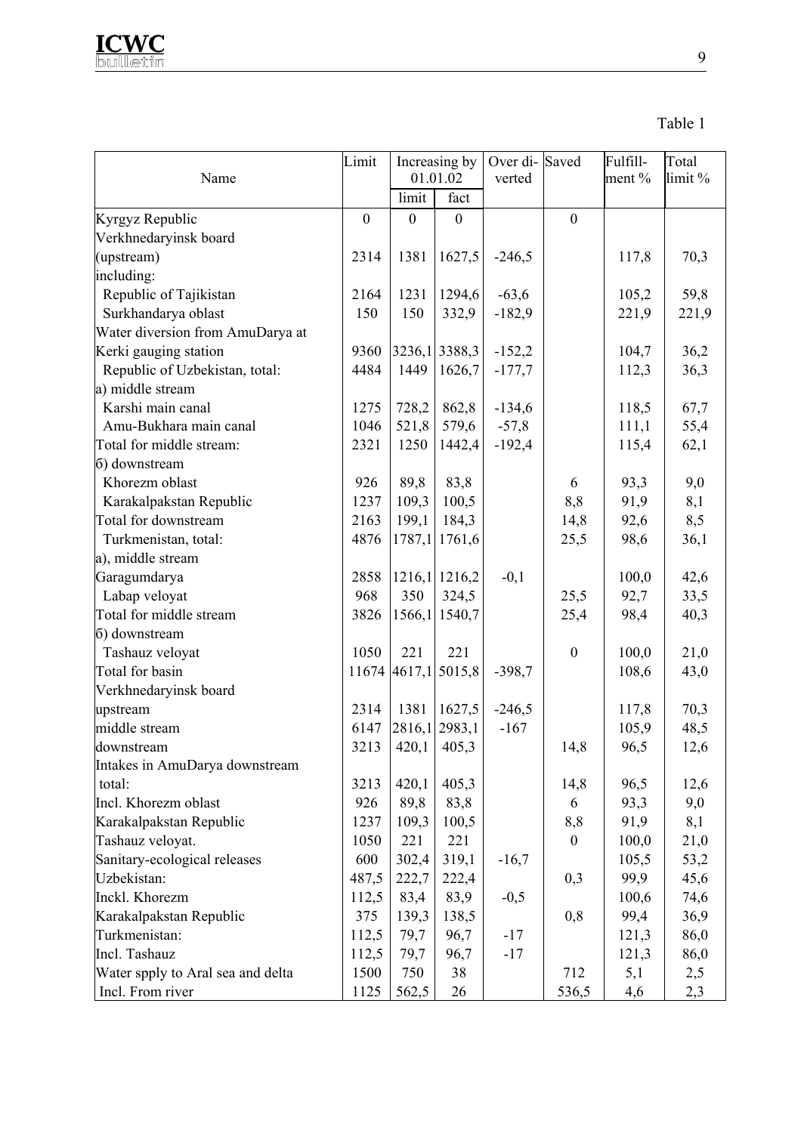

| Name                              | Limit        |                | Increasing by<br>01.01.02 | Over di-Saved<br>verted |                  | Fulfill-<br>ment $%$ | Total<br>limit % |
|-----------------------------------|--------------|----------------|---------------------------|-------------------------|------------------|----------------------|------------------|
|                                   |              | limit          | fact                      |                         |                  |                      |                  |
| Kyrgyz Republic                   | $\mathbf{0}$ | $\overline{0}$ | $\mathbf{0}$              |                         | $\mathbf{0}$     |                      |                  |
| Verkhnedaryinsk board             |              |                |                           |                         |                  |                      |                  |
| (upstream)                        | 2314         | 1381           | 1627,5                    | $-246,5$                |                  | 117,8                | 70,3             |
| including:                        |              |                |                           |                         |                  |                      |                  |
| Republic of Tajikistan            | 2164         | 1231           | 1294,6                    | $-63,6$                 |                  | 105,2                | 59,8             |
| Surkhandarya oblast               | 150          | 150            | 332,9                     | $-182,9$                |                  | 221,9                | 221,9            |
| Water diversion from AmuDarya at  |              |                |                           |                         |                  |                      |                  |
| Kerki gauging station             | 9360         |                | 3236,1 3388,3             | $-152,2$                |                  | 104,7                | 36,2             |
| Republic of Uzbekistan, total:    | 4484         | 1449           | 1626,7                    | $-177,7$                |                  | 112,3                | 36,3             |
| a) middle stream                  |              |                |                           |                         |                  |                      |                  |
| Karshi main canal                 | 1275         | 728,2          | 862,8                     | $-134,6$                |                  | 118,5                | 67,7             |
| Amu-Bukhara main canal            | 1046         | 521,8          | 579,6                     | $-57,8$                 |                  | 111,1                | 55,4             |
| Total for middle stream:          | 2321         | 1250           | 1442,4                    | $-192,4$                |                  | 115,4                | 62,1             |
| 6) downstream                     |              |                |                           |                         |                  |                      |                  |
| Khorezm oblast                    | 926          | 89,8           | 83,8                      |                         | 6                | 93,3                 | 9,0              |
| Karakalpakstan Republic           | 1237         | 109,3          | 100,5                     |                         | 8,8              | 91,9                 | 8,1              |
| Total for downstream              | 2163         | 199,1          | 184,3                     |                         | 14,8             | 92,6                 | 8,5              |
| Turkmenistan, total:              | 4876         |                | 1787,1 1761,6             |                         | 25,5             | 98,6                 | 36,1             |
| a), middle stream                 |              |                |                           |                         |                  |                      |                  |
| Garagumdarya                      | 2858         |                | 1216,1 1216,2             | $-0,1$                  |                  | 100,0                | 42,6             |
| Labap veloyat                     | 968          | 350            | 324,5                     |                         | 25,5             | 92,7                 | 33,5             |
| Total for middle stream           | 3826         |                | 1566,1 1540,7             |                         | 25,4             | 98,4                 | 40,3             |
| 6) downstream                     |              |                |                           |                         |                  |                      |                  |
| Tashauz veloyat                   | 1050         | 221            | 221                       |                         | $\boldsymbol{0}$ | 100,0                | 21,0             |
| Total for basin                   |              |                | 11674 4617,1 5015,8       | $-398,7$                |                  | 108,6                | 43,0             |
| Verkhnedaryinsk board             |              |                |                           |                         |                  |                      |                  |
| upstream                          | 2314         | 1381           | 1627,5                    | $-246,5$                |                  | 117,8                | 70,3             |
| middle stream                     | 6147         |                | 2816,1 2983,1             | $-167$                  |                  | 105,9                | 48,5             |
| downstream                        | 3213         |                | $420,1$ 405,3             |                         | 14,8             | 96,5                 | 12,6             |
| Intakes in AmuDarya downstream    |              |                |                           |                         |                  |                      |                  |
| total:                            | 3213         | 420,1          | 405,3                     |                         | 14,8             | 96,5                 | 12,6             |
| Incl. Khorezm oblast              | 926          | 89,8           | 83,8                      |                         | 6                | 93,3                 | 9,0              |
| Karakalpakstan Republic           | 1237         | 109,3          | 100,5                     |                         | 8,8              | 91,9                 | 8,1              |
| Tashauz veloyat.                  | 1050         | 221            | 221                       |                         | $\overline{0}$   | 100,0                | 21,0             |
| Sanitary-ecological releases      | 600          | 302,4          | 319,1                     | $-16,7$                 |                  | 105,5                | 53,2             |
| Uzbekistan:                       | 487,5        | 222,7          | 222,4                     |                         | 0,3              | 99,9                 | 45,6             |
| Inckl. Khorezm                    | 112,5        | 83,4           | 83,9                      | $-0,5$                  |                  | 100,6                | 74,6             |
| Karakalpakstan Republic           | 375          | 139,3          | 138,5                     |                         | 0,8              | 99,4                 | 36,9             |
| Turkmenistan:                     | 112,5        | 79,7           | 96,7                      | $-17$                   |                  | 121,3                | 86,0             |
| Incl. Tashauz                     | 112,5        | 79,7           | 96,7                      | $-17$                   |                  | 121,3                | 86,0             |
| Water spply to Aral sea and delta | 1500         | 750            | 38                        |                         | 712              | 5,1                  | 2,5              |
| Incl. From river                  | 1125         | 562,5          | 26                        |                         | 536,5            | 4,6                  | 2,3              |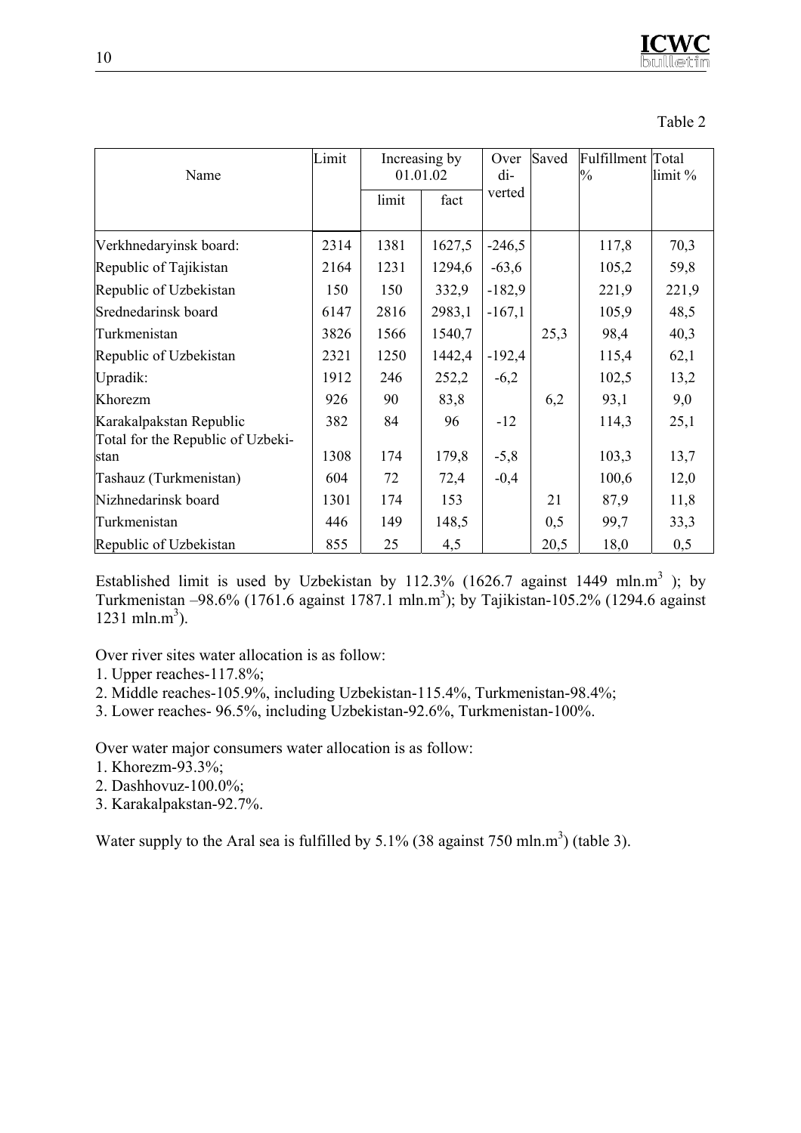Table 2

| Name                              | Limit | Increasing by<br>01.01.02 |        | Over<br>di- | Saved | Fulfillment Total<br>$\frac{0}{0}$ | limit % |
|-----------------------------------|-------|---------------------------|--------|-------------|-------|------------------------------------|---------|
|                                   |       | limit                     | fact   | verted      |       |                                    |         |
| Verkhnedaryinsk board:            | 2314  | 1381                      | 1627,5 | $-246,5$    |       | 117,8                              | 70,3    |
| Republic of Tajikistan            | 2164  | 1231                      | 1294,6 | $-63,6$     |       | 105,2                              | 59,8    |
| Republic of Uzbekistan            | 150   | 150                       | 332,9  | $-182,9$    |       | 221,9                              | 221,9   |
| Srednedarinsk board               | 6147  | 2816                      | 2983,1 | $-167,1$    |       | 105,9                              | 48,5    |
| Turkmenistan                      | 3826  | 1566                      | 1540,7 |             | 25,3  | 98,4                               | 40,3    |
| Republic of Uzbekistan            | 2321  | 1250                      | 1442,4 | $-192,4$    |       | 115,4                              | 62,1    |
| Upradik:                          | 1912  | 246                       | 252,2  | $-6,2$      |       | 102,5                              | 13,2    |
| Khorezm                           | 926   | 90                        | 83,8   |             | 6,2   | 93,1                               | 9,0     |
| Karakalpakstan Republic           | 382   | 84                        | 96     | $-12$       |       | 114,3                              | 25,1    |
| Total for the Republic of Uzbeki- |       |                           |        |             |       |                                    |         |
| stan                              | 1308  | 174                       | 179,8  | $-5,8$      |       | 103,3                              | 13,7    |
| Tashauz (Turkmenistan)            | 604   | 72                        | 72,4   | $-0,4$      |       | 100,6                              | 12,0    |
| Nizhnedarinsk board               | 1301  | 174                       | 153    |             | 21    | 87,9                               | 11,8    |
| Turkmenistan                      | 446   | 149                       | 148,5  |             | 0,5   | 99,7                               | 33,3    |
| Republic of Uzbekistan            | 855   | 25                        | 4,5    |             | 20,5  | 18,0                               | 0,5     |

Established limit is used by Uzbekistan by 112.3% (1626.7 against 1449 mln.m<sup>3</sup>); by Turkmenistan  $-98.6\%$  (1761.6 against 1787.1 mln.m<sup>3</sup>); by Tajikistan-105.2% (1294.6 against 1231 mln.m<sup>3</sup>).

Over river sites water allocation is as follow:

- 1. Upper reaches-117.8%;
- 2. Middle reaches-105.9%, including Uzbekistan-115.4%, Turkmenistan-98.4%;
- 3. Lower reaches- 96.5%, including Uzbekistan-92.6%, Turkmenistan-100%.

Over water major consumers water allocation is as follow:

- 1. Khorezm-93.3%;
- 2. Dashhovuz-100.0%;
- 3. Karakalpakstan-92.7%.

Water supply to the Aral sea is fulfilled by  $5.1\%$  (38 against 750 mln.m<sup>3</sup>) (table 3).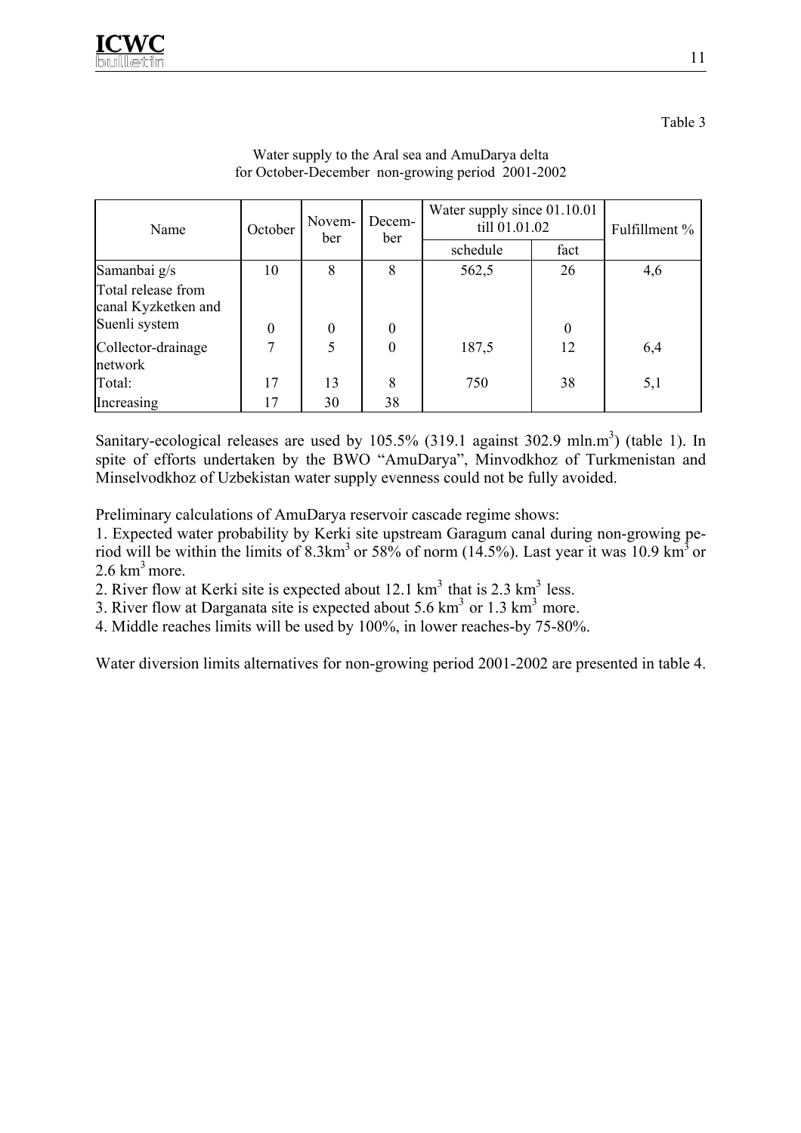Table 3

| Name                                      | Novem-<br>October<br>ber |              | Decem-<br>ber    | Water supply since 01.10.01<br>till 01.01.02 | Fulfillment %    |     |
|-------------------------------------------|--------------------------|--------------|------------------|----------------------------------------------|------------------|-----|
|                                           |                          |              |                  | schedule                                     | fact             |     |
| Samanbai g/s                              | 10                       | 8            | 8                | 562,5                                        | 26               | 4,6 |
| Total release from<br>canal Kyzketken and |                          |              |                  |                                              |                  |     |
| Suenli system                             | $\theta$                 | $\mathbf{0}$ | $\boldsymbol{0}$ |                                              | $\boldsymbol{0}$ |     |
| Collector-drainage<br>network             | 7                        | 5            | $\boldsymbol{0}$ | 187,5                                        | 12               | 6,4 |
| Total:                                    | 17                       | 13           | 8                | 750                                          | 38               | 5,1 |
| Increasing                                | 17                       | 30           | 38               |                                              |                  |     |

## Water supply to the Aral sea and AmuDarya delta for October-December non-growing period 2001-2002

Sanitary-ecological releases are used by  $105.5\%$  (319.1 against 302.9 mln.m<sup>3</sup>) (table 1). In spite of efforts undertaken by the BWO "AmuDarya", Minvodkhoz of Turkmenistan and Minselvodkhoz of Uzbekistan water supply evenness could not be fully avoided.

Preliminary calculations of AmuDarya reservoir cascade regime shows:

1. Expected water probability by Kerki site upstream Garagum canal during non-growing period will be within the limits of  $8.3 \text{km}^3$  or  $58\%$  of norm (14.5%). Last year it was 10.9 km<sup>3</sup> or  $2.6 \text{ km}^3$  more.

2. River flow at Kerki site is expected about  $12.1 \text{ km}^3$  that is  $2.3 \text{ km}^3$  less.

3. River flow at Darganata site is expected about 5.6  $km<sup>3</sup>$  or 1.3  $km<sup>3</sup>$  more.

4. Middle reaches limits will be used by 100%, in lower reaches-by 75-80%.

Water diversion limits alternatives for non-growing period 2001-2002 are presented in table 4.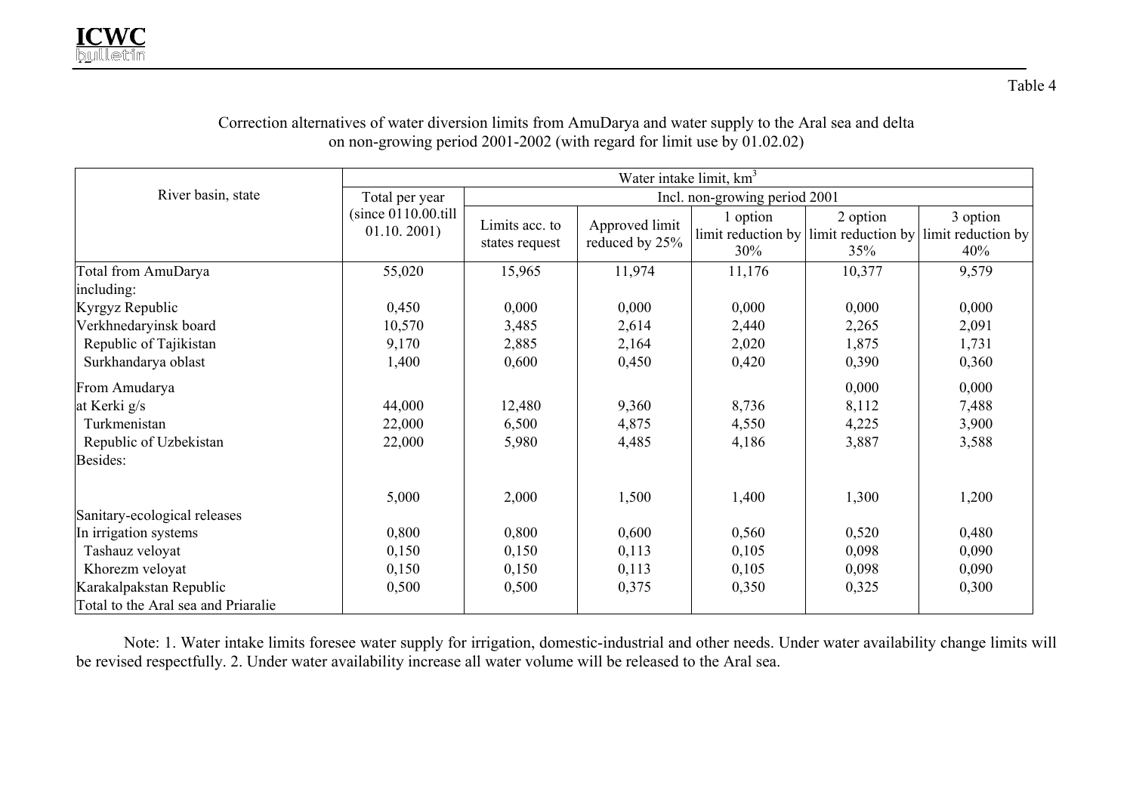|                                     | Water intake limit, km <sup>3</sup>   |                                  |                                  |                 |                                                                 |                                       |  |  |  |  |
|-------------------------------------|---------------------------------------|----------------------------------|----------------------------------|-----------------|-----------------------------------------------------------------|---------------------------------------|--|--|--|--|
| River basin, state                  | Total per year                        | Incl. non-growing period 2001    |                                  |                 |                                                                 |                                       |  |  |  |  |
|                                     | $(since 0110.00.$ till<br>01.10.2001) | Limits acc. to<br>states request | Approved limit<br>reduced by 25% | 1 option<br>30% | 2 option<br>limit reduction by $\lim$ irrit reduction by<br>35% | 3 option<br>limit reduction by<br>40% |  |  |  |  |
| Total from AmuDarya                 | 55,020                                | 15,965                           | 11,974                           | 11,176          | 10,377                                                          | 9,579                                 |  |  |  |  |
| including:                          |                                       |                                  |                                  |                 |                                                                 |                                       |  |  |  |  |
| Kyrgyz Republic                     | 0,450                                 | 0,000                            | 0,000                            | 0,000           | 0,000                                                           | 0,000                                 |  |  |  |  |
| Verkhnedaryinsk board               | 10,570                                | 3,485                            | 2,614                            | 2,440           | 2,265                                                           | 2,091                                 |  |  |  |  |
| Republic of Tajikistan              | 9,170                                 | 2,885                            | 2,164                            | 2,020           | 1,875                                                           | 1,731                                 |  |  |  |  |
| Surkhandarya oblast                 | 1,400                                 | 0,600                            | 0,450                            | 0,420           | 0,390                                                           | 0,360                                 |  |  |  |  |
| From Amudarya                       |                                       |                                  |                                  |                 | 0,000                                                           | 0,000                                 |  |  |  |  |
| at Kerki g/s                        | 44,000                                | 12,480                           | 9,360                            | 8,736           | 8,112                                                           | 7,488                                 |  |  |  |  |
| Turkmenistan                        | 22,000                                | 6,500                            | 4,875                            | 4,550           | 4,225                                                           | 3,900                                 |  |  |  |  |
| Republic of Uzbekistan              | 22,000                                | 5,980                            | 4,485                            | 4,186           | 3,887                                                           | 3,588                                 |  |  |  |  |
| Besides:                            |                                       |                                  |                                  |                 |                                                                 |                                       |  |  |  |  |
|                                     | 5,000                                 | 2,000                            | 1,500                            | 1,400           | 1,300                                                           | 1,200                                 |  |  |  |  |
| Sanitary-ecological releases        |                                       |                                  |                                  |                 |                                                                 |                                       |  |  |  |  |
| In irrigation systems               | 0,800                                 | 0,800                            | 0,600                            | 0,560           | 0,520                                                           | 0,480                                 |  |  |  |  |
| Tashauz veloyat                     | 0,150                                 | 0,150                            | 0,113                            | 0,105           | 0,098                                                           | 0,090                                 |  |  |  |  |
| Khorezm veloyat                     | 0,150                                 | 0,150                            | 0,113                            | 0,105           | 0,098                                                           | 0,090                                 |  |  |  |  |
| Karakalpakstan Republic             | 0,500                                 | 0,500                            | 0,375                            | 0,350           | 0,325                                                           | 0,300                                 |  |  |  |  |
| Total to the Aral sea and Priaralie |                                       |                                  |                                  |                 |                                                                 |                                       |  |  |  |  |

## Correction alternatives of water diversion limits from AmuDarya and water supply to the Aral sea and delta on non-growing period 2001-2002 (with regard for limit use by 01.02.02)

Note: 1. Water intake limits foresee water supply for irrigation, domestic-industrial and other needs. Under water availability change limits will be revised respectfully. 2. Under water availability increase all water volume will be released to the Aral sea.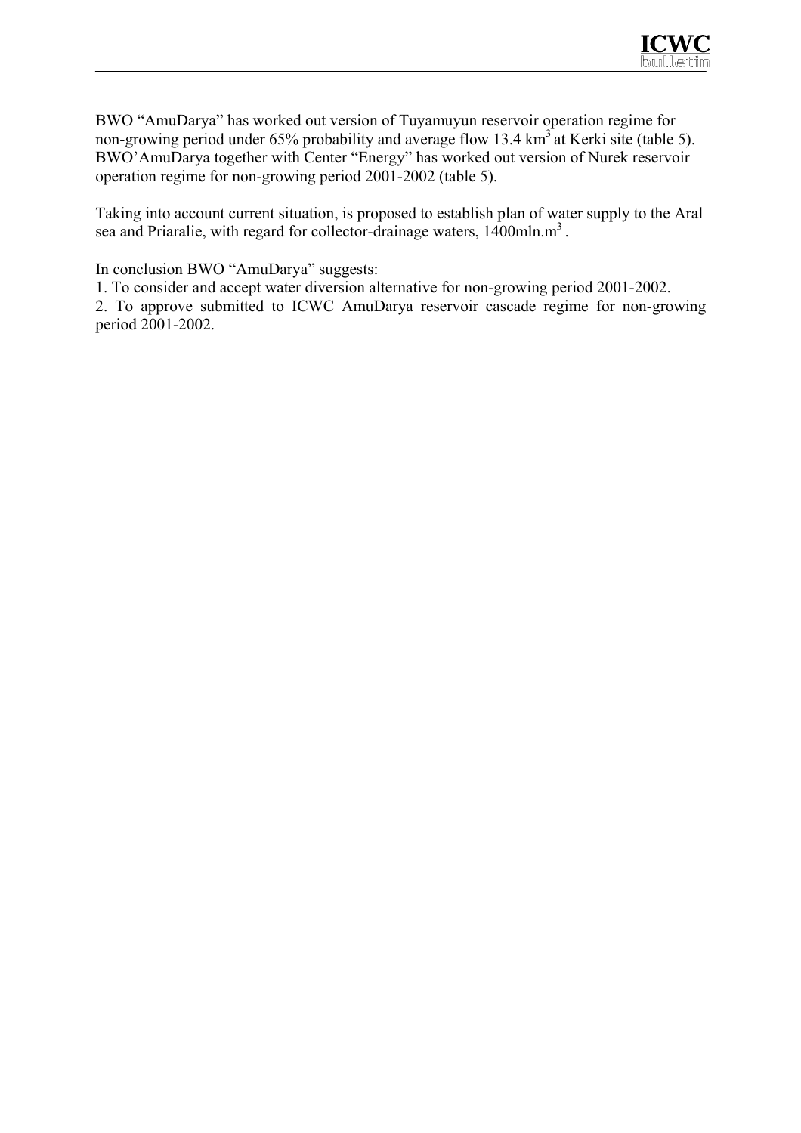

BWO "AmuDarya" has worked out version of Tuyamuyun reservoir operation regime for non-growing period under 65% probability and average flow 13.4 km<sup>3</sup> at Kerki site (table 5). BWO'AmuDarya together with Center "Energy" has worked out version of Nurek reservoir operation regime for non-growing period 2001-2002 (table 5).

Taking into account current situation, is proposed to establish plan of water supply to the Aral sea and Priaralie, with regard for collector-drainage waters,  $1400$ mln.m<sup>3</sup>.

In conclusion BWO "AmuDarya" suggests:

1. To consider and accept water diversion alternative for non-growing period 2001-2002.

2. To approve submitted to ICWC AmuDarya reservoir cascade regime for non-growing period 2001-2002.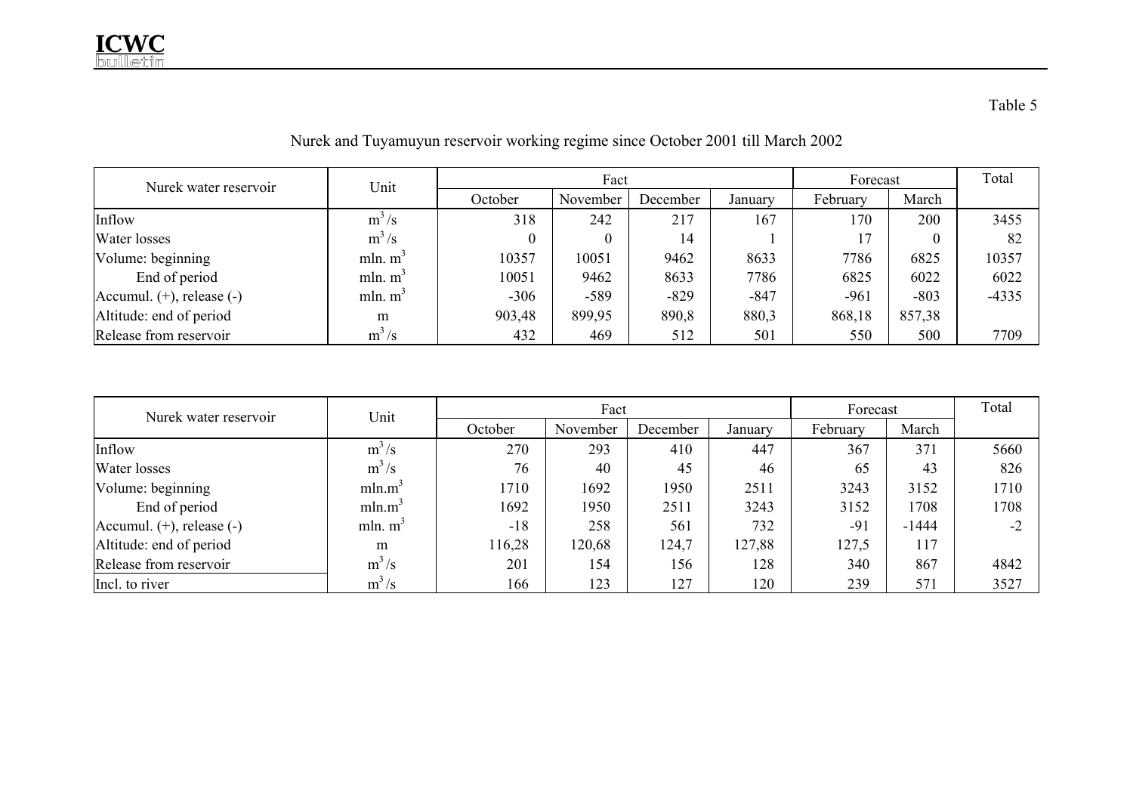| Nurek water reservoir          | Unit       |                  | Fact             |          |         |          |        | Total   |
|--------------------------------|------------|------------------|------------------|----------|---------|----------|--------|---------|
|                                |            | October          | November         | December | Januarv | February | March  |         |
| Inflow                         | $m^3/s$    | 318              | 242              | 217      | 167     | 170      | 200    | 3455    |
| Water losses                   | $m^3/s$    | $\boldsymbol{0}$ | $\boldsymbol{0}$ | 14       |         |          |        | 82      |
| Volume: beginning              | mln. $m^3$ | 10357            | 10051            | 9462     | 8633    | 7786     | 6825   | 10357   |
| End of period                  | mln. $m^3$ | 10051            | 9462             | 8633     | 7786    | 6825     | 6022   | 6022    |
| Accumul. $(+)$ , release $(-)$ | mln. $m^3$ | $-306$           | $-589$           | $-829$   | $-847$  | $-961$   | $-803$ | $-4335$ |
| Altitude: end of period        | m          | 903,48           | 899,95           | 890,8    | 880,3   | 868,18   | 857,38 |         |
| Release from reservoir         | $m^3/s$    | 432              | 469              | 512      | 501     | 550      | 500    | 7709    |

Nurek and Tuyamuyun reservoir working regime since October 2001 till March 2002

| Nurek water reservoir          | Unit               |         | Fact     | Forecast | Total   |          |         |      |
|--------------------------------|--------------------|---------|----------|----------|---------|----------|---------|------|
|                                |                    | October | November | December | January | February | March   |      |
| Inflow                         | $m^3/s$            | 270     | 293      | 410      | 447     | 367      | 371     | 5660 |
| Water losses                   | $m^3/s$            | 76      | 40       | 45       | 46      | 65       | 43      | 826  |
| Volume: beginning              | mln.m <sup>3</sup> | 1710    | 1692     | 1950     | 2511    | 3243     | 3152    | 1710 |
| End of period                  | mln.m <sup>3</sup> | 1692    | 1950     | 2511     | 3243    | 3152     | 1708    | 1708 |
| Accumul. $(+)$ , release $(-)$ | mln. $m3$          | $-18$   | 258      | 561      | 732     | $-91$    | $-1444$ | $-2$ |
| Altitude: end of period        | m                  | 116,28  | 120,68   | 124,7    | 127,88  | 127,5    | 117     |      |
| Release from reservoir         | $m^3/s$            | 201     | 154      | 156      | 128     | 340      | 867     | 4842 |
| Incl. to river                 | $m^3/s$            | 166     | 123      | 127      | 120     | 239      | 571     | 3527 |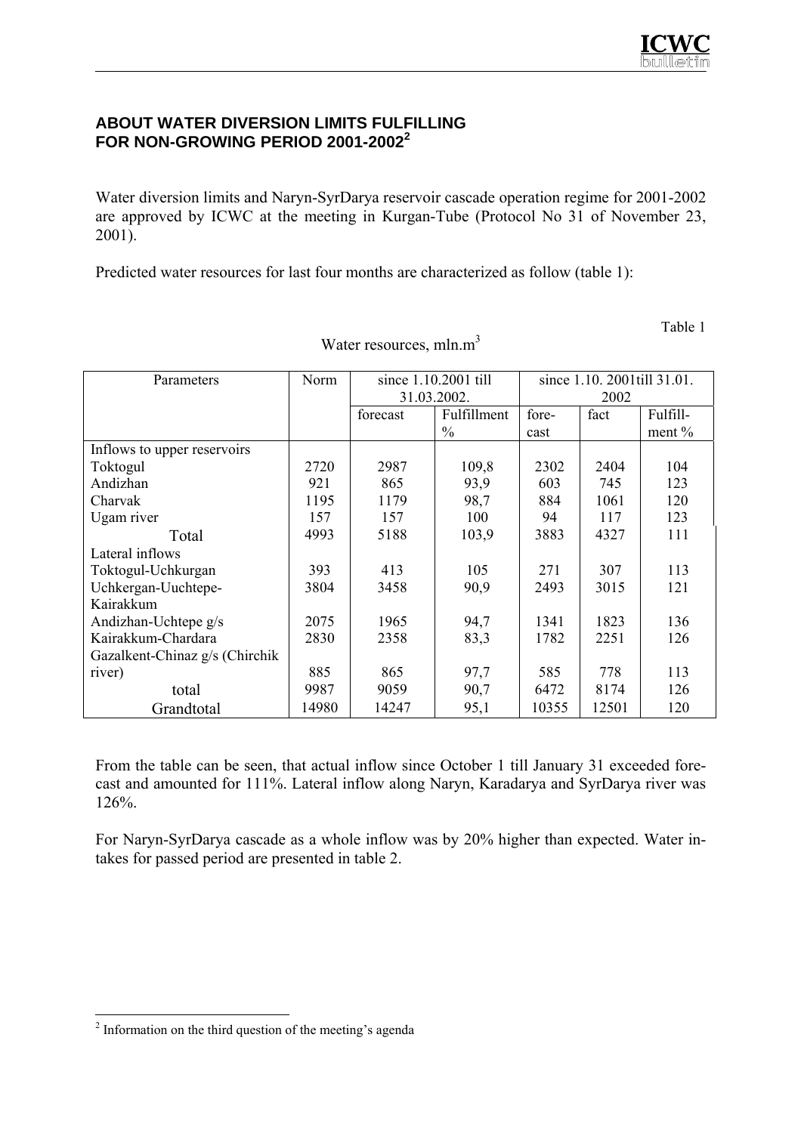## **ABOUT WATER DIVERSION LIMITS FULFILLING FOR NON-GROWING PERIOD 2001-2002<sup>2</sup>**

Water diversion limits and Naryn-SyrDarya reservoir cascade operation regime for 2001-2002 are approved by ICWC at the meeting in Kurgan-Tube (Protocol No 31 of November 23, 2001).

Predicted water resources for last four months are characterized as follow (table 1):

Table 1

| Parameters                     | Norm  |             | since 1.10.2001 till | since 1.10. 2001till 31.01. |       |          |  |
|--------------------------------|-------|-------------|----------------------|-----------------------------|-------|----------|--|
|                                |       | 31.03.2002. |                      |                             | 2002  |          |  |
|                                |       | forecast    | Fulfillment          | fore-                       | fact  | Fulfill- |  |
|                                |       |             | $\frac{0}{0}$        | cast                        |       | ment $%$ |  |
| Inflows to upper reservoirs    |       |             |                      |                             |       |          |  |
| Toktogul                       | 2720  | 2987        | 109,8                | 2302                        | 2404  | 104      |  |
| Andizhan                       | 921   | 865         | 93,9                 | 603                         | 745   | 123      |  |
| Charvak                        | 1195  | 1179        | 98,7                 | 884                         | 1061  | 120      |  |
| Ugam river                     | 157   | 157         | 100                  | 94                          | 117   | 123      |  |
| Total                          | 4993  | 5188        | 103,9                | 3883                        | 4327  | 111      |  |
| Lateral inflows                |       |             |                      |                             |       |          |  |
| Toktogul-Uchkurgan             | 393   | 413         | 105                  | 271                         | 307   | 113      |  |
| Uchkergan-Uuchtepe-            | 3804  | 3458        | 90,9                 | 2493                        | 3015  | 121      |  |
| Kairakkum                      |       |             |                      |                             |       |          |  |
| Andizhan-Uchtepe g/s           | 2075  | 1965        | 94,7                 | 1341                        | 1823  | 136      |  |
| Kairakkum-Chardara             | 2830  | 2358        | 83,3                 | 1782                        | 2251  | 126      |  |
| Gazalkent-Chinaz g/s (Chirchik |       |             |                      |                             |       |          |  |
| river)                         | 885   | 865         | 97,7                 | 585                         | 778   | 113      |  |
| total                          | 9987  | 9059        | 90,7                 | 6472                        | 8174  | 126      |  |
| Grandtotal                     | 14980 | 14247       | 95,1                 | 10355                       | 12501 | 120      |  |

Water resources, mln.m<sup>3</sup>

From the table can be seen, that actual inflow since October 1 till January 31 exceeded forecast and amounted for 111%. Lateral inflow along Naryn, Karadarya and SyrDarya river was 126%.

For Naryn-SyrDarya cascade as a whole inflow was by 20% higher than expected. Water intakes for passed period are presented in table 2.

<sup>&</sup>lt;sup>2</sup> Information on the third question of the meeting's agenda<sup>2</sup>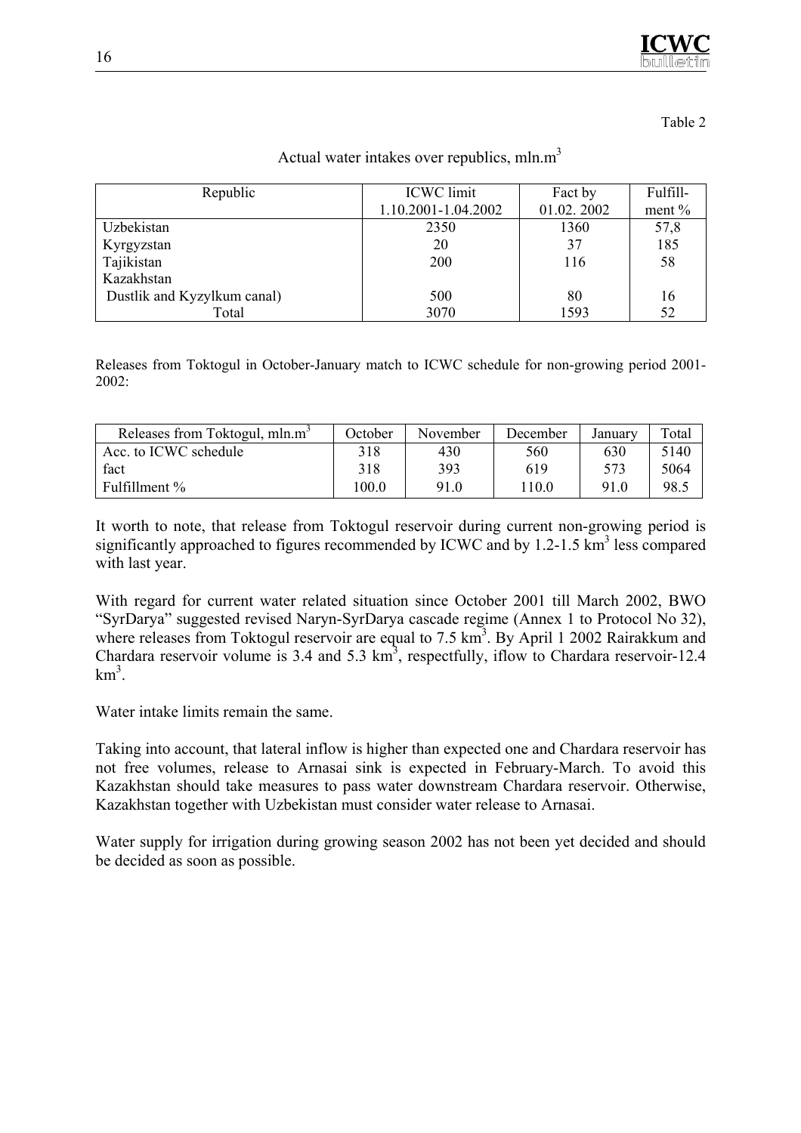

Table 2

Actual water intakes over republics,  $mln.m<sup>3</sup>$ 

| Republic                    | <b>ICWC</b> limit   | Fact by    | Fulfill- |  |
|-----------------------------|---------------------|------------|----------|--|
|                             | 1.10.2001-1.04.2002 | 01.02.2002 | ment $%$ |  |
| Uzbekistan                  | 2350                | 1360       | 57,8     |  |
| Kyrgyzstan                  | 20                  | 37         | 185      |  |
| Tajikistan                  | 200                 | 116        | 58       |  |
| Kazakhstan                  |                     |            |          |  |
| Dustlik and Kyzylkum canal) | 500                 | 80         | 16       |  |
| Total                       | 3070                | 1593       | 52       |  |

Releases from Toktogul in October-January match to ICWC schedule for non-growing period 2001- 2002:

| Releases from Toktogul, mln.m <sup>3</sup> | October | November | December | Januarv | Total |
|--------------------------------------------|---------|----------|----------|---------|-------|
| Acc. to ICWC schedule                      | 318     | 430      | 560      | 630     | 5140  |
| fact                                       | 318     | 393      | 619      | 573     | 5064  |
| Fulfillment %                              | 100.0   | 910      | l 10.0   | 91.0    | 98.5  |

It worth to note, that release from Toktogul reservoir during current non-growing period is significantly approached to figures recommended by ICWC and by  $1.2$ -1.5 km<sup>3</sup> less compared with last year.

With regard for current water related situation since October 2001 till March 2002, BWO "SyrDarya" suggested revised Naryn-SyrDarya cascade regime (Annex 1 to Protocol No 32), where releases from Toktogul reservoir are equal to 7.5 km<sup>3</sup>. By April 1 2002 Rairakkum and Chardara reservoir volume is 3.4 and 5.3  $km^3$ , respectfully, if low to Chardara reservoir-12.4  $km^3$ .

Water intake limits remain the same.

Taking into account, that lateral inflow is higher than expected one and Chardara reservoir has not free volumes, release to Arnasai sink is expected in February-March. To avoid this Kazakhstan should take measures to pass water downstream Chardara reservoir. Otherwise, Kazakhstan together with Uzbekistan must consider water release to Arnasai.

Water supply for irrigation during growing season 2002 has not been yet decided and should be decided as soon as possible.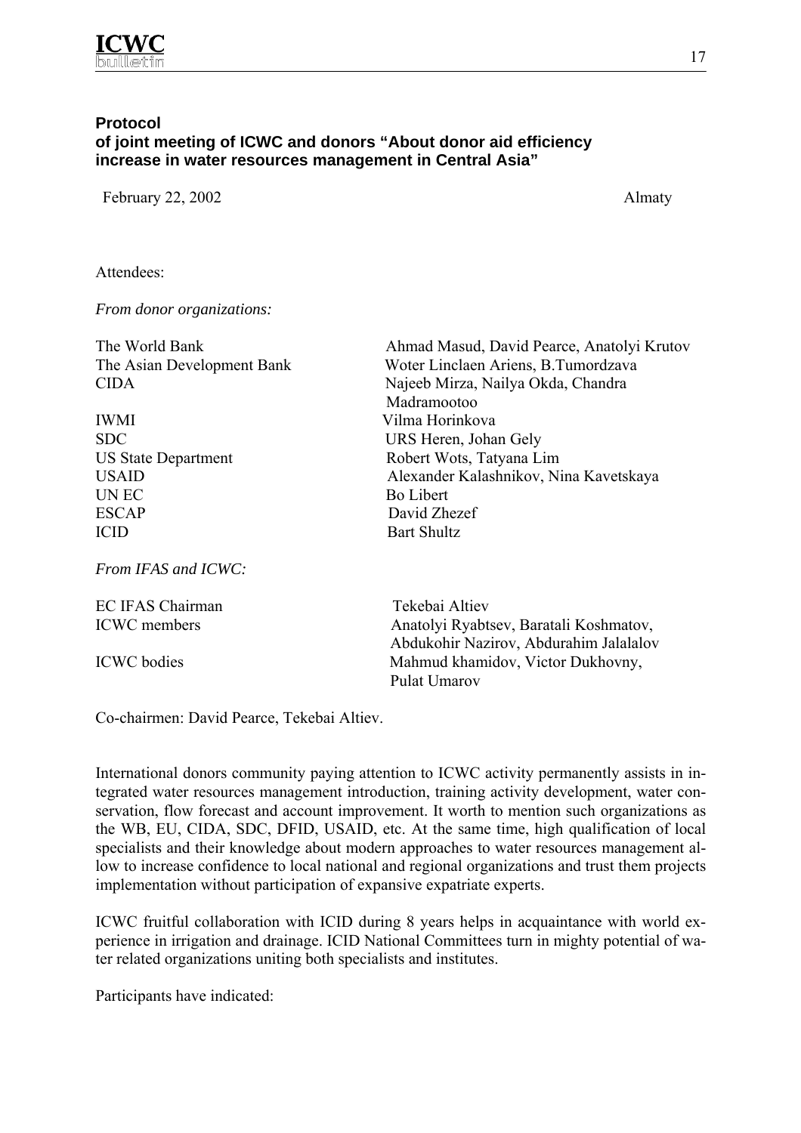

## **Protocol of joint meeting of ICWC and donors "About donor aid efficiency increase in water resources management in Central Asia"**

February 22, 2002 Almaty

Attendees:

*From donor organizations:* 

| The World Bank             | Ahmad Masud, David Pearce, Anatolyi Krutov |  |  |
|----------------------------|--------------------------------------------|--|--|
| The Asian Development Bank | Woter Linclaen Ariens, B.Tumordzava        |  |  |
| <b>CIDA</b>                | Najeeb Mirza, Nailya Okda, Chandra         |  |  |
|                            | Madramootoo                                |  |  |
| <b>IWMI</b>                | Vilma Horinkova                            |  |  |
| <b>SDC</b>                 | URS Heren, Johan Gely                      |  |  |
| <b>US State Department</b> | Robert Wots, Tatyana Lim                   |  |  |
| <b>USAID</b>               | Alexander Kalashnikov, Nina Kavetskaya     |  |  |
| UN EC                      | <b>Bo Libert</b>                           |  |  |
| <b>ESCAP</b>               | David Zhezef                               |  |  |
| <b>ICID</b>                | <b>Bart Shultz</b>                         |  |  |
| From IFAS and ICWC:        |                                            |  |  |
| EC IFAS Chairman           | Tekebai Altiev                             |  |  |
| <b>ICWC</b> members        | Anatolyi Ryabtsev, Baratali Koshmatov,     |  |  |

 Abdukohir Nazirov, Abdurahim Jalalalov ICWC bodies Mahmud khamidov, Victor Dukhovny, Pulat Umarov

Co-chairmen: David Pearce, Tekebai Altiev.

International donors community paying attention to ICWC activity permanently assists in integrated water resources management introduction, training activity development, water conservation, flow forecast and account improvement. It worth to mention such organizations as the WB, EU, CIDA, SDC, DFID, USAID, etc. At the same time, high qualification of local specialists and their knowledge about modern approaches to water resources management allow to increase confidence to local national and regional organizations and trust them projects implementation without participation of expansive expatriate experts.

ICWC fruitful collaboration with ICID during 8 years helps in acquaintance with world experience in irrigation and drainage. ICID National Committees turn in mighty potential of water related organizations uniting both specialists and institutes.

Participants have indicated: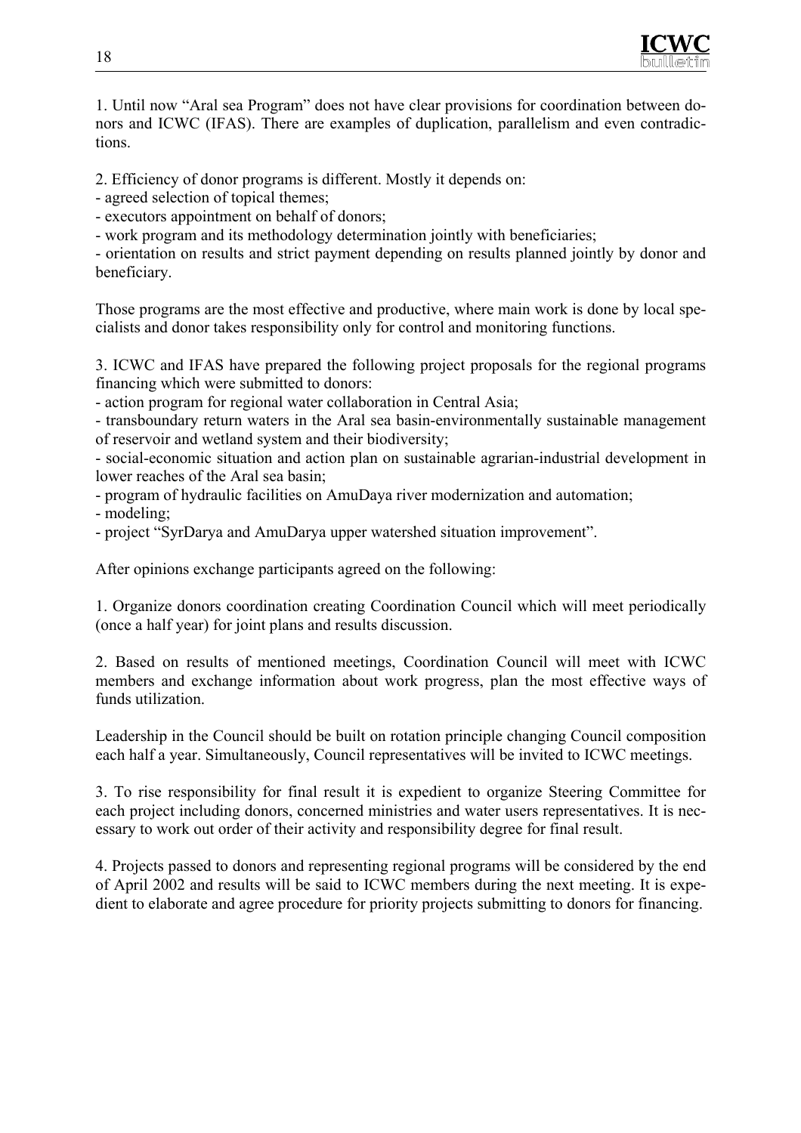

1. Until now "Aral sea Program" does not have clear provisions for coordination between donors and ICWC (IFAS). There are examples of duplication, parallelism and even contradictions.

2. Efficiency of donor programs is different. Mostly it depends on:

- agreed selection of topical themes;

- executors appointment on behalf of donors;

- work program and its methodology determination jointly with beneficiaries;

- orientation on results and strict payment depending on results planned jointly by donor and beneficiary.

Those programs are the most effective and productive, where main work is done by local specialists and donor takes responsibility only for control and monitoring functions.

3. ICWC and IFAS have prepared the following project proposals for the regional programs financing which were submitted to donors:

- action program for regional water collaboration in Central Asia;

- transboundary return waters in the Aral sea basin-environmentally sustainable management of reservoir and wetland system and their biodiversity;

- social-economic situation and action plan on sustainable agrarian-industrial development in lower reaches of the Aral sea basin;

- program of hydraulic facilities on AmuDaya river modernization and automation;

- modeling;

- project "SyrDarya and AmuDarya upper watershed situation improvement".

After opinions exchange participants agreed on the following:

1. Organize donors coordination creating Coordination Council which will meet periodically (once a half year) for joint plans and results discussion.

2. Based on results of mentioned meetings, Coordination Council will meet with ICWC members and exchange information about work progress, plan the most effective ways of funds utilization.

Leadership in the Council should be built on rotation principle changing Council composition each half a year. Simultaneously, Council representatives will be invited to ICWC meetings.

3. To rise responsibility for final result it is expedient to organize Steering Committee for each project including donors, concerned ministries and water users representatives. It is necessary to work out order of their activity and responsibility degree for final result.

4. Projects passed to donors and representing regional programs will be considered by the end of April 2002 and results will be said to ICWC members during the next meeting. It is expedient to elaborate and agree procedure for priority projects submitting to donors for financing.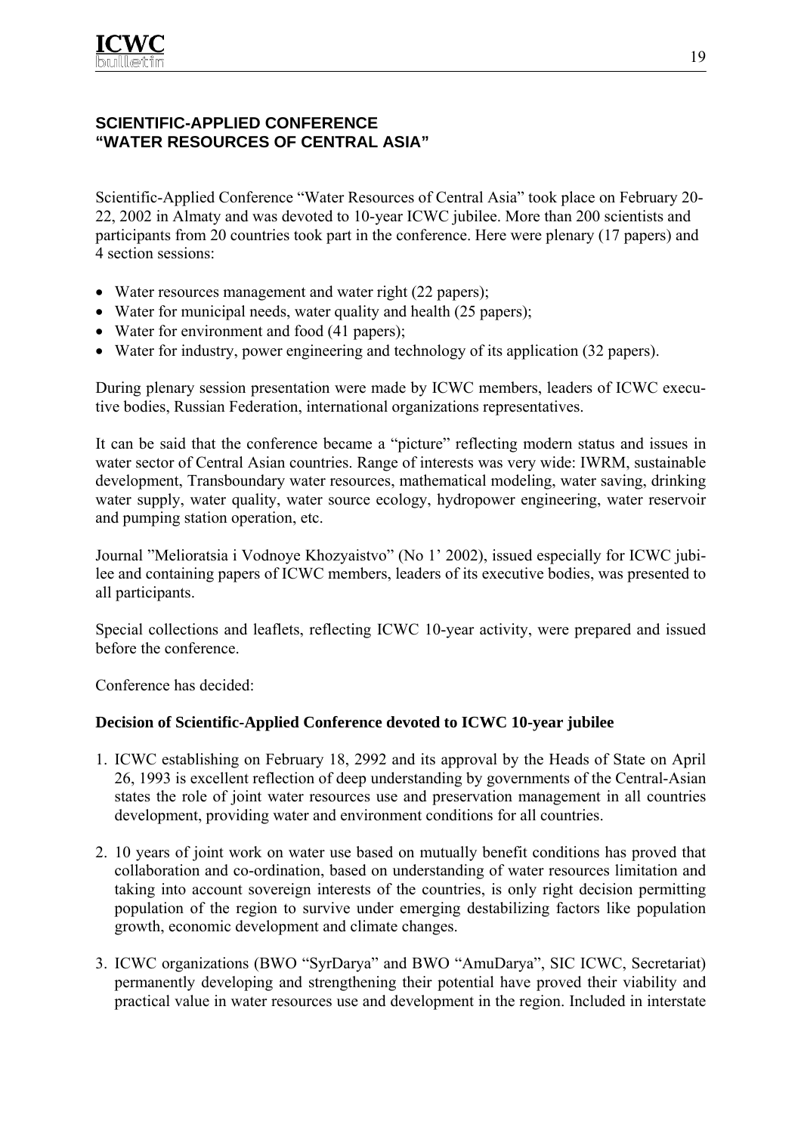## **SCIENTIFIC-APPLIED CONFERENCE "WATER RESOURCES OF CENTRAL ASIA"**

Scientific-Applied Conference "Water Resources of Central Asia" took place on February 20- 22, 2002 in Almaty and was devoted to 10-year ICWC jubilee. More than 200 scientists and participants from 20 countries took part in the conference. Here were plenary (17 papers) and 4 section sessions:

- Water resources management and water right (22 papers);
- Water for municipal needs, water quality and health (25 papers);
- Water for environment and food (41 papers);
- Water for industry, power engineering and technology of its application (32 papers).

During plenary session presentation were made by ICWC members, leaders of ICWC executive bodies, Russian Federation, international organizations representatives.

It can be said that the conference became a "picture" reflecting modern status and issues in water sector of Central Asian countries. Range of interests was very wide: IWRM, sustainable development, Transboundary water resources, mathematical modeling, water saving, drinking water supply, water quality, water source ecology, hydropower engineering, water reservoir and pumping station operation, etc.

Journal "Melioratsia i Vodnoye Khozyaistvo" (No 1' 2002), issued especially for ICWC jubilee and containing papers of ICWC members, leaders of its executive bodies, was presented to all participants.

Special collections and leaflets, reflecting ICWC 10-year activity, were prepared and issued before the conference.

Conference has decided:

## **Decision of Scientific-Applied Conference devoted to ICWC 10-year jubilee**

- 1. ICWC establishing on February 18, 2992 and its approval by the Heads of State on April 26, 1993 is excellent reflection of deep understanding by governments of the Central-Asian states the role of joint water resources use and preservation management in all countries development, providing water and environment conditions for all countries.
- 2. 10 years of joint work on water use based on mutually benefit conditions has proved that collaboration and co-ordination, based on understanding of water resources limitation and taking into account sovereign interests of the countries, is only right decision permitting population of the region to survive under emerging destabilizing factors like population growth, economic development and climate changes.
- 3. ICWC organizations (BWO "SyrDarya" and BWO "AmuDarya", SIC ICWC, Secretariat) permanently developing and strengthening their potential have proved their viability and practical value in water resources use and development in the region. Included in interstate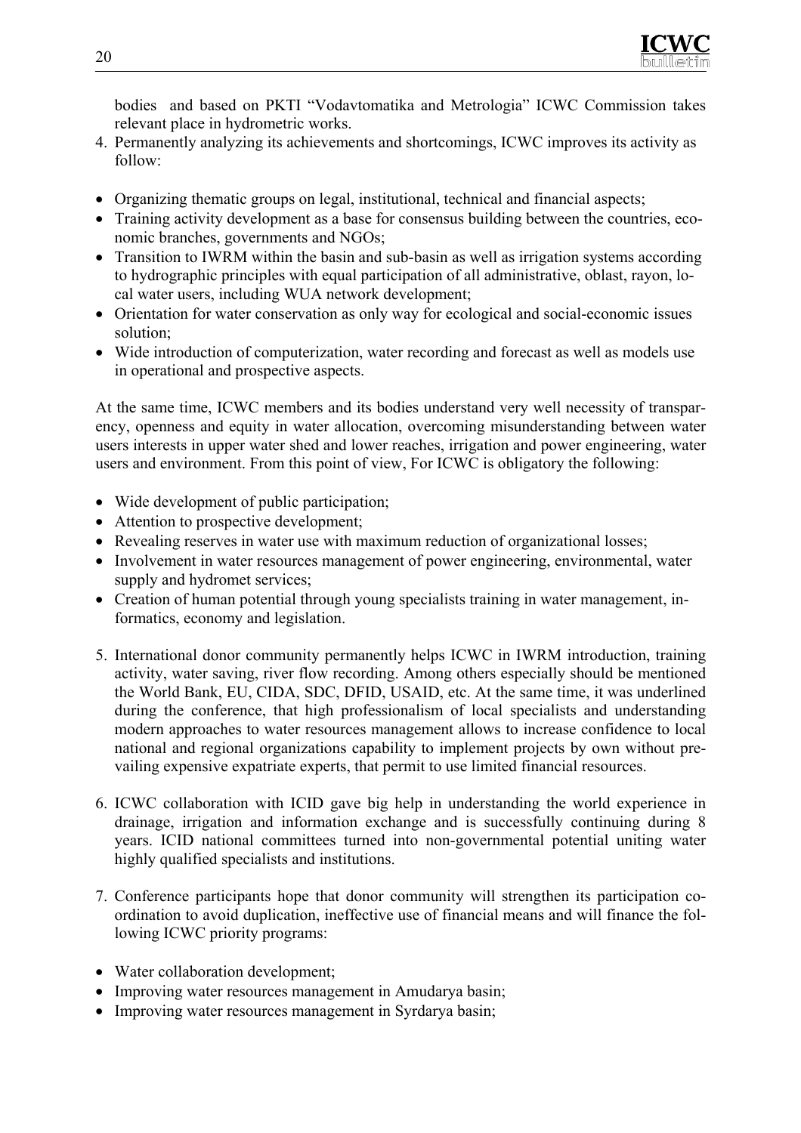

bodies and based on PKTI "Vodavtomatika and Metrologia" ICWC Commission takes relevant place in hydrometric works.

- 4. Permanently analyzing its achievements and shortcomings, ICWC improves its activity as follow:
- Organizing thematic groups on legal, institutional, technical and financial aspects;
- Training activity development as a base for consensus building between the countries, economic branches, governments and NGOs;
- Transition to IWRM within the basin and sub-basin as well as irrigation systems according to hydrographic principles with equal participation of all administrative, oblast, rayon, local water users, including WUA network development;
- Orientation for water conservation as only way for ecological and social-economic issues solution;
- Wide introduction of computerization, water recording and forecast as well as models use in operational and prospective aspects.

At the same time, ICWC members and its bodies understand very well necessity of transparency, openness and equity in water allocation, overcoming misunderstanding between water users interests in upper water shed and lower reaches, irrigation and power engineering, water users and environment. From this point of view, For ICWC is obligatory the following:

- Wide development of public participation;
- Attention to prospective development;
- Revealing reserves in water use with maximum reduction of organizational losses;
- Involvement in water resources management of power engineering, environmental, water supply and hydromet services;
- Creation of human potential through young specialists training in water management, informatics, economy and legislation.
- 5. International donor community permanently helps ICWC in IWRM introduction, training activity, water saving, river flow recording. Among others especially should be mentioned the World Bank, EU, CIDA, SDC, DFID, USAID, etc. At the same time, it was underlined during the conference, that high professionalism of local specialists and understanding modern approaches to water resources management allows to increase confidence to local national and regional organizations capability to implement projects by own without prevailing expensive expatriate experts, that permit to use limited financial resources.
- 6. ICWC collaboration with ICID gave big help in understanding the world experience in drainage, irrigation and information exchange and is successfully continuing during 8 years. ICID national committees turned into non-governmental potential uniting water highly qualified specialists and institutions.
- 7. Conference participants hope that donor community will strengthen its participation coordination to avoid duplication, ineffective use of financial means and will finance the following ICWC priority programs:
- Water collaboration development;
- Improving water resources management in Amudarya basin;
- Improving water resources management in Syrdarya basin;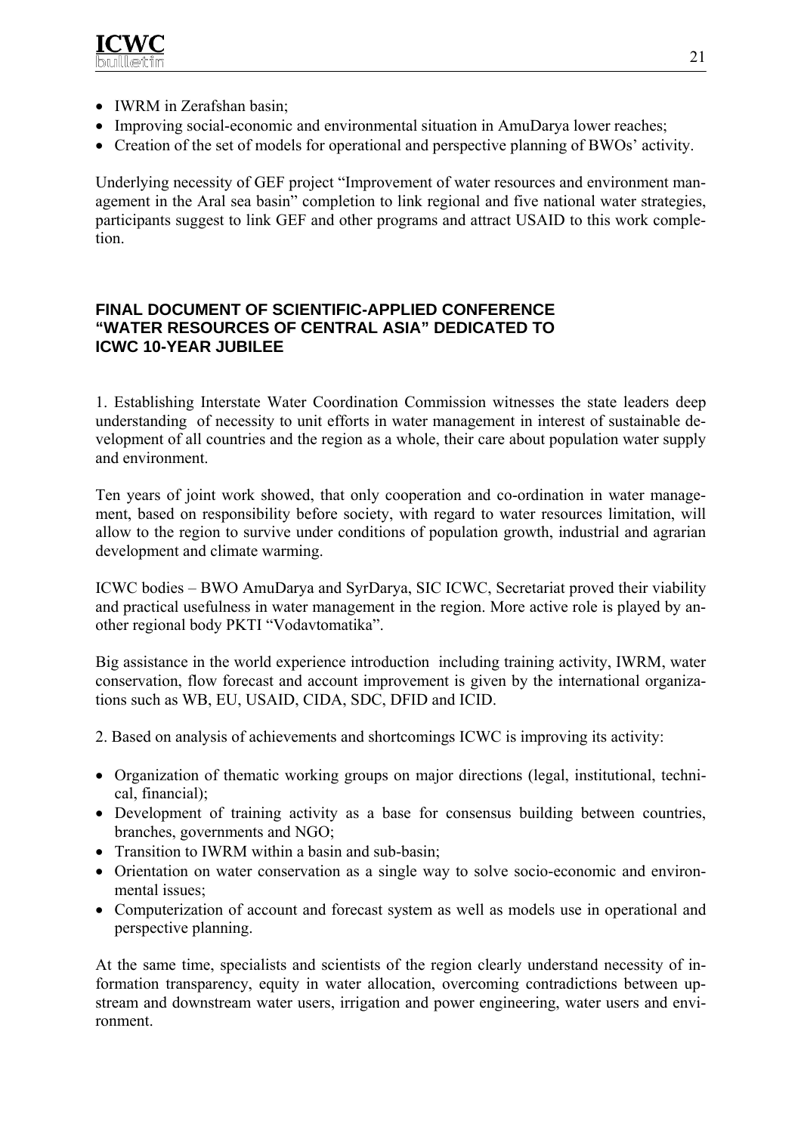

- IWRM in Zerafshan basin;
- Improving social-economic and environmental situation in AmuDarya lower reaches;
- Creation of the set of models for operational and perspective planning of BWOs' activity.

Underlying necessity of GEF project "Improvement of water resources and environment management in the Aral sea basin" completion to link regional and five national water strategies, participants suggest to link GEF and other programs and attract USAID to this work completion.

## **FINAL DOCUMENT OF SCIENTIFIC-APPLIED CONFERENCE "WATER RESOURCES OF CENTRAL ASIA" DEDICATED TO ICWC 10-YEAR JUBILEE**

1. Establishing Interstate Water Coordination Commission witnesses the state leaders deep understanding of necessity to unit efforts in water management in interest of sustainable development of all countries and the region as a whole, their care about population water supply and environment.

Ten years of joint work showed, that only cooperation and co-ordination in water management, based on responsibility before society, with regard to water resources limitation, will allow to the region to survive under conditions of population growth, industrial and agrarian development and climate warming.

ICWC bodies – BWO AmuDarya and SyrDarya, SIC ICWC, Secretariat proved their viability and practical usefulness in water management in the region. More active role is played by another regional body PKTI "Vodavtomatika".

Big assistance in the world experience introduction including training activity, IWRM, water conservation, flow forecast and account improvement is given by the international organizations such as WB, EU, USAID, CIDA, SDC, DFID and ICID.

- 2. Based on analysis of achievements and shortcomings ICWC is improving its activity:
- Organization of thematic working groups on major directions (legal, institutional, technical, financial);
- Development of training activity as a base for consensus building between countries, branches, governments and NGO;
- Transition to IWRM within a basin and sub-basin:
- Orientation on water conservation as a single way to solve socio-economic and environmental issues;
- Computerization of account and forecast system as well as models use in operational and perspective planning.

At the same time, specialists and scientists of the region clearly understand necessity of information transparency, equity in water allocation, overcoming contradictions between upstream and downstream water users, irrigation and power engineering, water users and environment.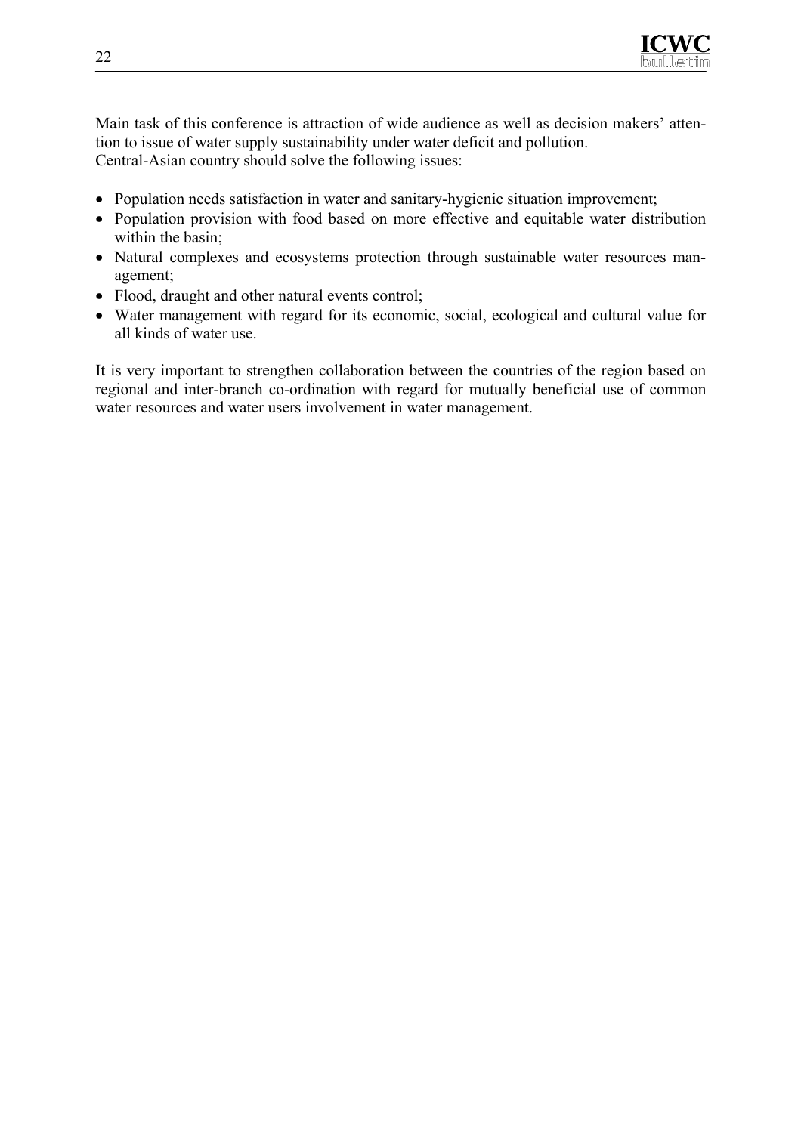

Main task of this conference is attraction of wide audience as well as decision makers' attention to issue of water supply sustainability under water deficit and pollution. Central-Asian country should solve the following issues:

- Population needs satisfaction in water and sanitary-hygienic situation improvement;
- Population provision with food based on more effective and equitable water distribution within the basin:
- Natural complexes and ecosystems protection through sustainable water resources management;
- Flood, draught and other natural events control;
- Water management with regard for its economic, social, ecological and cultural value for all kinds of water use.

It is very important to strengthen collaboration between the countries of the region based on regional and inter-branch co-ordination with regard for mutually beneficial use of common water resources and water users involvement in water management.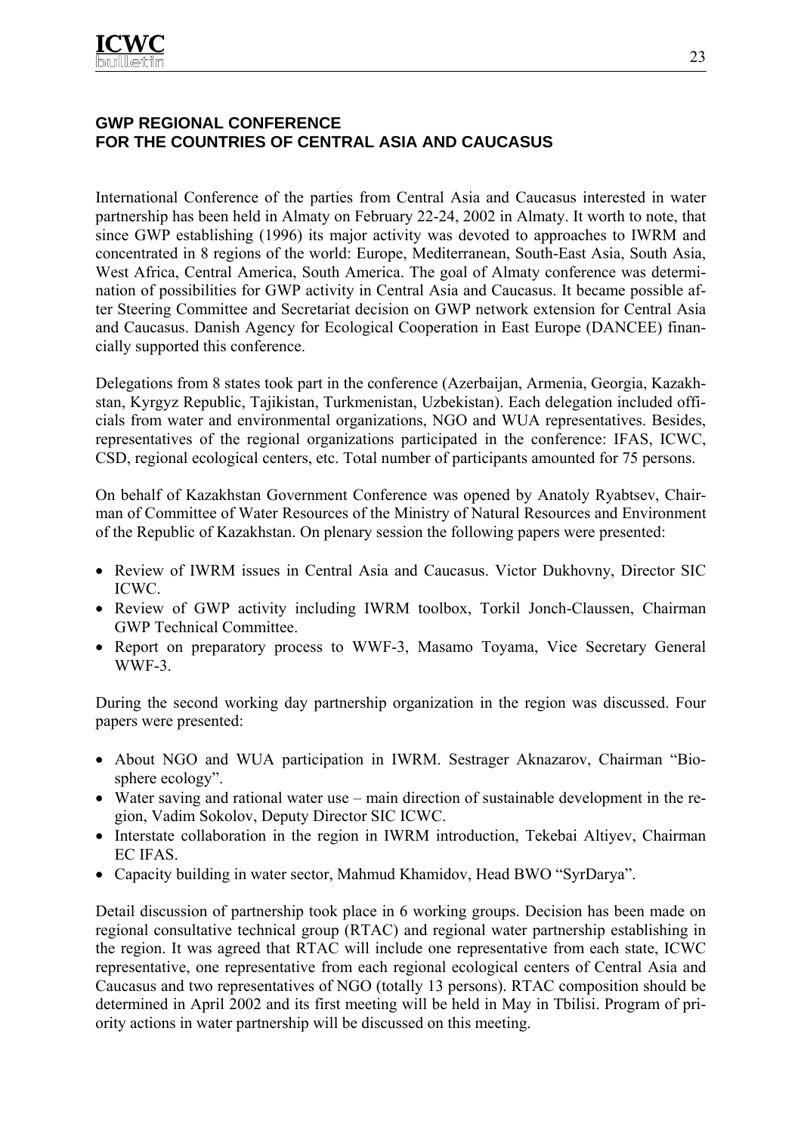## **GWP REGIONAL CONFERENCE FOR THE COUNTRIES OF CENTRAL ASIA AND CAUCASUS**

International Conference of the parties from Central Asia and Caucasus interested in water partnership has been held in Almaty on February 22-24, 2002 in Almaty. It worth to note, that since GWP establishing (1996) its major activity was devoted to approaches to IWRM and concentrated in 8 regions of the world: Europe, Mediterranean, South-East Asia, South Asia, West Africa, Central America, South America. The goal of Almaty conference was determination of possibilities for GWP activity in Central Asia and Caucasus. It became possible after Steering Committee and Secretariat decision on GWP network extension for Central Asia and Caucasus. Danish Agency for Ecological Cooperation in East Europe (DANCEE) financially supported this conference.

Delegations from 8 states took part in the conference (Azerbaijan, Armenia, Georgia, Kazakhstan, Kyrgyz Republic, Tajikistan, Turkmenistan, Uzbekistan). Each delegation included officials from water and environmental organizations, NGO and WUA representatives. Besides, representatives of the regional organizations participated in the conference: IFAS, ICWC, CSD, regional ecological centers, etc. Total number of participants amounted for 75 persons.

On behalf of Kazakhstan Government Conference was opened by Anatoly Ryabtsev, Chairman of Committee of Water Resources of the Ministry of Natural Resources and Environment of the Republic of Kazakhstan. On plenary session the following papers were presented:

- Review of IWRM issues in Central Asia and Caucasus. Victor Dukhovny, Director SIC ICWC.
- Review of GWP activity including IWRM toolbox, Torkil Jonch-Claussen, Chairman GWP Technical Committee.
- Report on preparatory process to WWF-3, Masamo Toyama, Vice Secretary General WWF-3.

During the second working day partnership organization in the region was discussed. Four papers were presented:

- About NGO and WUA participation in IWRM. Sestrager Aknazarov, Chairman "Biosphere ecology".
- Water saving and rational water use main direction of sustainable development in the region, Vadim Sokolov, Deputy Director SIC ICWC.
- Interstate collaboration in the region in IWRM introduction, Tekebai Altiyev, Chairman EC IFAS.
- Capacity building in water sector, Mahmud Khamidov, Head BWO "SyrDarya".

Detail discussion of partnership took place in 6 working groups. Decision has been made on regional consultative technical group (RTAC) and regional water partnership establishing in the region. It was agreed that RTAC will include one representative from each state, ICWC representative, one representative from each regional ecological centers of Central Asia and Caucasus and two representatives of NGO (totally 13 persons). RTAC composition should be determined in April 2002 and its first meeting will be held in May in Tbilisi. Program of priority actions in water partnership will be discussed on this meeting.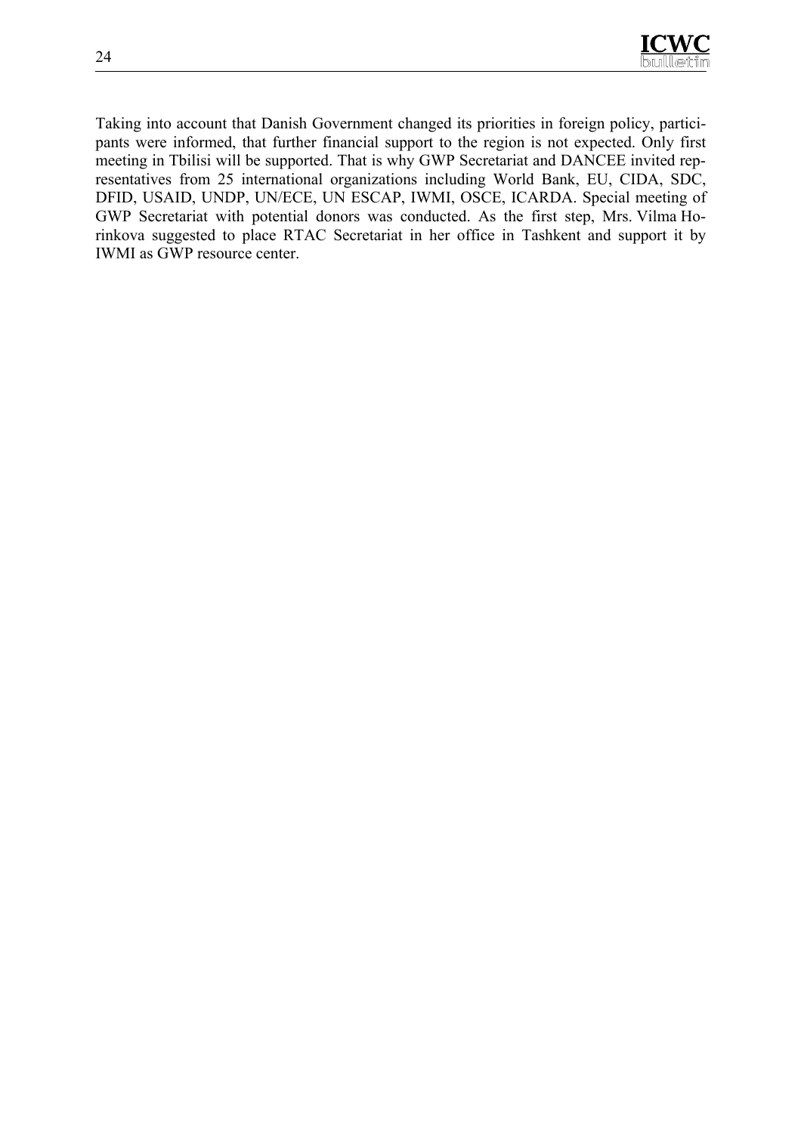Taking into account that Danish Government changed its priorities in foreign policy, participants were informed, that further financial support to the region is not expected. Only first meeting in Tbilisi will be supported. That is why GWP Secretariat and DANCEE invited representatives from 25 international organizations including World Bank, EU, CIDA, SDC, DFID, USAID, UNDP, UN/ECE, UN ESCAP, IWMI, OSCE, ICARDA. Special meeting of GWP Secretariat with potential donors was conducted. As the first step, Mrs. Vilma Horinkova suggested to place RTAC Secretariat in her office in Tashkent and support it by IWMI as GWP resource center.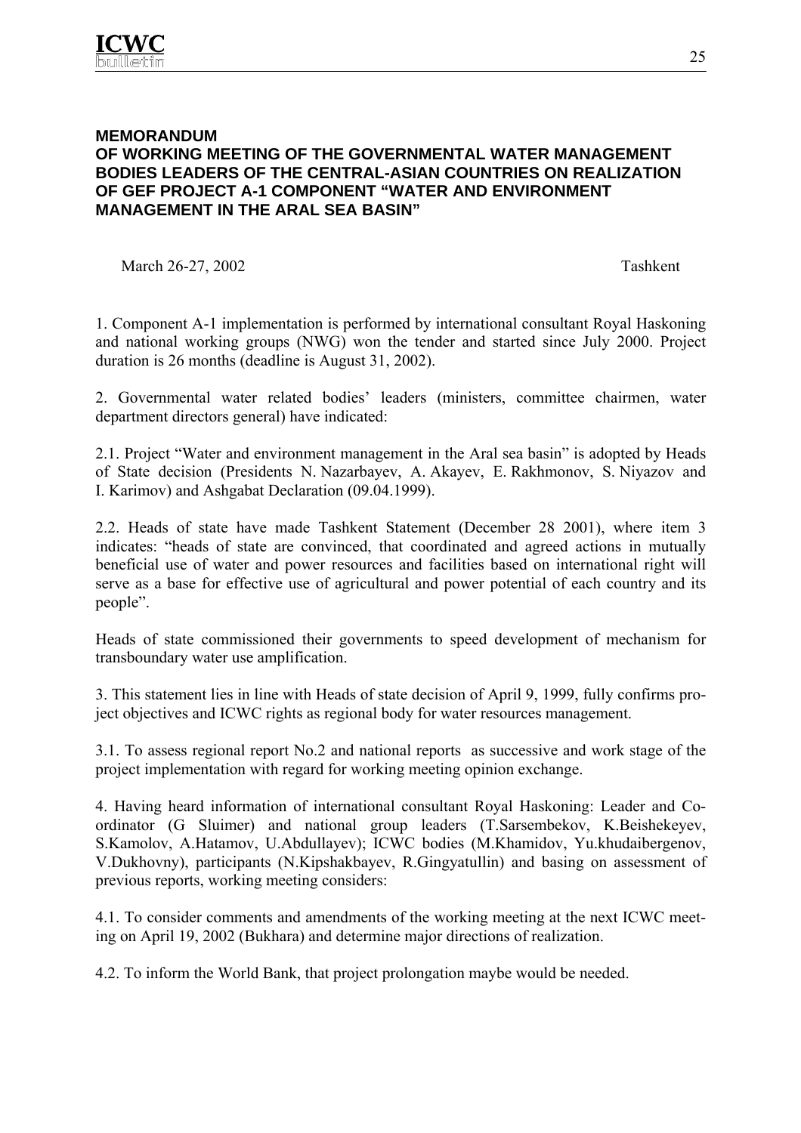## **MEMORANDUM OF WORKING MEETING OF THE GOVERNMENTAL WATER MANAGEMENT BODIES LEADERS OF THE CENTRAL-ASIAN COUNTRIES ON REALIZATION OF GEF PROJECT A-1 COMPONENT "WATER AND ENVIRONMENT MANAGEMENT IN THE ARAL SEA BASIN"**

March 26-27, 2002 Tashkent

1. Component A-1 implementation is performed by international consultant Royal Haskoning and national working groups (NWG) won the tender and started since July 2000. Project duration is 26 months (deadline is August 31, 2002).

2. Governmental water related bodies' leaders (ministers, committee chairmen, water department directors general) have indicated:

2.1. Project "Water and environment management in the Aral sea basin" is adopted by Heads of State decision (Presidents N. Nazarbayev, A. Akayev, E. Rakhmonov, S. Niyazov and I. Karimov) and Ashgabat Declaration (09.04.1999).

2.2. Heads of state have made Tashkent Statement (December 28 2001), where item 3 indicates: "heads of state are convinced, that coordinated and agreed actions in mutually beneficial use of water and power resources and facilities based on international right will serve as a base for effective use of agricultural and power potential of each country and its people".

Heads of state commissioned their governments to speed development of mechanism for transboundary water use amplification.

3. This statement lies in line with Heads of state decision of April 9, 1999, fully confirms project objectives and ICWC rights as regional body for water resources management.

3.1. To assess regional report No.2 and national reports as successive and work stage of the project implementation with regard for working meeting opinion exchange.

4. Having heard information of international consultant Royal Haskoning: Leader and Coordinator (G Sluimer) and national group leaders (T.Sarsembekov, K.Beishekeyev, S.Kamolov, A.Hatamov, U.Abdullayev); ICWC bodies (M.Khamidov, Yu.khudaibergenov, V.Dukhovny), participants (N.Kipshakbayev, R.Gingyatullin) and basing on assessment of previous reports, working meeting considers:

4.1. To consider comments and amendments of the working meeting at the next ICWC meeting on April 19, 2002 (Bukhara) and determine major directions of realization.

4.2. To inform the World Bank, that project prolongation maybe would be needed.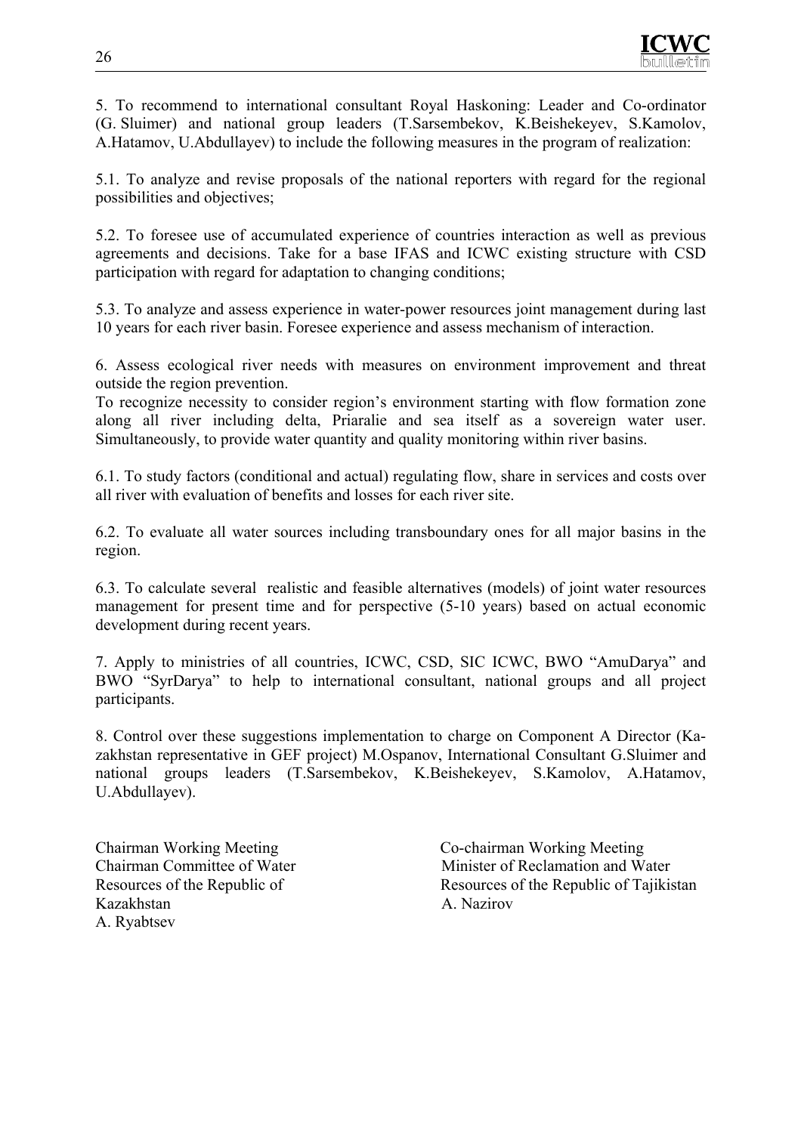5. To recommend to international consultant Royal Haskoning: Leader and Co-ordinator (G. Sluimer) and national group leaders (T.Sarsembekov, K.Beishekeyev, S.Kamolov, A.Hatamov, U.Abdullayev) to include the following measures in the program of realization:

5.1. To analyze and revise proposals of the national reporters with regard for the regional possibilities and objectives;

5.2. To foresee use of accumulated experience of countries interaction as well as previous agreements and decisions. Take for a base IFAS and ICWC existing structure with CSD participation with regard for adaptation to changing conditions;

5.3. To analyze and assess experience in water-power resources joint management during last 10 years for each river basin. Foresee experience and assess mechanism of interaction.

6. Assess ecological river needs with measures on environment improvement and threat outside the region prevention.

To recognize necessity to consider region's environment starting with flow formation zone along all river including delta, Priaralie and sea itself as a sovereign water user. Simultaneously, to provide water quantity and quality monitoring within river basins.

6.1. To study factors (conditional and actual) regulating flow, share in services and costs over all river with evaluation of benefits and losses for each river site.

6.2. To evaluate all water sources including transboundary ones for all major basins in the region.

6.3. To calculate several realistic and feasible alternatives (models) of joint water resources management for present time and for perspective (5-10 years) based on actual economic development during recent years.

7. Apply to ministries of all countries, ICWC, CSD, SIC ICWC, BWO "AmuDarya" and BWO "SyrDarya" to help to international consultant, national groups and all project participants.

8. Control over these suggestions implementation to charge on Component A Director (Kazakhstan representative in GEF project) M.Ospanov, International Consultant G.Sluimer and national groups leaders (T.Sarsembekov, K.Beishekeyev, S.Kamolov, A.Hatamov, U.Abdullayev).

Kazakhstan A. Nazirov A. Ryabtsev

Chairman Working Meeting Co-chairman Working Meeting Chairman Committee of Water Minister of Reclamation and Water Resources of the Republic of Resources of the Republic of Tajikistan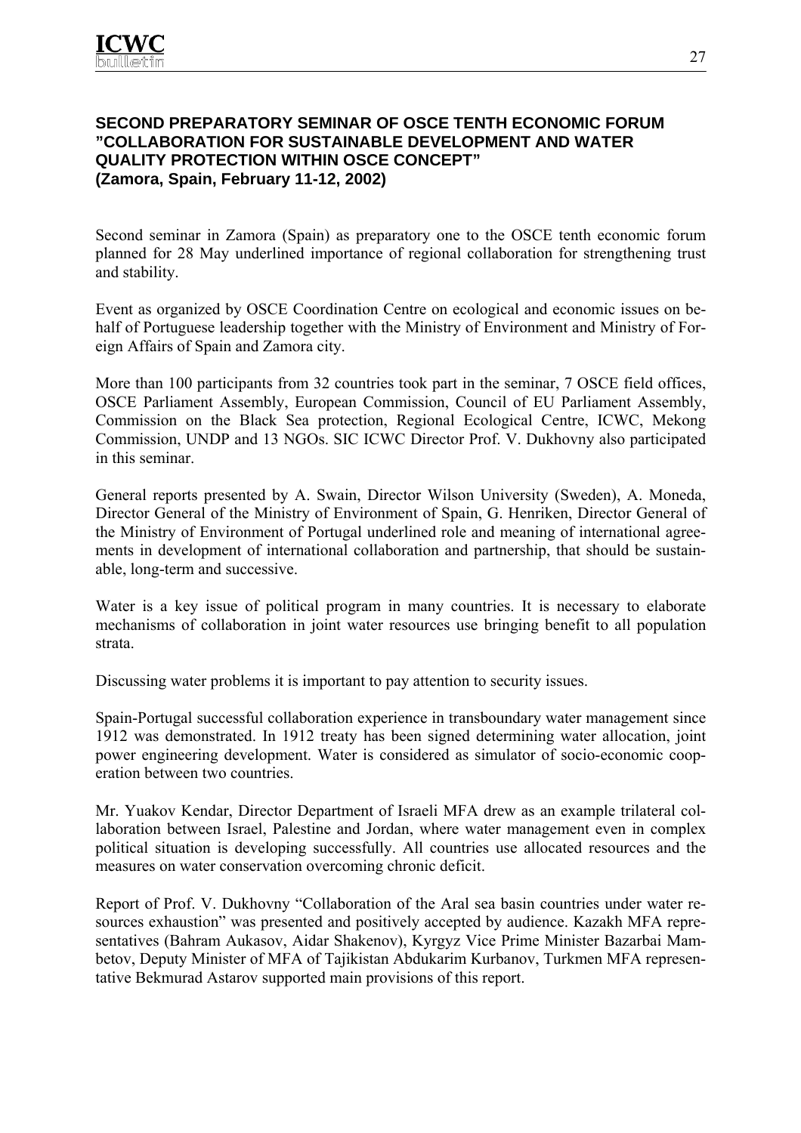## **SECOND PREPARATORY SEMINAR OF OSCE TENTH ECONOMIC FORUM "COLLABORATION FOR SUSTAINABLE DEVELOPMENT AND WATER QUALITY PROTECTION WITHIN OSCE CONCEPT" (Zamora, Spain, February 11-12, 2002)**

Second seminar in Zamora (Spain) as preparatory one to the OSCE tenth economic forum planned for 28 May underlined importance of regional collaboration for strengthening trust and stability.

Event as organized by OSCE Coordination Centre on ecological and economic issues on behalf of Portuguese leadership together with the Ministry of Environment and Ministry of Foreign Affairs of Spain and Zamora city.

More than 100 participants from 32 countries took part in the seminar, 7 OSCE field offices, OSCE Parliament Assembly, European Commission, Council of EU Parliament Assembly, Commission on the Black Sea protection, Regional Ecological Centre, ICWC, Mekong Commission, UNDP and 13 NGOs. SIC ICWC Director Prof. V. Dukhovny also participated in this seminar.

General reports presented by A. Swain, Director Wilson University (Sweden), A. Moneda, Director General of the Ministry of Environment of Spain, G. Henriken, Director General of the Ministry of Environment of Portugal underlined role and meaning of international agreements in development of international collaboration and partnership, that should be sustainable, long-term and successive.

Water is a key issue of political program in many countries. It is necessary to elaborate mechanisms of collaboration in joint water resources use bringing benefit to all population strata.

Discussing water problems it is important to pay attention to security issues.

Spain-Portugal successful collaboration experience in transboundary water management since 1912 was demonstrated. In 1912 treaty has been signed determining water allocation, joint power engineering development. Water is considered as simulator of socio-economic cooperation between two countries.

Mr. Yuakov Kendar, Director Department of Israeli MFA drew as an example trilateral collaboration between Israel, Palestine and Jordan, where water management even in complex political situation is developing successfully. All countries use allocated resources and the measures on water conservation overcoming chronic deficit.

Report of Prof. V. Dukhovny "Collaboration of the Aral sea basin countries under water resources exhaustion" was presented and positively accepted by audience. Kazakh MFA representatives (Bahram Aukasov, Aidar Shakenov), Kyrgyz Vice Prime Minister Bazarbai Mambetov, Deputy Minister of MFA of Tajikistan Abdukarim Kurbanov, Turkmen MFA representative Bekmurad Astarov supported main provisions of this report.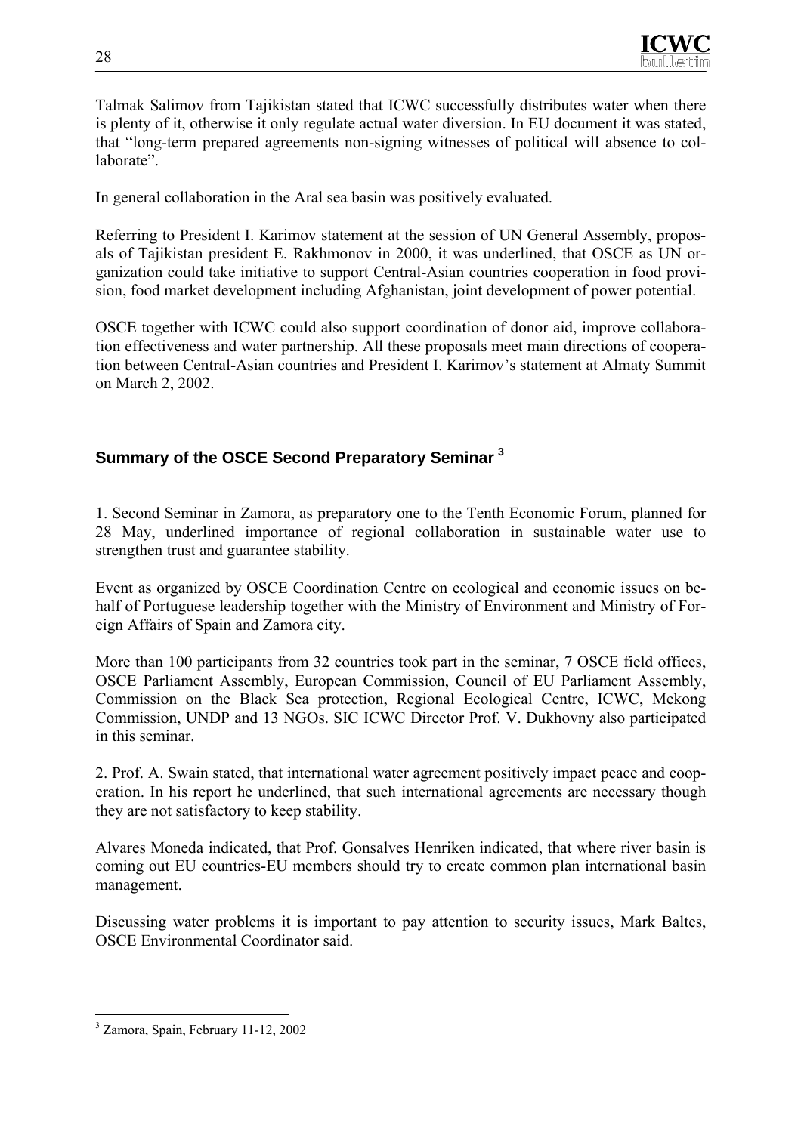

Talmak Salimov from Tajikistan stated that ICWC successfully distributes water when there is plenty of it, otherwise it only regulate actual water diversion. In EU document it was stated, that "long-term prepared agreements non-signing witnesses of political will absence to collaborate".

In general collaboration in the Aral sea basin was positively evaluated.

Referring to President I. Karimov statement at the session of UN General Assembly, proposals of Tajikistan president E. Rakhmonov in 2000, it was underlined, that OSCE as UN organization could take initiative to support Central-Asian countries cooperation in food provision, food market development including Afghanistan, joint development of power potential.

OSCE together with ICWC could also support coordination of donor aid, improve collaboration effectiveness and water partnership. All these proposals meet main directions of cooperation between Central-Asian countries and President I. Karimov's statement at Almaty Summit on March 2, 2002.

## **Summary of the OSCE Second Preparatory Seminar <sup>3</sup>**

1. Second Seminar in Zamora, as preparatory one to the Tenth Economic Forum, planned for 28 May, underlined importance of regional collaboration in sustainable water use to strengthen trust and guarantee stability.

Event as organized by OSCE Coordination Centre on ecological and economic issues on behalf of Portuguese leadership together with the Ministry of Environment and Ministry of Foreign Affairs of Spain and Zamora city.

More than 100 participants from 32 countries took part in the seminar, 7 OSCE field offices, OSCE Parliament Assembly, European Commission, Council of EU Parliament Assembly, Commission on the Black Sea protection, Regional Ecological Centre, ICWC, Mekong Commission, UNDP and 13 NGOs. SIC ICWC Director Prof. V. Dukhovny also participated in this seminar.

2. Prof. A. Swain stated, that international water agreement positively impact peace and cooperation. In his report he underlined, that such international agreements are necessary though they are not satisfactory to keep stability.

Alvares Moneda indicated, that Prof. Gonsalves Henriken indicated, that where river basin is coming out EU countries-EU members should try to create common plan international basin management.

Discussing water problems it is important to pay attention to security issues, Mark Baltes, OSCE Environmental Coordinator said.

 $\overline{a}$ 3 Zamora, Spain, February 11-12, 2002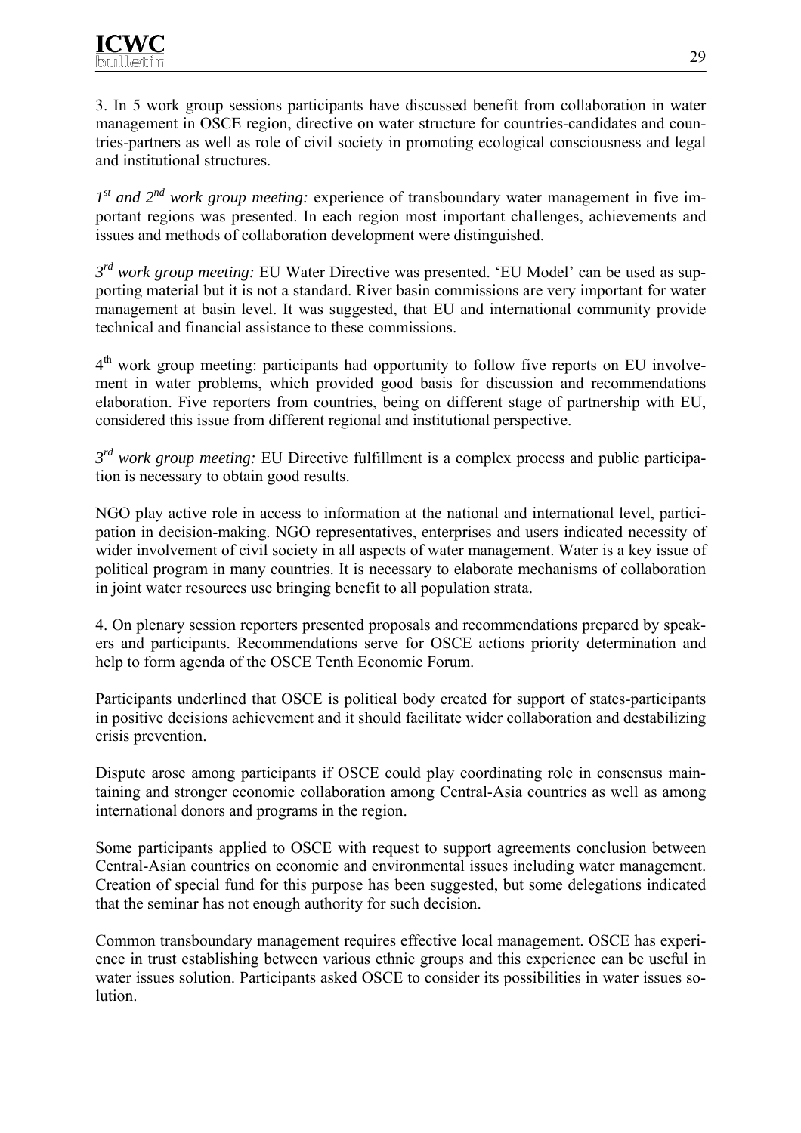3. In 5 work group sessions participants have discussed benefit from collaboration in water management in OSCE region, directive on water structure for countries-candidates and countries-partners as well as role of civil society in promoting ecological consciousness and legal and institutional structures.

*1st and 2nd work group meeting:* experience of transboundary water management in five important regions was presented. In each region most important challenges, achievements and issues and methods of collaboration development were distinguished.

*3rd work group meeting:* EU Water Directive was presented. 'EU Model' can be used as supporting material but it is not a standard. River basin commissions are very important for water management at basin level. It was suggested, that EU and international community provide technical and financial assistance to these commissions.

 $4<sup>th</sup>$  work group meeting: participants had opportunity to follow five reports on EU involvement in water problems, which provided good basis for discussion and recommendations elaboration. Five reporters from countries, being on different stage of partnership with EU, considered this issue from different regional and institutional perspective.

*3rd work group meeting:* EU Directive fulfillment is a complex process and public participation is necessary to obtain good results.

NGO play active role in access to information at the national and international level, participation in decision-making. NGO representatives, enterprises and users indicated necessity of wider involvement of civil society in all aspects of water management. Water is a key issue of political program in many countries. It is necessary to elaborate mechanisms of collaboration in joint water resources use bringing benefit to all population strata.

4. On plenary session reporters presented proposals and recommendations prepared by speakers and participants. Recommendations serve for OSCE actions priority determination and help to form agenda of the OSCE Tenth Economic Forum.

Participants underlined that OSCE is political body created for support of states-participants in positive decisions achievement and it should facilitate wider collaboration and destabilizing crisis prevention.

Dispute arose among participants if OSCE could play coordinating role in consensus maintaining and stronger economic collaboration among Central-Asia countries as well as among international donors and programs in the region.

Some participants applied to OSCE with request to support agreements conclusion between Central-Asian countries on economic and environmental issues including water management. Creation of special fund for this purpose has been suggested, but some delegations indicated that the seminar has not enough authority for such decision.

Common transboundary management requires effective local management. OSCE has experience in trust establishing between various ethnic groups and this experience can be useful in water issues solution. Participants asked OSCE to consider its possibilities in water issues solution.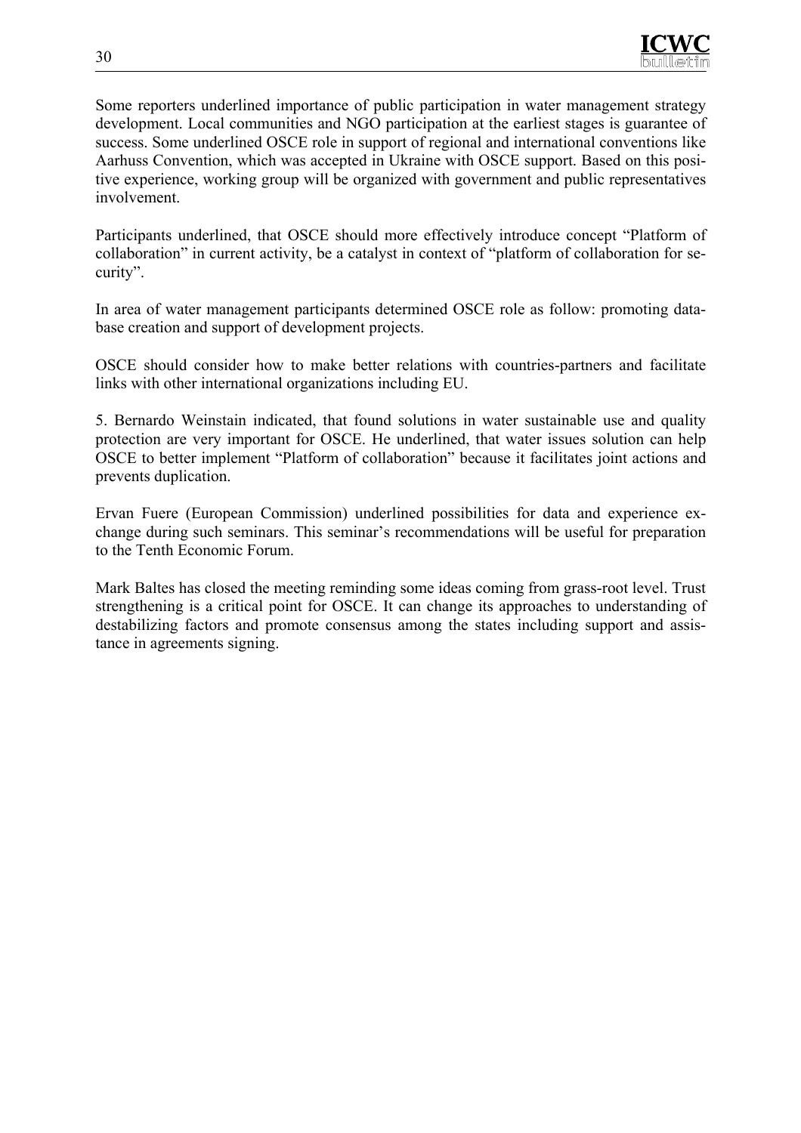

Some reporters underlined importance of public participation in water management strategy development. Local communities and NGO participation at the earliest stages is guarantee of success. Some underlined OSCE role in support of regional and international conventions like Aarhuss Convention, which was accepted in Ukraine with OSCE support. Based on this positive experience, working group will be organized with government and public representatives involvement.

Participants underlined, that OSCE should more effectively introduce concept "Platform of collaboration" in current activity, be a catalyst in context of "platform of collaboration for security".

In area of water management participants determined OSCE role as follow: promoting database creation and support of development projects.

OSCE should consider how to make better relations with countries-partners and facilitate links with other international organizations including EU.

5. Bernardo Weinstain indicated, that found solutions in water sustainable use and quality protection are very important for OSCE. He underlined, that water issues solution can help OSCE to better implement "Platform of collaboration" because it facilitates joint actions and prevents duplication.

Ervan Fuere (European Commission) underlined possibilities for data and experience exchange during such seminars. This seminar's recommendations will be useful for preparation to the Tenth Economic Forum.

Mark Baltes has closed the meeting reminding some ideas coming from grass-root level. Trust strengthening is a critical point for OSCE. It can change its approaches to understanding of destabilizing factors and promote consensus among the states including support and assistance in agreements signing.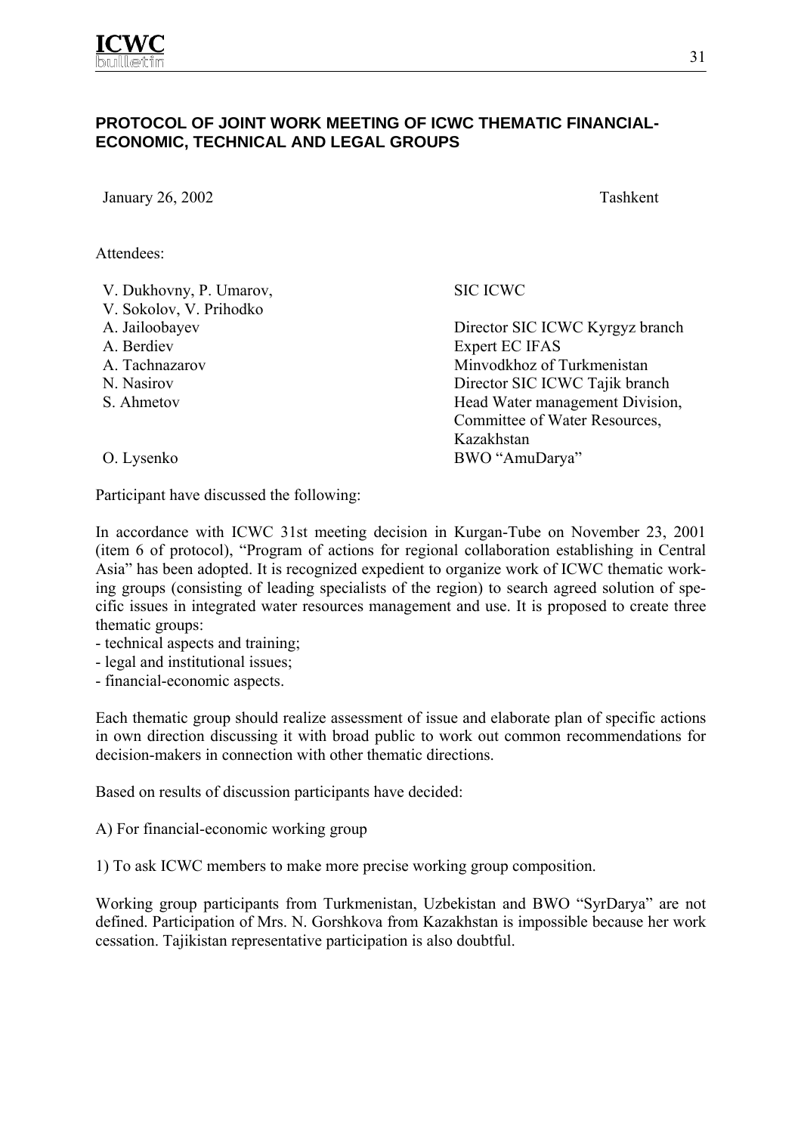## **PROTOCOL OF JOINT WORK MEETING OF ICWC THEMATIC FINANCIAL-ECONOMIC, TECHNICAL AND LEGAL GROUPS**

January 26, 2002 Tashkent

Attendees:

V. Dukhovny, P. Umarov,

V. Sokolov, V. Prihodko

- 
- 
- 
- 
- 

SIC ICWC

A. Jailoobayev Director SIC ICWC Kyrgyz branch A. Berdiev Expert EC IFAS A. Tachnazarov Minvodkhoz of Turkmenistan N. Nasirov Director SIC ICWC Tajik branch S. Ahmetov Head Water management Division, Committee of Water Resources, Kazakhstan O. Lysenko BWO "AmuDarya"

Participant have discussed the following:

In accordance with ICWC 31st meeting decision in Kurgan-Tube on November 23, 2001 (item 6 of protocol), "Program of actions for regional collaboration establishing in Central Asia" has been adopted. It is recognized expedient to organize work of ICWC thematic working groups (consisting of leading specialists of the region) to search agreed solution of specific issues in integrated water resources management and use. It is proposed to create three thematic groups:

- technical aspects and training;

- legal and institutional issues;
- financial-economic aspects.

Each thematic group should realize assessment of issue and elaborate plan of specific actions in own direction discussing it with broad public to work out common recommendations for decision-makers in connection with other thematic directions.

Based on results of discussion participants have decided:

A) For financial-economic working group

1) To ask ICWC members to make more precise working group composition.

Working group participants from Turkmenistan, Uzbekistan and BWO "SyrDarya" are not defined. Participation of Mrs. N. Gorshkova from Kazakhstan is impossible because her work cessation. Tajikistan representative participation is also doubtful.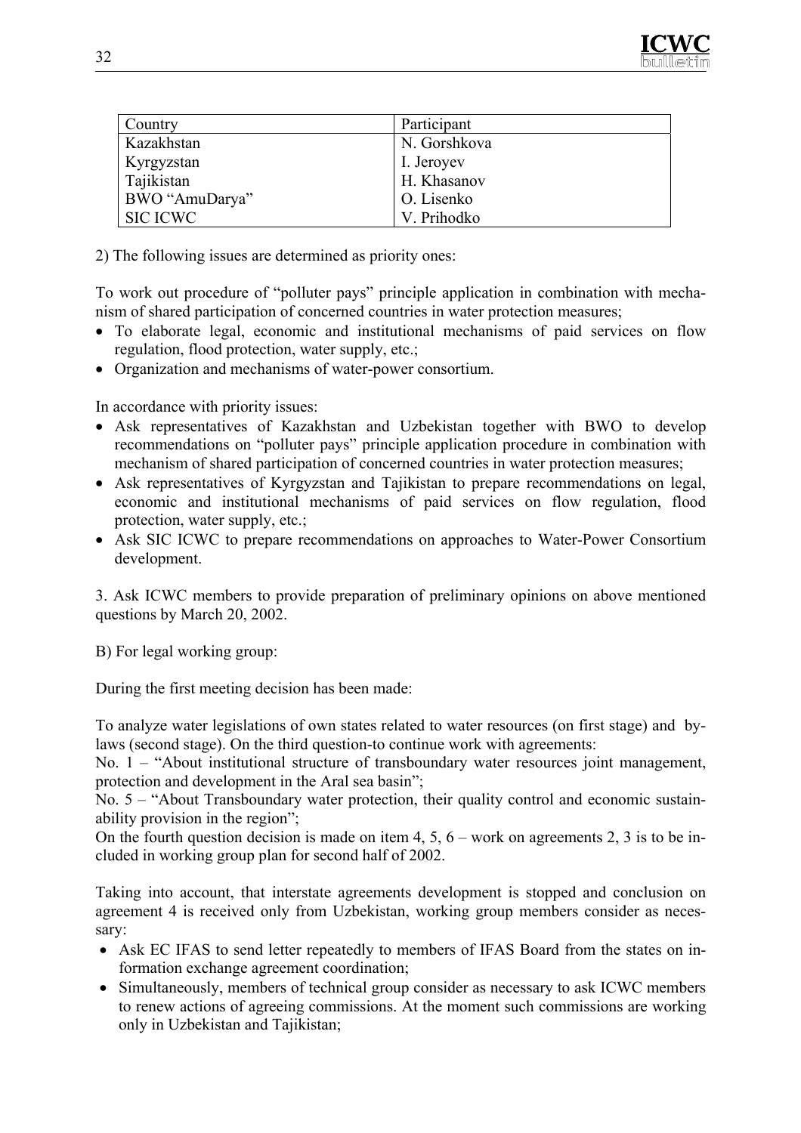

| <b>Country</b>    | Participant  |
|-------------------|--------------|
| Kazakhstan        | N. Gorshkova |
| <b>Kyrgyzstan</b> | I. Jeroyev   |
| Tajikistan        | H. Khasanov  |
| BWO "AmuDarya"    | O. Lisenko   |
| <b>SIC ICWC</b>   | V. Prihodko  |

2) The following issues are determined as priority ones:

To work out procedure of "polluter pays" principle application in combination with mechanism of shared participation of concerned countries in water protection measures;

- To elaborate legal, economic and institutional mechanisms of paid services on flow regulation, flood protection, water supply, etc.;
- Organization and mechanisms of water-power consortium.

In accordance with priority issues:

- Ask representatives of Kazakhstan and Uzbekistan together with BWO to develop recommendations on "polluter pays" principle application procedure in combination with mechanism of shared participation of concerned countries in water protection measures;
- Ask representatives of Kyrgyzstan and Tajikistan to prepare recommendations on legal, economic and institutional mechanisms of paid services on flow regulation, flood protection, water supply, etc.;
- Ask SIC ICWC to prepare recommendations on approaches to Water-Power Consortium development.

3. Ask ICWC members to provide preparation of preliminary opinions on above mentioned questions by March 20, 2002.

B) For legal working group:

During the first meeting decision has been made:

To analyze water legislations of own states related to water resources (on first stage) and bylaws (second stage). On the third question-to continue work with agreements:

No. 1 – "About institutional structure of transboundary water resources joint management, protection and development in the Aral sea basin";

No. 5 – "About Transboundary water protection, their quality control and economic sustainability provision in the region";

On the fourth question decision is made on item 4, 5,  $6$  – work on agreements 2, 3 is to be included in working group plan for second half of 2002.

Taking into account, that interstate agreements development is stopped and conclusion on agreement 4 is received only from Uzbekistan, working group members consider as necessary:

- Ask EC IFAS to send letter repeatedly to members of IFAS Board from the states on information exchange agreement coordination;
- Simultaneously, members of technical group consider as necessary to ask ICWC members to renew actions of agreeing commissions. At the moment such commissions are working only in Uzbekistan and Tajikistan;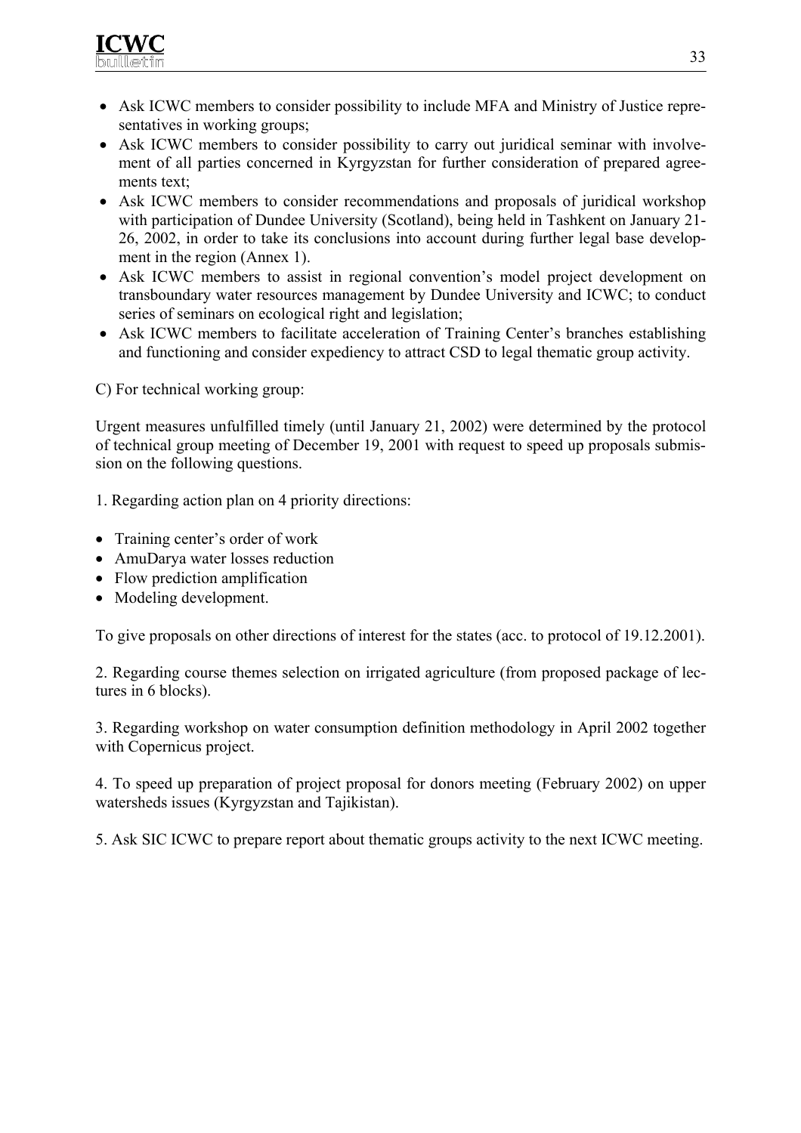

- Ask ICWC members to consider possibility to include MFA and Ministry of Justice representatives in working groups;
- Ask ICWC members to consider possibility to carry out juridical seminar with involvement of all parties concerned in Kyrgyzstan for further consideration of prepared agreements text;
- Ask ICWC members to consider recommendations and proposals of juridical workshop with participation of Dundee University (Scotland), being held in Tashkent on January 21- 26, 2002, in order to take its conclusions into account during further legal base development in the region (Annex 1).
- Ask ICWC members to assist in regional convention's model project development on transboundary water resources management by Dundee University and ICWC; to conduct series of seminars on ecological right and legislation;
- Ask ICWC members to facilitate acceleration of Training Center's branches establishing and functioning and consider expediency to attract CSD to legal thematic group activity.

C) For technical working group:

Urgent measures unfulfilled timely (until January 21, 2002) were determined by the protocol of technical group meeting of December 19, 2001 with request to speed up proposals submission on the following questions.

1. Regarding action plan on 4 priority directions:

- Training center's order of work
- AmuDarya water losses reduction
- Flow prediction amplification
- Modeling development.

To give proposals on other directions of interest for the states (acc. to protocol of 19.12.2001).

2. Regarding course themes selection on irrigated agriculture (from proposed package of lectures in 6 blocks).

3. Regarding workshop on water consumption definition methodology in April 2002 together with Copernicus project.

4. To speed up preparation of project proposal for donors meeting (February 2002) on upper watersheds issues (Kyrgyzstan and Tajikistan).

5. Ask SIC ICWC to prepare report about thematic groups activity to the next ICWC meeting.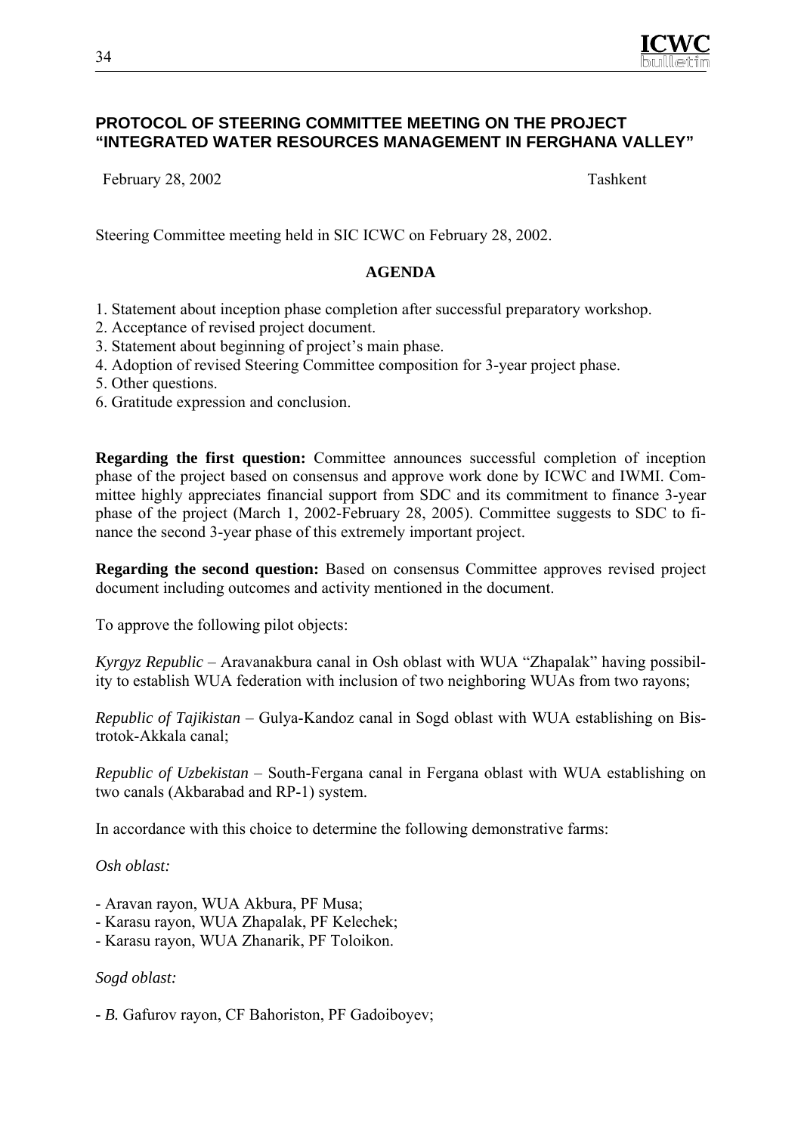

### **PROTOCOL OF STEERING COMMITTEE MEETING ON THE PROJECT "INTEGRATED WATER RESOURCES MANAGEMENT IN FERGHANA VALLEY"**

February 28, 2002 Tashkent

Steering Committee meeting held in SIC ICWC on February 28, 2002.

#### **AGENDA**

- 1. Statement about inception phase completion after successful preparatory workshop.
- 2. Acceptance of revised project document.
- 3. Statement about beginning of project's main phase.
- 4. Adoption of revised Steering Committee composition for 3-year project phase.
- 5. Other questions.
- 6. Gratitude expression and conclusion.

**Regarding the first question:** Committee announces successful completion of inception phase of the project based on consensus and approve work done by ICWC and IWMI. Committee highly appreciates financial support from SDC and its commitment to finance 3-year phase of the project (March 1, 2002-February 28, 2005). Committee suggests to SDC to finance the second 3-year phase of this extremely important project.

**Regarding the second question:** Based on consensus Committee approves revised project document including outcomes and activity mentioned in the document.

To approve the following pilot objects:

*Kyrgyz Republic* – Aravanakbura canal in Osh oblast with WUA "Zhapalak" having possibility to establish WUA federation with inclusion of two neighboring WUAs from two rayons;

*Republic of Tajikistan* – Gulya-Kandoz canal in Sogd oblast with WUA establishing on Bistrotok-Akkala canal;

*Republic of Uzbekistan* – South-Fergana canal in Fergana oblast with WUA establishing on two canals (Akbarabad and RP-1) system.

In accordance with this choice to determine the following demonstrative farms:

*Osh oblast:* 

- Aravan rayon, WUA Akbura, PF Musa;
- Karasu rayon, WUA Zhapalak, PF Kelechek;
- Karasu rayon, WUA Zhanarik, PF Toloikon.

## *Sogd oblast:*

*- B.* Gafurov rayon, CF Bahoriston, PF Gadoiboyev;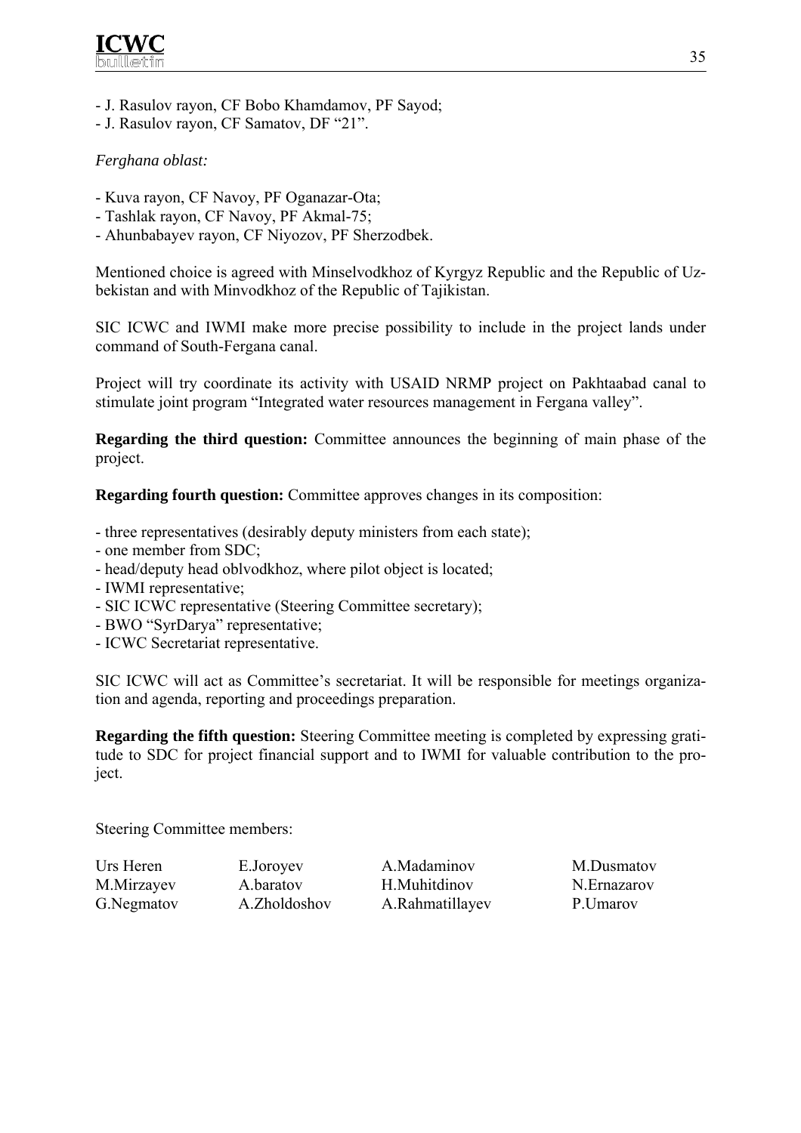

- J. Rasulov rayon, CF Bobo Khamdamov, PF Sayod;
- J. Rasulov rayon, CF Samatov, DF "21".

## *Ferghana oblast:*

- Kuva rayon, CF Navoy, PF Oganazar-Ota;
- Tashlak rayon, CF Navoy, PF Akmal-75;
- Ahunbabayev rayon, CF Niyozov, PF Sherzodbek.

Mentioned choice is agreed with Minselvodkhoz of Kyrgyz Republic and the Republic of Uzbekistan and with Minvodkhoz of the Republic of Tajikistan.

SIC ICWC and IWMI make more precise possibility to include in the project lands under command of South-Fergana canal.

Project will try coordinate its activity with USAID NRMP project on Pakhtaabad canal to stimulate joint program "Integrated water resources management in Fergana valley".

**Regarding the third question:** Committee announces the beginning of main phase of the project.

**Regarding fourth question:** Committee approves changes in its composition:

- three representatives (desirably deputy ministers from each state);
- one member from SDC;
- head/deputy head oblvodkhoz, where pilot object is located;
- IWMI representative;
- SIC ICWC representative (Steering Committee secretary);
- BWO "SyrDarya" representative;
- ICWC Secretariat representative.

SIC ICWC will act as Committee's secretariat. It will be responsible for meetings organization and agenda, reporting and proceedings preparation.

**Regarding the fifth question:** Steering Committee meeting is completed by expressing gratitude to SDC for project financial support and to IWMI for valuable contribution to the project.

Steering Committee members:

| Urs Heren  | E.Joroyev    | A.Madaminov     | M.Dusmatov  |
|------------|--------------|-----------------|-------------|
| M.Mirzayev | A.baratov    | H.Muhitdinov    | N.Ernazarov |
| G.Negmatov | A.Zholdoshov | A.Rahmatillayev | P.Umarov    |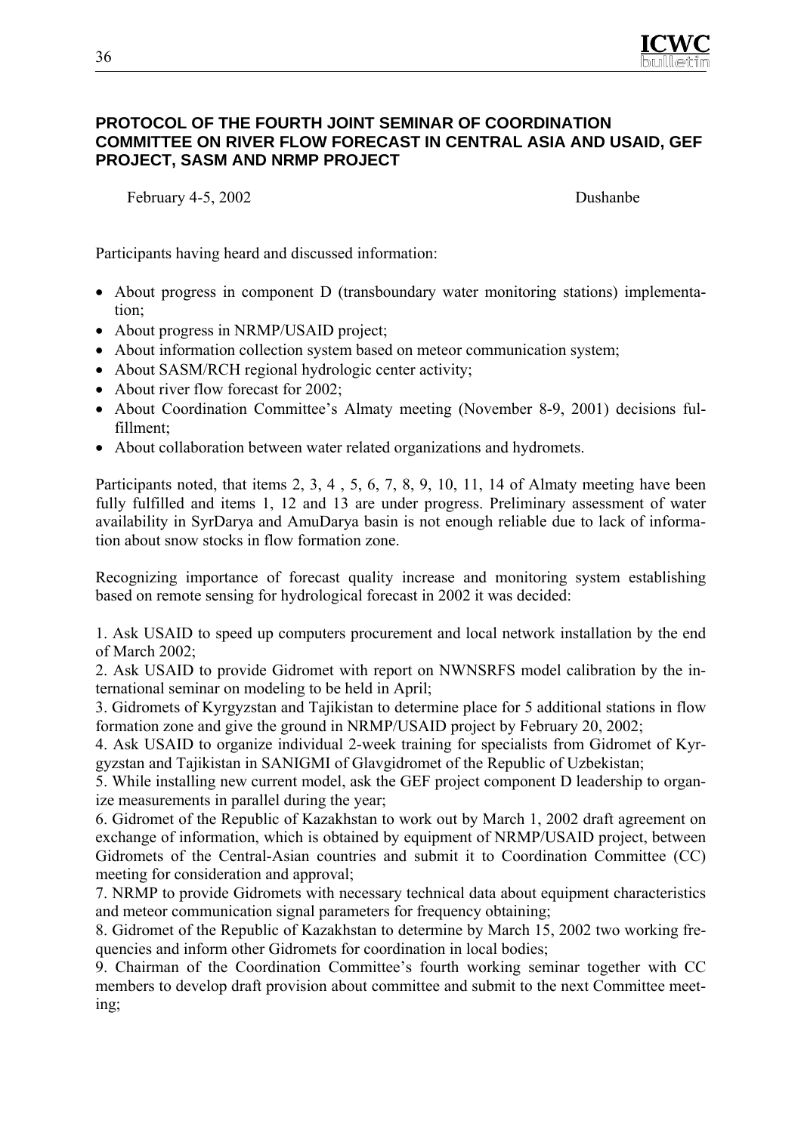

## **PROTOCOL OF THE FOURTH JOINT SEMINAR OF COORDINATION COMMITTEE ON RIVER FLOW FORECAST IN CENTRAL ASIA AND USAID, GEF PROJECT, SASM AND NRMP PROJECT**

February 4-5, 2002 Dushanbe

Participants having heard and discussed information:

- About progress in component D (transboundary water monitoring stations) implementation;
- About progress in NRMP/USAID project;
- About information collection system based on meteor communication system;
- About SASM/RCH regional hydrologic center activity;
- About river flow forecast for 2002;
- About Coordination Committee's Almaty meeting (November 8-9, 2001) decisions fulfillment;
- About collaboration between water related organizations and hydromets.

Participants noted, that items 2, 3, 4 , 5, 6, 7, 8, 9, 10, 11, 14 of Almaty meeting have been fully fulfilled and items 1, 12 and 13 are under progress. Preliminary assessment of water availability in SyrDarya and AmuDarya basin is not enough reliable due to lack of information about snow stocks in flow formation zone.

Recognizing importance of forecast quality increase and monitoring system establishing based on remote sensing for hydrological forecast in 2002 it was decided:

1. Ask USAID to speed up computers procurement and local network installation by the end of March 2002;

2. Ask USAID to provide Gidromet with report on NWNSRFS model calibration by the international seminar on modeling to be held in April;

3. Gidromets of Kyrgyzstan and Tajikistan to determine place for 5 additional stations in flow formation zone and give the ground in NRMP/USAID project by February 20, 2002;

4. Ask USAID to organize individual 2-week training for specialists from Gidromet of Kyrgyzstan and Tajikistan in SANIGMI of Glavgidromet of the Republic of Uzbekistan;

5. While installing new current model, ask the GEF project component D leadership to organize measurements in parallel during the year;

6. Gidromet of the Republic of Kazakhstan to work out by March 1, 2002 draft agreement on exchange of information, which is obtained by equipment of NRMP/USAID project, between Gidromets of the Central-Asian countries and submit it to Coordination Committee (CC) meeting for consideration and approval;

7. NRMP to provide Gidromets with necessary technical data about equipment characteristics and meteor communication signal parameters for frequency obtaining;

8. Gidromet of the Republic of Kazakhstan to determine by March 15, 2002 two working frequencies and inform other Gidromets for coordination in local bodies;

9. Chairman of the Coordination Committee's fourth working seminar together with CC members to develop draft provision about committee and submit to the next Committee meeting;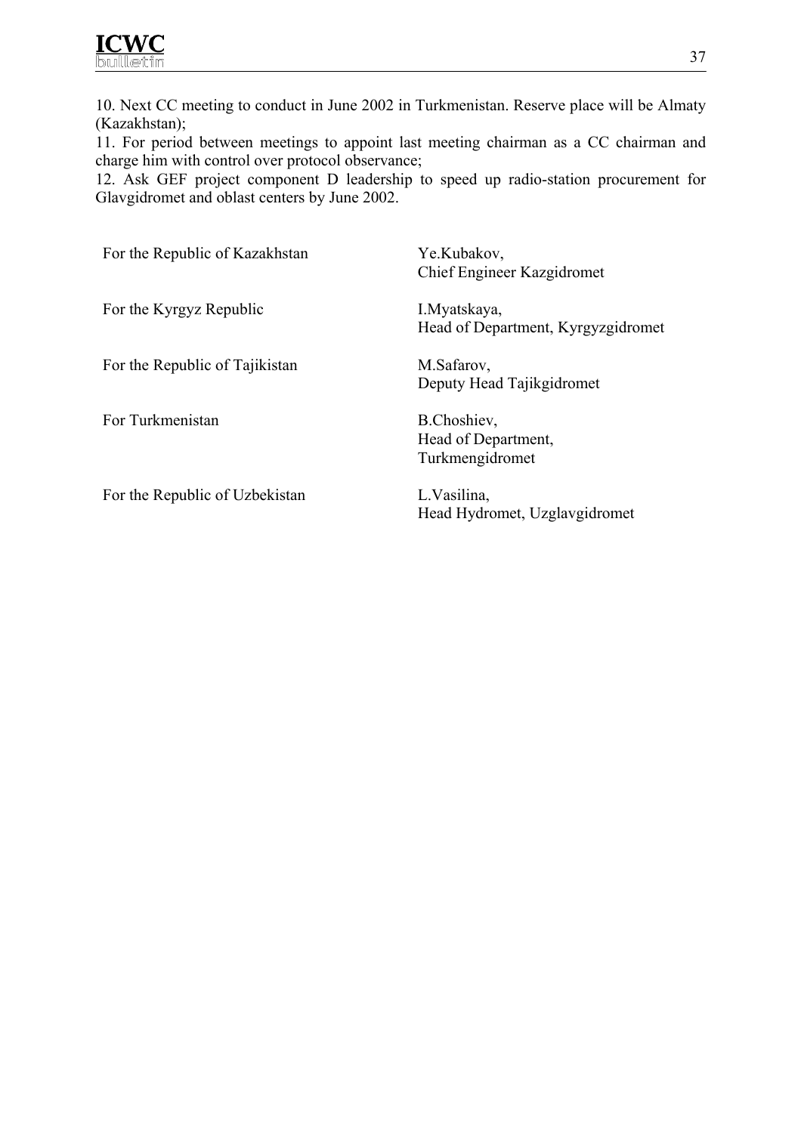10. Next CC meeting to conduct in June 2002 in Turkmenistan. Reserve place will be Almaty (Kazakhstan);

11. For period between meetings to appoint last meeting chairman as a CC chairman and charge him with control over protocol observance;

12. Ask GEF project component D leadership to speed up radio-station procurement for Glavgidromet and oblast centers by June 2002.

| For the Republic of Kazakhstan | Ye.Kubakov,<br>Chief Engineer Kazgidromet             |
|--------------------------------|-------------------------------------------------------|
| For the Kyrgyz Republic        | I. Myatskaya,<br>Head of Department, Kyrgyzgidromet   |
| For the Republic of Tajikistan | M.Safarov,<br>Deputy Head Tajikgidromet               |
| For Turkmenistan               | B.Choshiev,<br>Head of Department,<br>Turkmengidromet |
| For the Republic of Uzbekistan | L.Vasilina,                                           |

Head Hydromet, Uzglavgidromet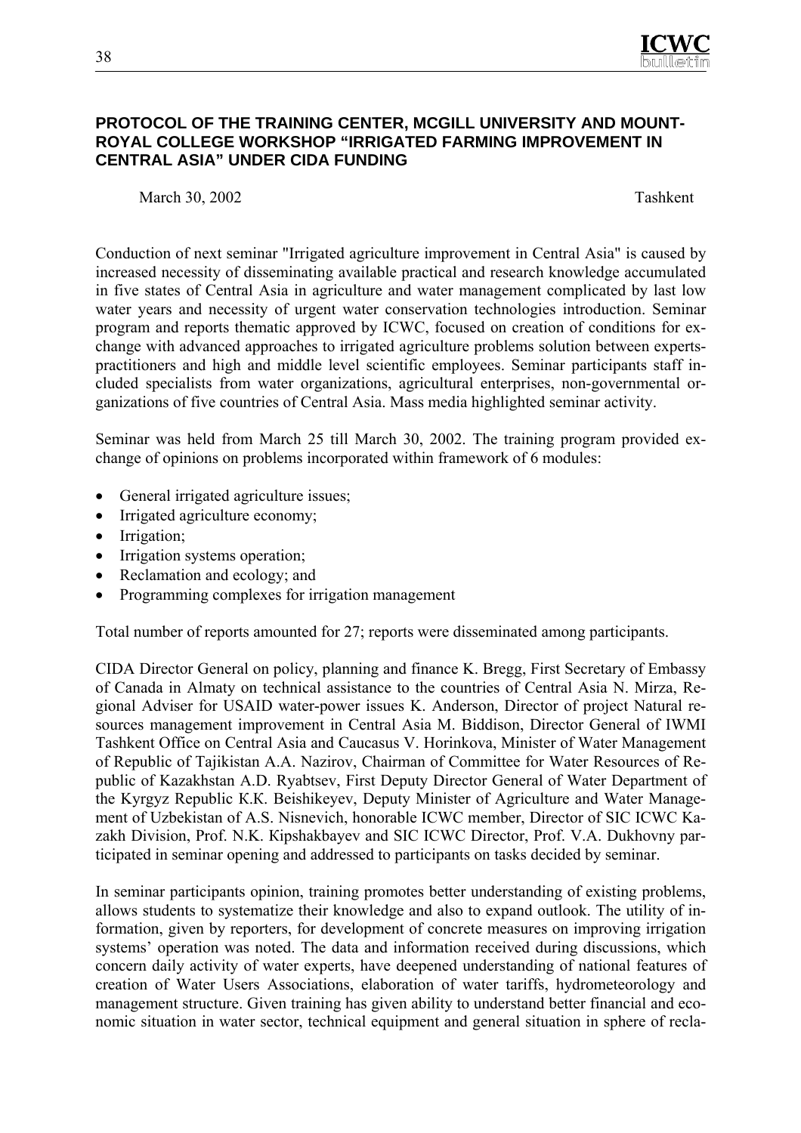

## **PROTOCOL OF THE TRAINING CENTER, MCGILL UNIVERSITY AND MOUNT-ROYAL COLLEGE WORKSHOP "IRRIGATED FARMING IMPROVEMENT IN CENTRAL ASIA" UNDER CIDA FUNDING**

March 30, 2002 Tashkent

Conduction of next seminar "Irrigated agriculture improvement in Central Asia" is caused by increased necessity of disseminating available practical and research knowledge accumulated in five states of Central Asia in agriculture and water management complicated by last low water years and necessity of urgent water conservation technologies introduction. Seminar program and reports thematic approved by ICWC, focused on creation of conditions for exchange with advanced approaches to irrigated agriculture problems solution between expertspractitioners and high and middle level scientific employees. Seminar participants staff included specialists from water organizations, agricultural enterprises, non-governmental organizations of five countries of Central Asia. Mass media highlighted seminar activity.

Seminar was held from March 25 till March 30, 2002. The training program provided exchange of opinions on problems incorporated within framework of 6 modules:

- General irrigated agriculture issues;
- Irrigated agriculture economy;
- Irrigation;
- Irrigation systems operation;
- Reclamation and ecology; and
- Programming complexes for irrigation management

Total number of reports amounted for 27; reports were disseminated among participants.

СIDA Director General on policy, planning and finance K. Bregg, First Secretary of Embassy of Canada in Almaty on technical assistance to the countries of Central Asia N. Mirza, Regional Adviser for USAID water-power issues K. Anderson, Director of project Natural resources management improvement in Central Asia M. Biddison, Director General of IWMI Tashkent Office on Central Asia and Caucasus V. Horinkova, Minister of Water Management of Republic of Tajikistan А.А. Nazirov, Chairman of Committee for Water Resources of Republic of Kazakhstan А.D. Ryabtsev, First Deputy Director General of Water Department of the Kyrgyz Republic К.К. Beishikeyev, Deputy Minister of Agriculture and Water Management of Uzbekistan of A.S. Nisnevich, honorable ICWC member, Director of SIC ICWC Kazakh Division, Prof. N.K. Kipshakbayev and SIC ICWC Director, Prof. V.A. Dukhovny participated in seminar opening and addressed to participants on tasks decided by seminar.

In seminar participants opinion, training promotes better understanding of existing problems, allows students to systematize their knowledge and also to expand outlook. The utility of information, given by reporters, for development of concrete measures on improving irrigation systems' operation was noted. The data and information received during discussions, which concern daily activity of water experts, have deepened understanding of national features of creation of Water Users Associations, elaboration of water tariffs, hydrometeorology and management structure. Given training has given ability to understand better financial and economic situation in water sector, technical equipment and general situation in sphere of recla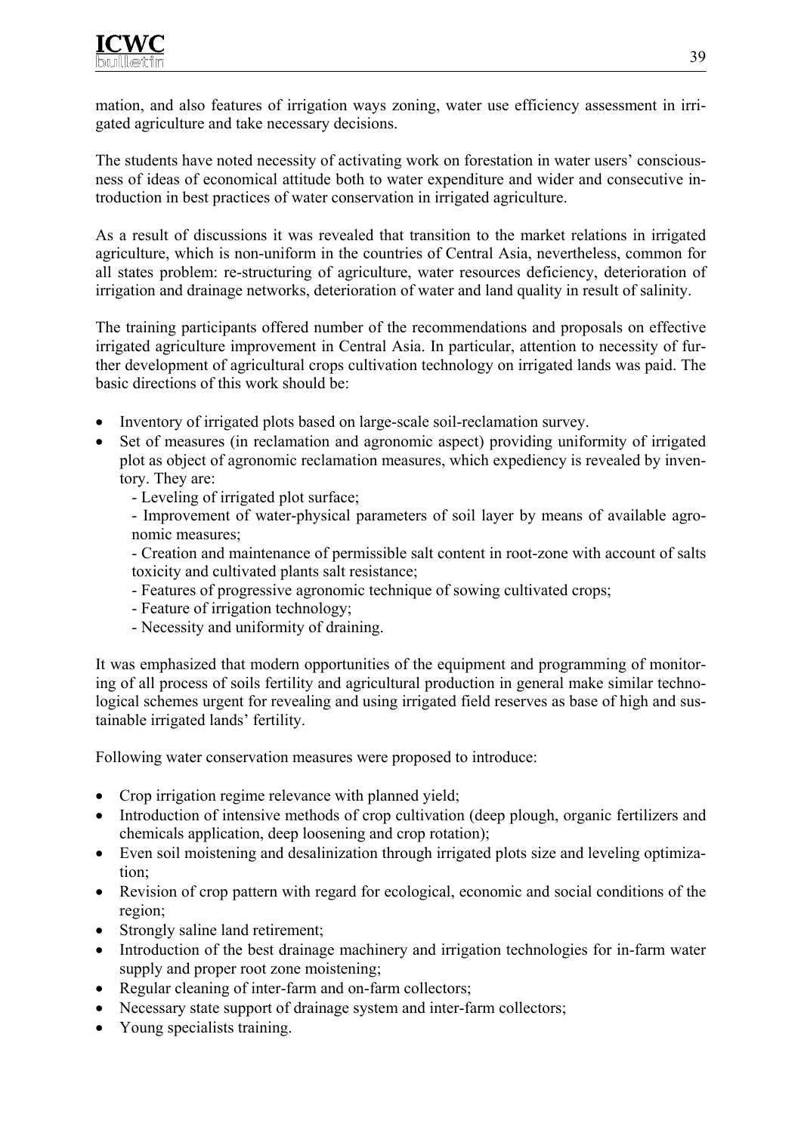mation, and also features of irrigation ways zoning, water use efficiency assessment in irrigated agriculture and take necessary decisions.

The students have noted necessity of activating work on forestation in water users' consciousness of ideas of economical attitude both to water expenditure and wider and consecutive introduction in best practices of water conservation in irrigated agriculture.

As a result of discussions it was revealed that transition to the market relations in irrigated agriculture, which is non-uniform in the countries of Central Asia, nevertheless, common for all states problem: re-structuring of agriculture, water resources deficiency, deterioration of irrigation and drainage networks, deterioration of water and land quality in result of salinity.

The training participants offered number of the recommendations and proposals on effective irrigated agriculture improvement in Central Asia. In particular, attention to necessity of further development of agricultural crops cultivation technology on irrigated lands was paid. The basic directions of this work should be:

- Inventory of irrigated plots based on large-scale soil-reclamation survey.
- Set of measures (in reclamation and agronomic aspect) providing uniformity of irrigated plot as object of agronomic reclamation measures, which expediency is revealed by inventory. They are:
	- Leveling of irrigated plot surface;
	- Improvement of water-physical parameters of soil layer by means of available agronomic measures;

- Creation and maintenance of permissible salt content in root-zone with account of salts toxicity and cultivated plants salt resistance;

- Features of progressive agronomic technique of sowing cultivated crops;
- Feature of irrigation technology;
- Necessity and uniformity of draining.

It was emphasized that modern opportunities of the equipment and programming of monitoring of all process of soils fertility and agricultural production in general make similar technological schemes urgent for revealing and using irrigated field reserves as base of high and sustainable irrigated lands' fertility.

Following water conservation measures were proposed to introduce:

- Crop irrigation regime relevance with planned yield;
- Introduction of intensive methods of crop cultivation (deep plough, organic fertilizers and chemicals application, deep loosening and crop rotation);
- Even soil moistening and desalinization through irrigated plots size and leveling optimization;
- Revision of crop pattern with regard for ecological, economic and social conditions of the region;
- Strongly saline land retirement;
- Introduction of the best drainage machinery and irrigation technologies for in-farm water supply and proper root zone moistening;
- Regular cleaning of inter-farm and on-farm collectors;
- Necessary state support of drainage system and inter-farm collectors;
- Young specialists training.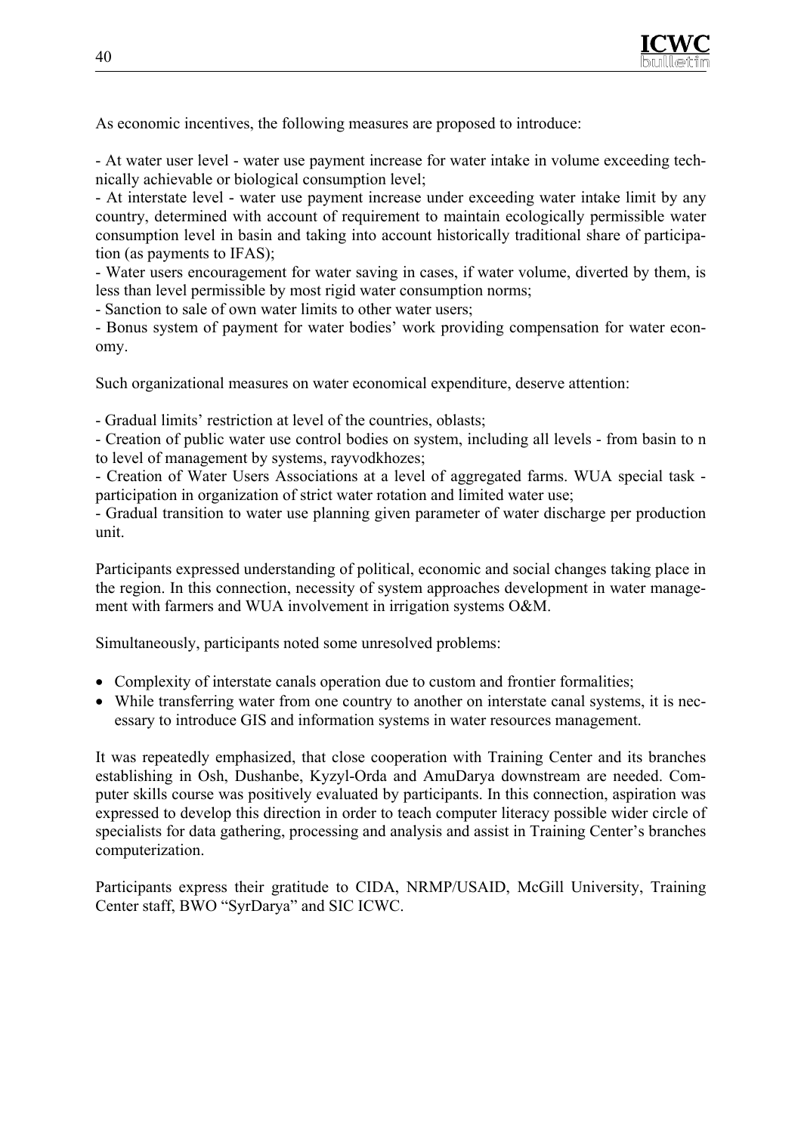

As economic incentives, the following measures are proposed to introduce:

- At water user level - water use payment increase for water intake in volume exceeding technically achievable or biological consumption level;

- At interstate level - water use payment increase under exceeding water intake limit by any country, determined with account of requirement to maintain ecologically permissible water consumption level in basin and taking into account historically traditional share of participation (as payments to IFAS);

- Water users encouragement for water saving in cases, if water volume, diverted by them, is less than level permissible by most rigid water consumption norms;

- Sanction to sale of own water limits to other water users;

- Bonus system of payment for water bodies' work providing compensation for water economy.

Such organizational measures on water economical expenditure, deserve attention:

- Gradual limits' restriction at level of the countries, oblasts;

- Creation of public water use control bodies on system, including all levels - from basin to n to level of management by systems, rayvodkhozes;

- Creation of Water Users Associations at a level of aggregated farms. WUA special task participation in organization of strict water rotation and limited water use;

- Gradual transition to water use planning given parameter of water discharge per production unit.

Participants expressed understanding of political, economic and social changes taking place in the region. In this connection, necessity of system approaches development in water management with farmers and WUA involvement in irrigation systems O&M.

Simultaneously, participants noted some unresolved problems:

- Complexity of interstate canals operation due to custom and frontier formalities;
- While transferring water from one country to another on interstate canal systems, it is necessary to introduce GIS and information systems in water resources management.

It was repeatedly emphasized, that close cooperation with Training Center and its branches establishing in Osh, Dushanbe, Kyzyl-Orda and AmuDarya downstream are needed. Computer skills course was positively evaluated by participants. In this connection, aspiration was expressed to develop this direction in order to teach computer literacy possible wider circle of specialists for data gathering, processing and analysis and assist in Training Center's branches computerization.

Participants express their gratitude to CIDA, NRMP/USAID, McGill University, Training Center staff, BWO "SyrDarya" and SIC ICWC.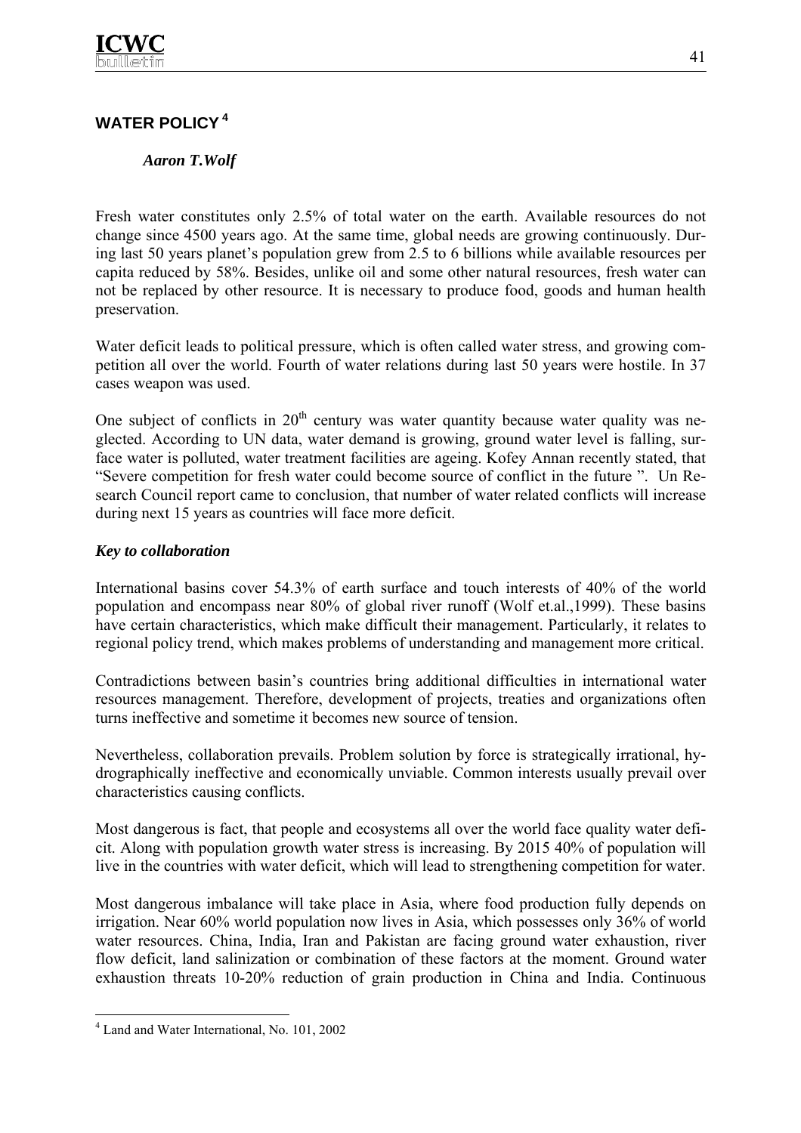## **WATER POLICY<sup>4</sup>**

## *Aaron T.Wolf*

Fresh water constitutes only 2.5% of total water on the earth. Available resources do not change since 4500 years ago. At the same time, global needs are growing continuously. During last 50 years planet's population grew from 2.5 to 6 billions while available resources per capita reduced by 58%. Besides, unlike oil and some other natural resources, fresh water can not be replaced by other resource. It is necessary to produce food, goods and human health preservation.

Water deficit leads to political pressure, which is often called water stress, and growing competition all over the world. Fourth of water relations during last 50 years were hostile. In 37 cases weapon was used.

One subject of conflicts in  $20<sup>th</sup>$  century was water quantity because water quality was neglected. According to UN data, water demand is growing, ground water level is falling, surface water is polluted, water treatment facilities are ageing. Kofey Annan recently stated, that "Severe competition for fresh water could become source of conflict in the future ". Un Research Council report came to conclusion, that number of water related conflicts will increase during next 15 years as countries will face more deficit.

## *Key to collaboration*

International basins cover 54.3% of earth surface and touch interests of 40% of the world population and encompass near 80% of global river runoff (Wolf et.al.,1999). These basins have certain characteristics, which make difficult their management. Particularly, it relates to regional policy trend, which makes problems of understanding and management more critical.

Contradictions between basin's countries bring additional difficulties in international water resources management. Therefore, development of projects, treaties and organizations often turns ineffective and sometime it becomes new source of tension.

Nevertheless, collaboration prevails. Problem solution by force is strategically irrational, hydrographically ineffective and economically unviable. Common interests usually prevail over characteristics causing conflicts.

Most dangerous is fact, that people and ecosystems all over the world face quality water deficit. Along with population growth water stress is increasing. By 2015 40% of population will live in the countries with water deficit, which will lead to strengthening competition for water.

Most dangerous imbalance will take place in Asia, where food production fully depends on irrigation. Near 60% world population now lives in Asia, which possesses only 36% of world water resources. China, India, Iran and Pakistan are facing ground water exhaustion, river flow deficit, land salinization or combination of these factors at the moment. Ground water exhaustion threats 10-20% reduction of grain production in China and India. Continuous

 $\overline{a}$ 

<sup>4</sup> Land and Water International, No. 101, 2002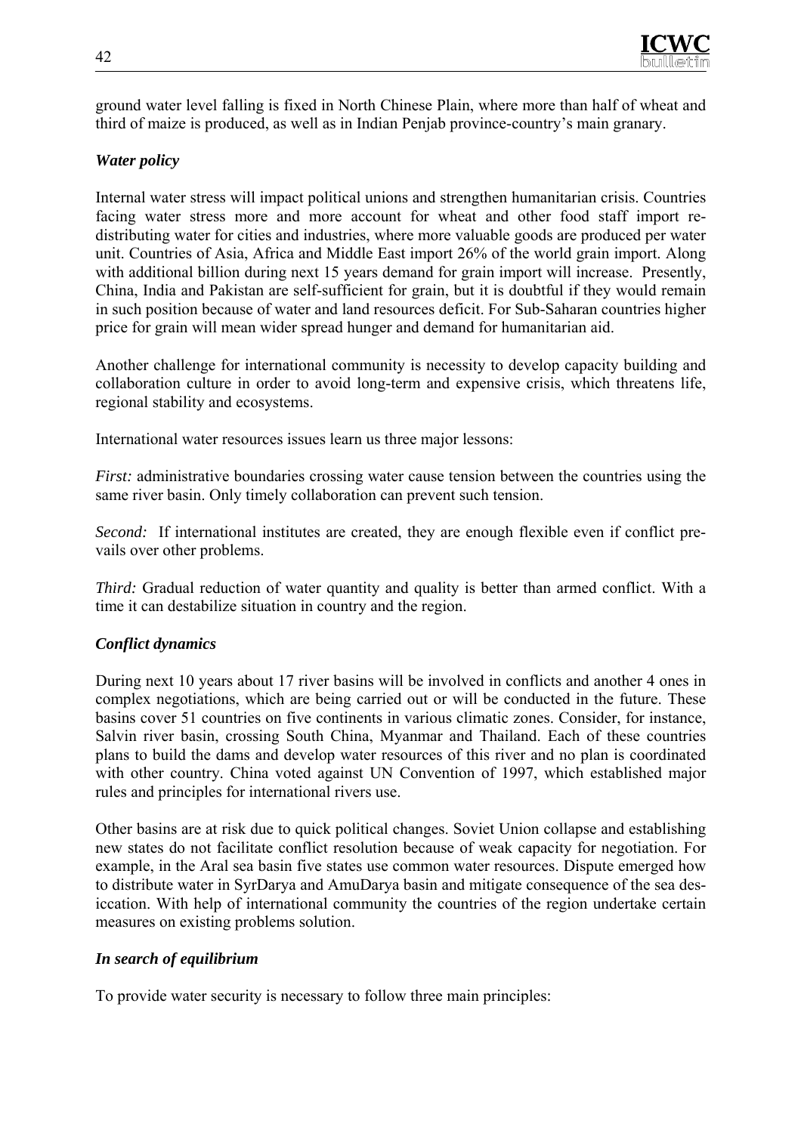

ground water level falling is fixed in North Chinese Plain, where more than half of wheat and third of maize is produced, as well as in Indian Penjab province-country's main granary.

## *Water policy*

Internal water stress will impact political unions and strengthen humanitarian crisis. Countries facing water stress more and more account for wheat and other food staff import redistributing water for cities and industries, where more valuable goods are produced per water unit. Countries of Asia, Africa and Middle East import 26% of the world grain import. Along with additional billion during next 15 years demand for grain import will increase. Presently, China, India and Pakistan are self-sufficient for grain, but it is doubtful if they would remain in such position because of water and land resources deficit. For Sub-Saharan countries higher price for grain will mean wider spread hunger and demand for humanitarian aid.

Another challenge for international community is necessity to develop capacity building and collaboration culture in order to avoid long-term and expensive crisis, which threatens life, regional stability and ecosystems.

International water resources issues learn us three major lessons:

*First:* administrative boundaries crossing water cause tension between the countries using the same river basin. Only timely collaboration can prevent such tension.

*Second:* If international institutes are created, they are enough flexible even if conflict prevails over other problems.

*Third:* Gradual reduction of water quantity and quality is better than armed conflict. With a time it can destabilize situation in country and the region.

## *Conflict dynamics*

During next 10 years about 17 river basins will be involved in conflicts and another 4 ones in complex negotiations, which are being carried out or will be conducted in the future. These basins cover 51 countries on five continents in various climatic zones. Consider, for instance, Salvin river basin, crossing South China, Myanmar and Thailand. Each of these countries plans to build the dams and develop water resources of this river and no plan is coordinated with other country. China voted against UN Convention of 1997, which established major rules and principles for international rivers use.

Other basins are at risk due to quick political changes. Soviet Union collapse and establishing new states do not facilitate conflict resolution because of weak capacity for negotiation. For example, in the Aral sea basin five states use common water resources. Dispute emerged how to distribute water in SyrDarya and AmuDarya basin and mitigate consequence of the sea desiccation. With help of international community the countries of the region undertake certain measures on existing problems solution.

## *In search of equilibrium*

To provide water security is necessary to follow three main principles: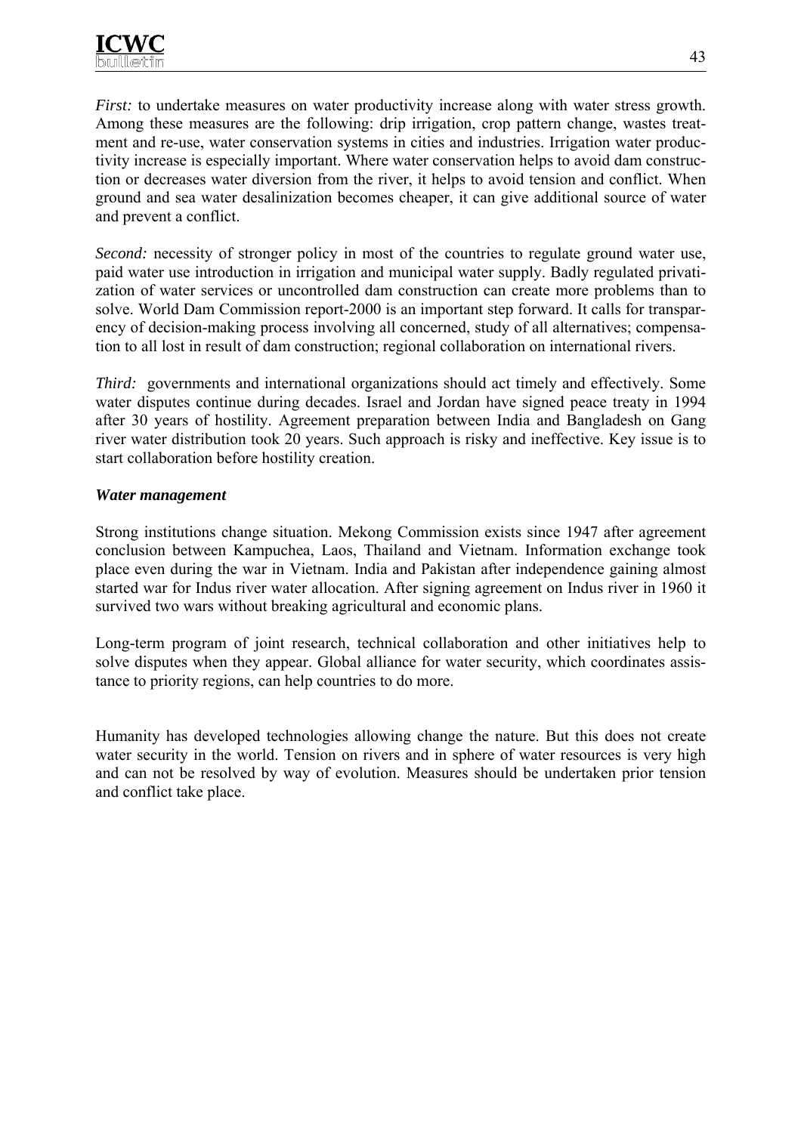*First:* to undertake measures on water productivity increase along with water stress growth. Among these measures are the following: drip irrigation, crop pattern change, wastes treatment and re-use, water conservation systems in cities and industries. Irrigation water productivity increase is especially important. Where water conservation helps to avoid dam construction or decreases water diversion from the river, it helps to avoid tension and conflict. When ground and sea water desalinization becomes cheaper, it can give additional source of water and prevent a conflict.

*Second:* necessity of stronger policy in most of the countries to regulate ground water use, paid water use introduction in irrigation and municipal water supply. Badly regulated privatization of water services or uncontrolled dam construction can create more problems than to solve. World Dam Commission report-2000 is an important step forward. It calls for transparency of decision-making process involving all concerned, study of all alternatives; compensation to all lost in result of dam construction; regional collaboration on international rivers.

*Third:* governments and international organizations should act timely and effectively. Some water disputes continue during decades. Israel and Jordan have signed peace treaty in 1994 after 30 years of hostility. Agreement preparation between India and Bangladesh on Gang river water distribution took 20 years. Such approach is risky and ineffective. Key issue is to start collaboration before hostility creation.

#### *Water management*

Strong institutions change situation. Mekong Commission exists since 1947 after agreement conclusion between Kampuchea, Laos, Thailand and Vietnam. Information exchange took place even during the war in Vietnam. India and Pakistan after independence gaining almost started war for Indus river water allocation. After signing agreement on Indus river in 1960 it survived two wars without breaking agricultural and economic plans.

Long-term program of joint research, technical collaboration and other initiatives help to solve disputes when they appear. Global alliance for water security, which coordinates assistance to priority regions, can help countries to do more.

Humanity has developed technologies allowing change the nature. But this does not create water security in the world. Tension on rivers and in sphere of water resources is very high and can not be resolved by way of evolution. Measures should be undertaken prior tension and conflict take place.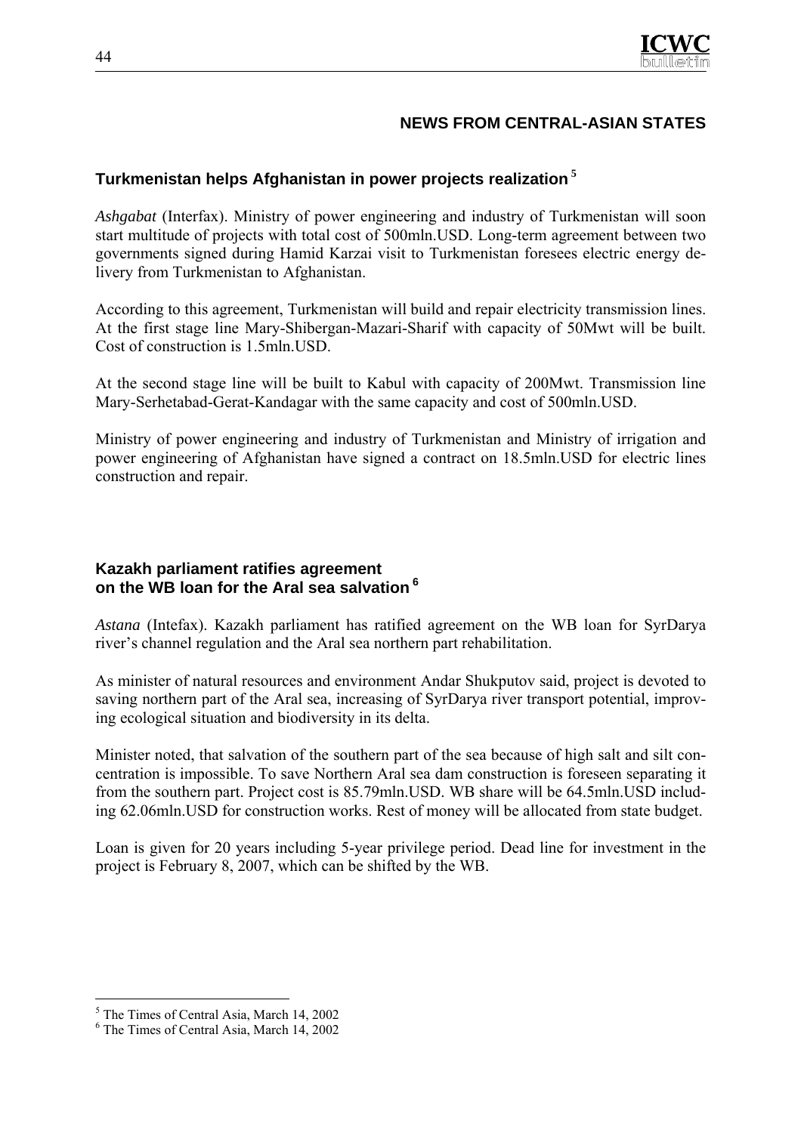

## **NEWS FROM CENTRAL-ASIAN STATES**

## **Turkmenistan helps Afghanistan in power projects realization<sup>5</sup>**

*Ashgabat* (Interfax). Ministry of power engineering and industry of Turkmenistan will soon start multitude of projects with total cost of 500mln.USD. Long-term agreement between two governments signed during Hamid Karzai visit to Turkmenistan foresees electric energy delivery from Turkmenistan to Afghanistan.

According to this agreement, Turkmenistan will build and repair electricity transmission lines. At the first stage line Mary-Shibergan-Mazari-Sharif with capacity of 50Mwt will be built. Cost of construction is 1.5mln.USD.

At the second stage line will be built to Kabul with capacity of 200Mwt. Transmission line Mary-Serhetabad-Gerat-Kandagar with the same capacity and cost of 500mln.USD.

Ministry of power engineering and industry of Turkmenistan and Ministry of irrigation and power engineering of Afghanistan have signed a contract on 18.5mln.USD for electric lines construction and repair.

## **Kazakh parliament ratifies agreement on the WB loan for the Aral sea salvation 6**

*Astana* (Intefax). Kazakh parliament has ratified agreement on the WB loan for SyrDarya river's channel regulation and the Aral sea northern part rehabilitation.

As minister of natural resources and environment Andar Shukputov said, project is devoted to saving northern part of the Aral sea, increasing of SyrDarya river transport potential, improving ecological situation and biodiversity in its delta.

Minister noted, that salvation of the southern part of the sea because of high salt and silt concentration is impossible. To save Northern Aral sea dam construction is foreseen separating it from the southern part. Project cost is 85.79mln.USD. WB share will be 64.5mln.USD including 62.06mln.USD for construction works. Rest of money will be allocated from state budget.

Loan is given for 20 years including 5-year privilege period. Dead line for investment in the project is February 8, 2007, which can be shifted by the WB.

 $\overline{a}$ 

<sup>5</sup> The Times of Central Asia, March 14, 2002

<sup>6</sup> The Times of Central Asia, March 14, 2002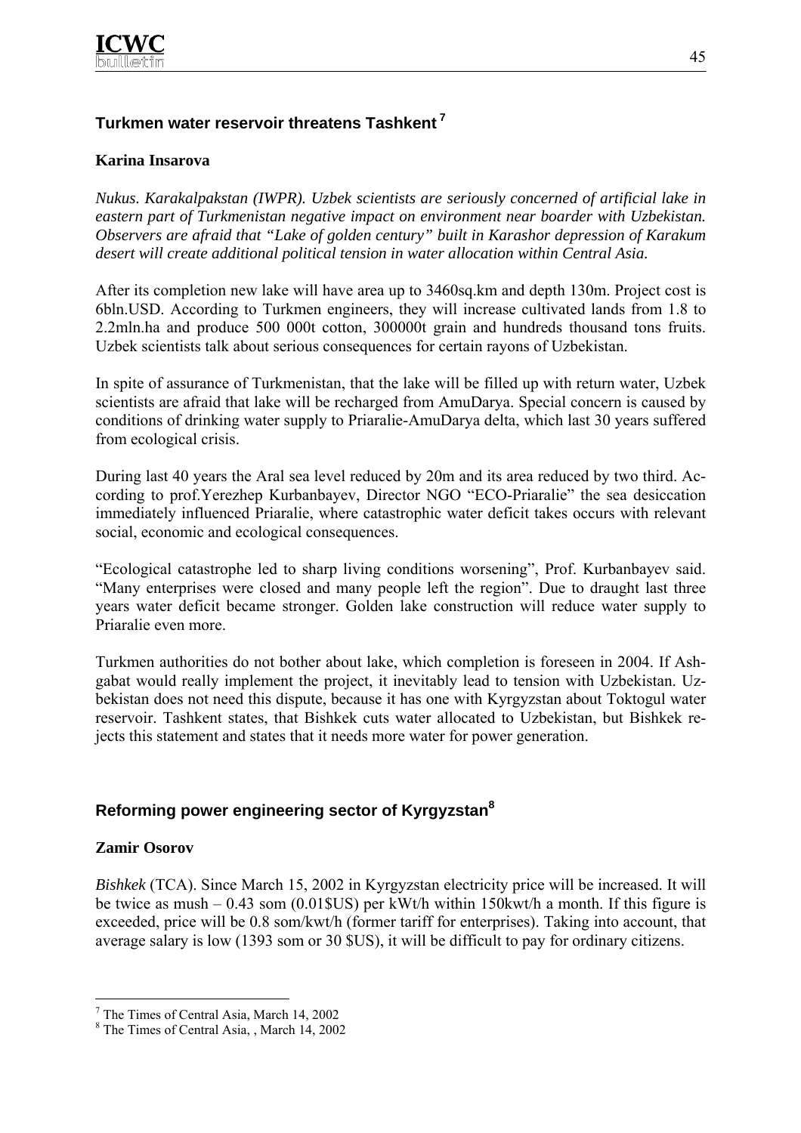

## **Turkmen water reservoir threatens Tashkent 7**

## **Karina Insarova**

*Nukus. Karakalpakstan (IWPR). Uzbek scientists are seriously concerned of artificial lake in eastern part of Turkmenistan negative impact on environment near boarder with Uzbekistan. Observers are afraid that "Lake of golden century" built in Karashor depression of Karakum desert will create additional political tension in water allocation within Central Asia.* 

After its completion new lake will have area up to 3460sq.km and depth 130m. Project cost is 6bln.USD. According to Turkmen engineers, they will increase cultivated lands from 1.8 to 2.2mln.ha and produce 500 000t cotton, 300000t grain and hundreds thousand tons fruits. Uzbek scientists talk about serious consequences for certain rayons of Uzbekistan.

In spite of assurance of Turkmenistan, that the lake will be filled up with return water, Uzbek scientists are afraid that lake will be recharged from AmuDarya. Special concern is caused by conditions of drinking water supply to Priaralie-AmuDarya delta, which last 30 years suffered from ecological crisis.

During last 40 years the Aral sea level reduced by 20m and its area reduced by two third. According to prof.Yerezhep Kurbanbayev, Director NGO "ECO-Priaralie" the sea desiccation immediately influenced Priaralie, where catastrophic water deficit takes occurs with relevant social, economic and ecological consequences.

"Ecological catastrophe led to sharp living conditions worsening", Prof. Kurbanbayev said. "Many enterprises were closed and many people left the region". Due to draught last three years water deficit became stronger. Golden lake construction will reduce water supply to Priaralie even more.

Turkmen authorities do not bother about lake, which completion is foreseen in 2004. If Ashgabat would really implement the project, it inevitably lead to tension with Uzbekistan. Uzbekistan does not need this dispute, because it has one with Kyrgyzstan about Toktogul water reservoir. Tashkent states, that Bishkek cuts water allocated to Uzbekistan, but Bishkek rejects this statement and states that it needs more water for power generation.

## **Reforming power engineering sector of Kyrgyzstan8**

## **Zamir Osorov**

 $\overline{a}$ 

*Bishkek* (TCA). Since March 15, 2002 in Kyrgyzstan electricity price will be increased. It will be twice as mush – 0.43 som (0.01\$US) per kWt/h within 150kwt/h a month. If this figure is exceeded, price will be 0.8 som/kwt/h (former tariff for enterprises). Taking into account, that average salary is low (1393 som or 30 \$US), it will be difficult to pay for ordinary citizens.

<sup>&</sup>lt;sup>7</sup> The Times of Central Asia, March 14, 2002

<sup>8</sup> The Times of Central Asia, , March 14, 2002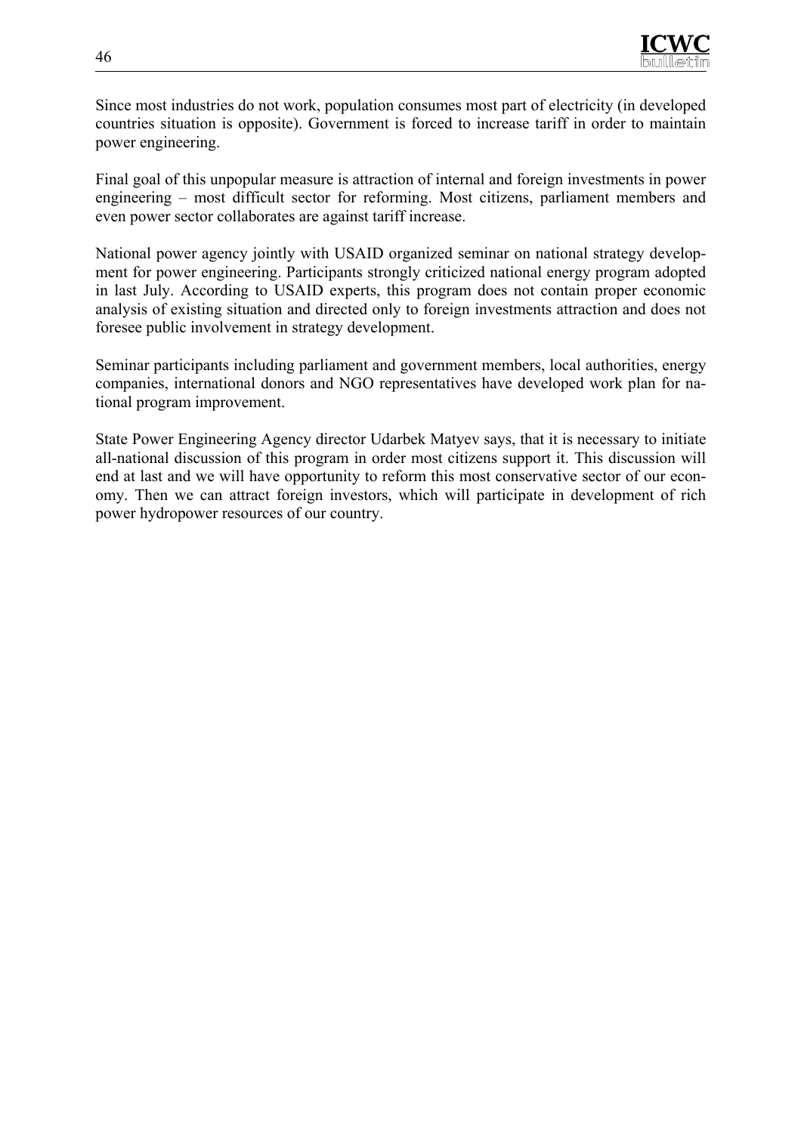

Since most industries do not work, population consumes most part of electricity (in developed countries situation is opposite). Government is forced to increase tariff in order to maintain power engineering.

Final goal of this unpopular measure is attraction of internal and foreign investments in power engineering – most difficult sector for reforming. Most citizens, parliament members and even power sector collaborates are against tariff increase.

National power agency jointly with USAID organized seminar on national strategy development for power engineering. Participants strongly criticized national energy program adopted in last July. According to USAID experts, this program does not contain proper economic analysis of existing situation and directed only to foreign investments attraction and does not foresee public involvement in strategy development.

Seminar participants including parliament and government members, local authorities, energy companies, international donors and NGO representatives have developed work plan for national program improvement.

State Power Engineering Agency director Udarbek Matyev says, that it is necessary to initiate all-national discussion of this program in order most citizens support it. This discussion will end at last and we will have opportunity to reform this most conservative sector of our economy. Then we can attract foreign investors, which will participate in development of rich power hydropower resources of our country.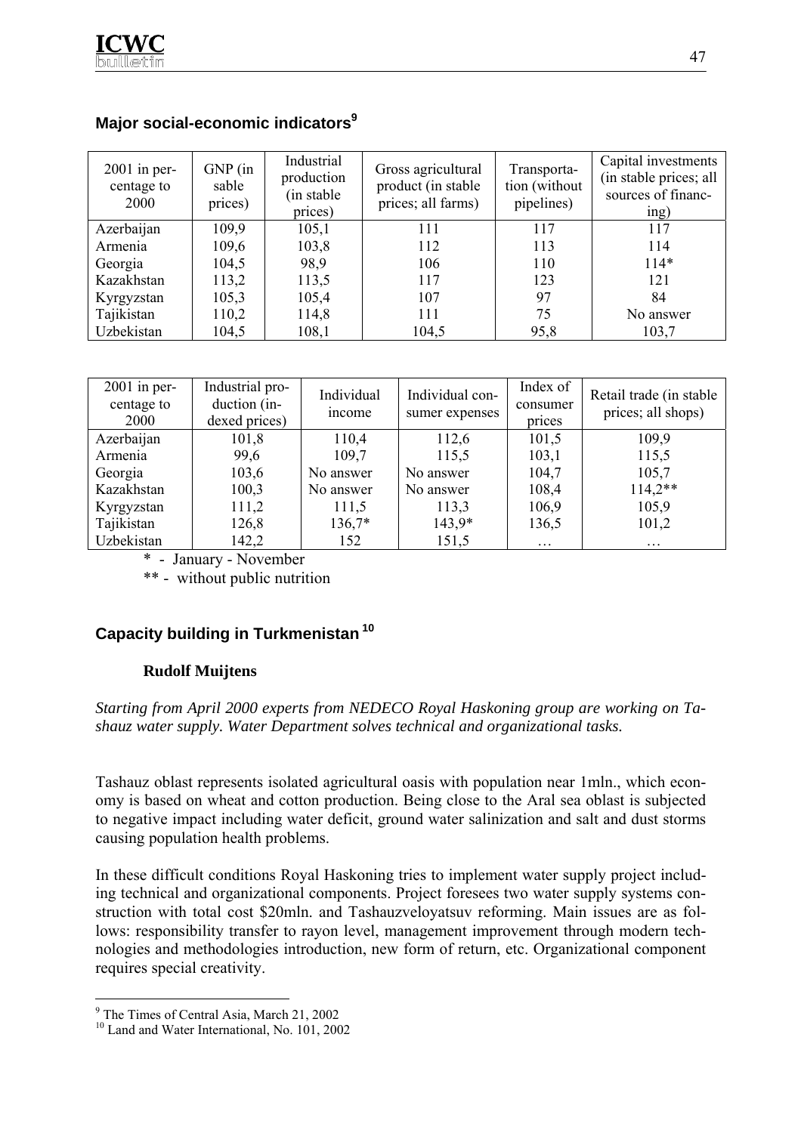| $2001$ in per-<br>centage to<br>2000 | $GNP$ (in<br>sable<br>prices) | Industrial<br>production<br>(in stable)<br>prices) | Gross agricultural<br>product (in stable)<br>prices; all farms) | Transporta-<br>tion (without<br>pipelines) | Capital investments<br>(in stable prices; all<br>sources of financ-<br>ing) |
|--------------------------------------|-------------------------------|----------------------------------------------------|-----------------------------------------------------------------|--------------------------------------------|-----------------------------------------------------------------------------|
| Azerbaijan                           | 109,9                         | 105,1                                              | 111                                                             | 117                                        | 117                                                                         |
| Armenia                              | 109,6                         | 103,8                                              | 112                                                             | 113                                        | 114                                                                         |
| Georgia                              | 104,5                         | 98,9                                               | 106                                                             | 110                                        | $114*$                                                                      |
| Kazakhstan                           | 113,2                         | 113,5                                              | 117                                                             | 123                                        | 121                                                                         |
| Kyrgyzstan                           | 105,3                         | 105,4                                              | 107                                                             | 97                                         | 84                                                                          |
| Tajikistan                           | 110,2                         | 114,8                                              | 111                                                             | 75                                         | No answer                                                                   |
| Uzbekistan                           | 104,5                         | 108,1                                              | 104,5                                                           | 95,8                                       | 103,7                                                                       |

## **Major social-economic indicators9**

| $2001$ in per-<br>centage to<br><b>2000</b> | Industrial pro-<br>duction (in-<br>dexed prices) | Individual<br>income | Individual con-<br>sumer expenses | Index of<br>consumer<br>prices | Retail trade (in stable<br>prices; all shops) |
|---------------------------------------------|--------------------------------------------------|----------------------|-----------------------------------|--------------------------------|-----------------------------------------------|
| Azerbaijan                                  | 101,8                                            | 110,4                | 112,6                             | 101,5                          | 109,9                                         |
| Armenia                                     | 99,6                                             | 109,7                | 115,5                             | 103,1                          | 115,5                                         |
| Georgia                                     | 103,6                                            | No answer            | No answer                         | 104,7                          | 105,7                                         |
| Kazakhstan                                  | 100,3                                            | No answer            | No answer                         | 108,4                          | $114,2**$                                     |
| Kyrgyzstan                                  | 111,2                                            | 111,5                | 113,3                             | 106,9                          | 105,9                                         |
| Tajikistan                                  | 126,8                                            | $136,7*$             | $143,9*$                          | 136,5                          | 101,2                                         |
| Uzbekistan                                  | 142,2                                            | 152                  | 151,5                             | $\ddotsc$                      | $\cdots$                                      |

\* - January - November

\*\* - without public nutrition

## **Capacity building in Turkmenistan 10**

## **Rudolf Muijtens**

## *Starting from April 2000 experts from NEDECO Royal Haskoning group are working on Tashauz water supply. Water Department solves technical and organizational tasks.*

Tashauz oblast represents isolated agricultural oasis with population near 1mln., which economy is based on wheat and cotton production. Being close to the Aral sea oblast is subjected to negative impact including water deficit, ground water salinization and salt and dust storms causing population health problems.

In these difficult conditions Royal Haskoning tries to implement water supply project including technical and organizational components. Project foresees two water supply systems construction with total cost \$20mln. and Tashauzveloyatsuv reforming. Main issues are as follows: responsibility transfer to rayon level, management improvement through modern technologies and methodologies introduction, new form of return, etc. Organizational component requires special creativity.

 $\overline{a}$ 

<sup>&</sup>lt;sup>9</sup> The Times of Central Asia, March 21, 2002

<sup>&</sup>lt;sup>10</sup> Land and Water International, No. 101, 2002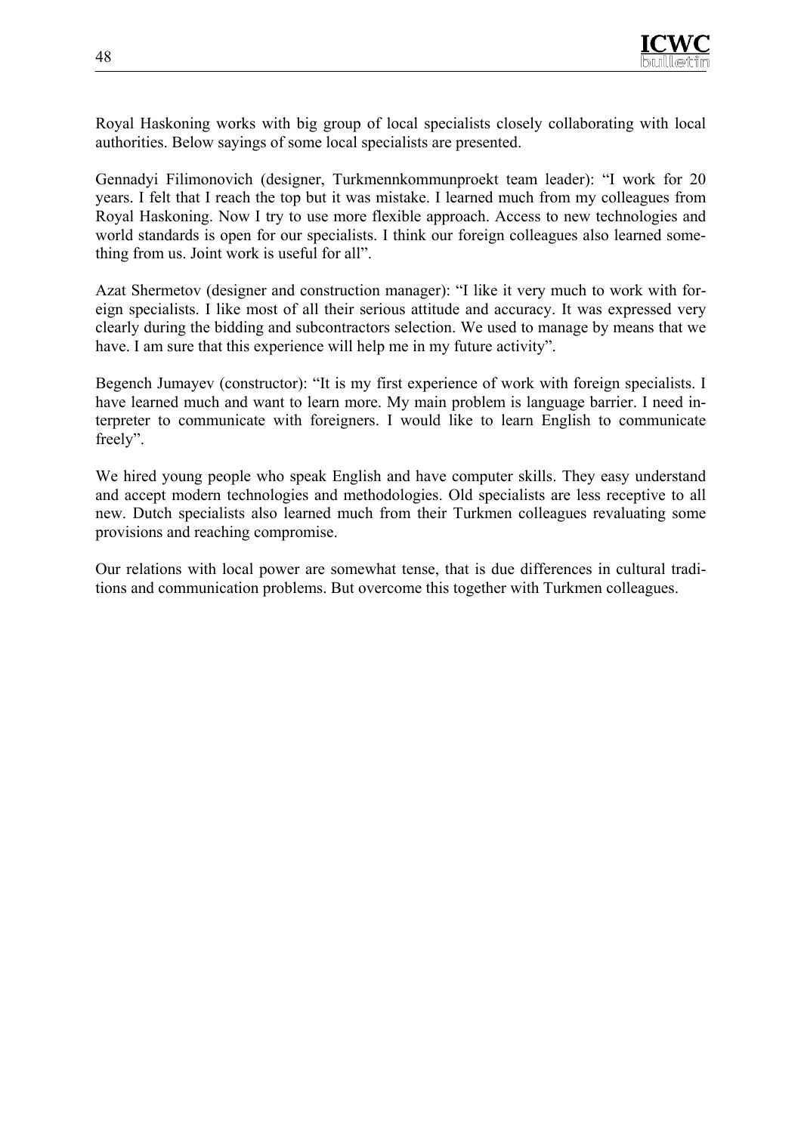Royal Haskoning works with big group of local specialists closely collaborating with local authorities. Below sayings of some local specialists are presented.

Gennadyi Filimonovich (designer, Turkmennkommunproekt team leader): "I work for 20 years. I felt that I reach the top but it was mistake. I learned much from my colleagues from Royal Haskoning. Now I try to use more flexible approach. Access to new technologies and world standards is open for our specialists. I think our foreign colleagues also learned something from us. Joint work is useful for all".

Azat Shermetov (designer and construction manager): "I like it very much to work with foreign specialists. I like most of all their serious attitude and accuracy. It was expressed very clearly during the bidding and subcontractors selection. We used to manage by means that we have. I am sure that this experience will help me in my future activity".

Begench Jumayev (constructor): "It is my first experience of work with foreign specialists. I have learned much and want to learn more. My main problem is language barrier. I need interpreter to communicate with foreigners. I would like to learn English to communicate freely".

We hired young people who speak English and have computer skills. They easy understand and accept modern technologies and methodologies. Old specialists are less receptive to all new. Dutch specialists also learned much from their Turkmen colleagues revaluating some provisions and reaching compromise.

Our relations with local power are somewhat tense, that is due differences in cultural traditions and communication problems. But overcome this together with Turkmen colleagues.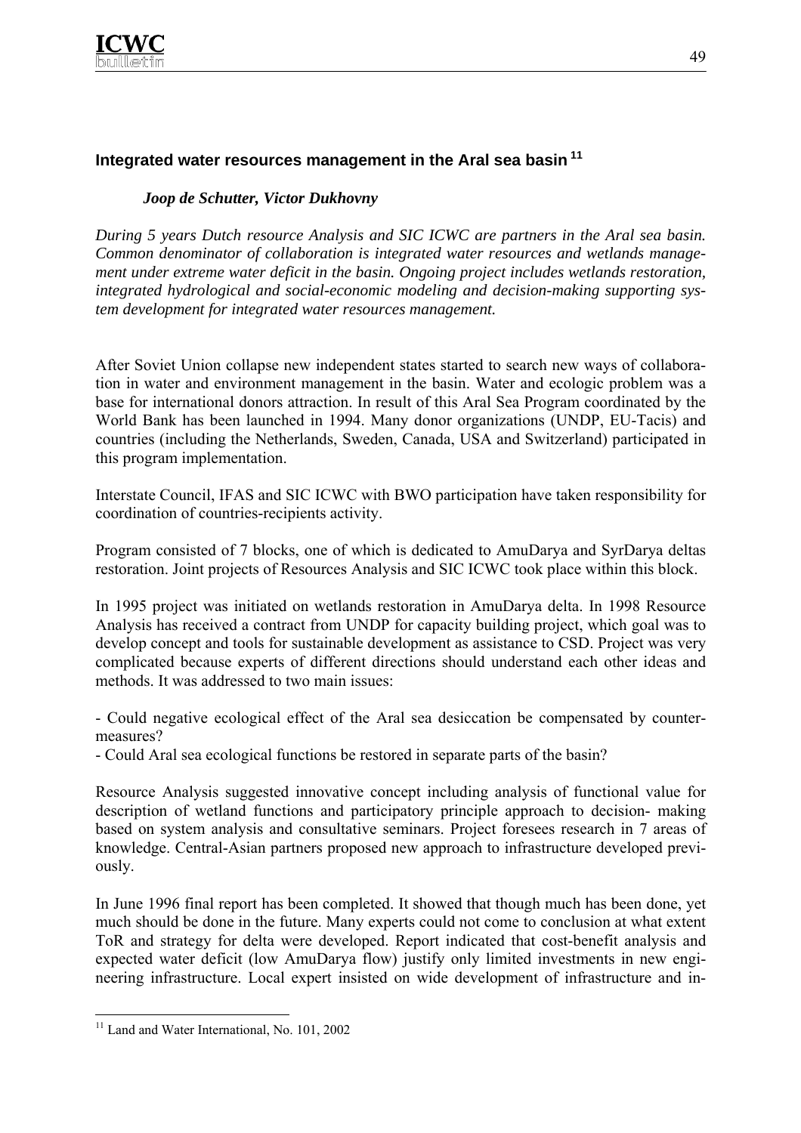

## **Integrated water resources management in the Aral sea basin 11**

## *Joop de Schutter, Victor Dukhovny*

*During 5 years Dutch resource Analysis and SIC ICWC are partners in the Aral sea basin. Common denominator of collaboration is integrated water resources and wetlands management under extreme water deficit in the basin. Ongoing project includes wetlands restoration, integrated hydrological and social-economic modeling and decision-making supporting system development for integrated water resources management.* 

After Soviet Union collapse new independent states started to search new ways of collaboration in water and environment management in the basin. Water and ecologic problem was a base for international donors attraction. In result of this Aral Sea Program coordinated by the World Bank has been launched in 1994. Many donor organizations (UNDP, EU-Tacis) and countries (including the Netherlands, Sweden, Canada, USA and Switzerland) participated in this program implementation.

Interstate Council, IFAS and SIC ICWC with BWO participation have taken responsibility for coordination of countries-recipients activity.

Program consisted of 7 blocks, one of which is dedicated to AmuDarya and SyrDarya deltas restoration. Joint projects of Resources Analysis and SIC ICWC took place within this block.

In 1995 project was initiated on wetlands restoration in AmuDarya delta. In 1998 Resource Analysis has received a contract from UNDP for capacity building project, which goal was to develop concept and tools for sustainable development as assistance to CSD. Project was very complicated because experts of different directions should understand each other ideas and methods. It was addressed to two main issues:

- Could negative ecological effect of the Aral sea desiccation be compensated by countermeasures?

- Could Aral sea ecological functions be restored in separate parts of the basin?

Resource Analysis suggested innovative concept including analysis of functional value for description of wetland functions and participatory principle approach to decision- making based on system analysis and consultative seminars. Project foresees research in 7 areas of knowledge. Central-Asian partners proposed new approach to infrastructure developed previously.

In June 1996 final report has been completed. It showed that though much has been done, yet much should be done in the future. Many experts could not come to conclusion at what extent ToR and strategy for delta were developed. Report indicated that cost-benefit analysis and expected water deficit (low AmuDarya flow) justify only limited investments in new engineering infrastructure. Local expert insisted on wide development of infrastructure and in-

 $\overline{a}$ 

<sup>&</sup>lt;sup>11</sup> Land and Water International, No. 101, 2002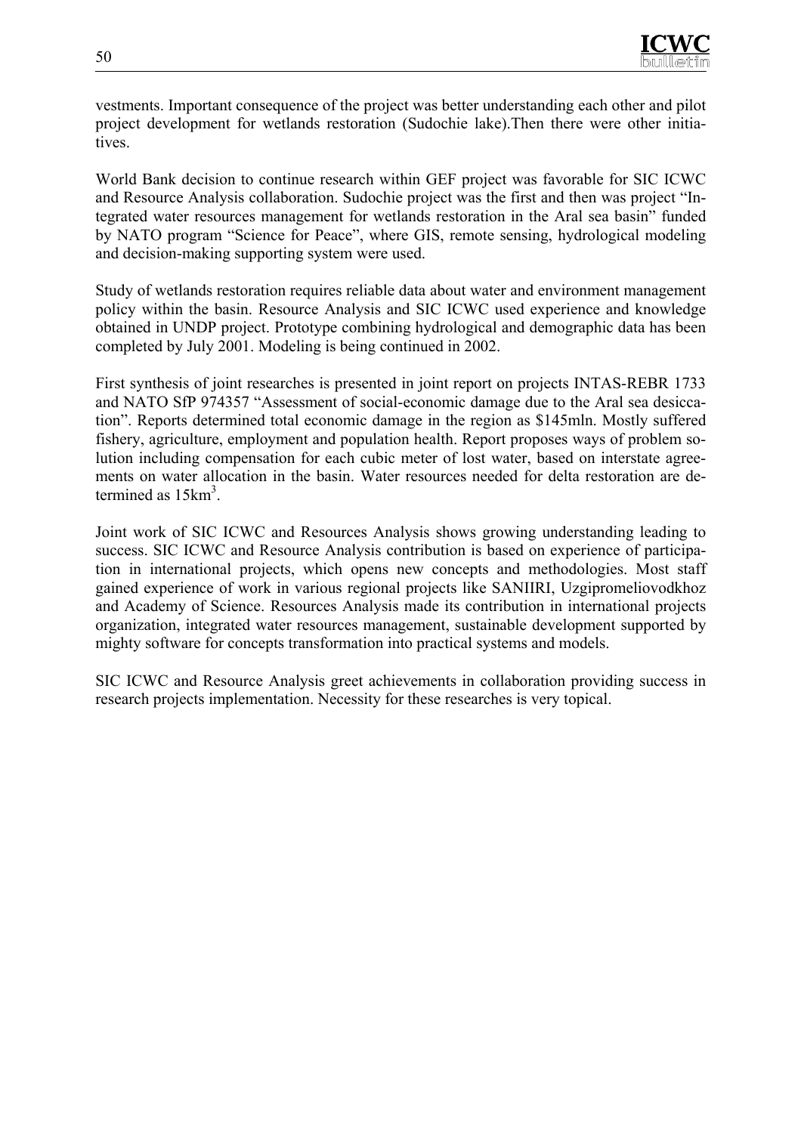vestments. Important consequence of the project was better understanding each other and pilot project development for wetlands restoration (Sudochie lake).Then there were other initiatives.

World Bank decision to continue research within GEF project was favorable for SIC ICWC and Resource Analysis collaboration. Sudochie project was the first and then was project "Integrated water resources management for wetlands restoration in the Aral sea basin" funded by NATO program "Science for Peace", where GIS, remote sensing, hydrological modeling and decision-making supporting system were used.

Study of wetlands restoration requires reliable data about water and environment management policy within the basin. Resource Analysis and SIC ICWC used experience and knowledge obtained in UNDP project. Prototype combining hydrological and demographic data has been completed by July 2001. Modeling is being continued in 2002.

First synthesis of joint researches is presented in joint report on projects INTAS-REBR 1733 and NATO SfP 974357 "Assessment of social-economic damage due to the Aral sea desiccation". Reports determined total economic damage in the region as \$145mln. Mostly suffered fishery, agriculture, employment and population health. Report proposes ways of problem solution including compensation for each cubic meter of lost water, based on interstate agreements on water allocation in the basin. Water resources needed for delta restoration are determined as  $15 \text{km}^3$ .

Joint work of SIC ICWC and Resources Analysis shows growing understanding leading to success. SIC ICWC and Resource Analysis contribution is based on experience of participation in international projects, which opens new concepts and methodologies. Most staff gained experience of work in various regional projects like SANIIRI, Uzgipromeliovodkhoz and Academy of Science. Resources Analysis made its contribution in international projects organization, integrated water resources management, sustainable development supported by mighty software for concepts transformation into practical systems and models.

SIC ICWC and Resource Analysis greet achievements in collaboration providing success in research projects implementation. Necessity for these researches is very topical.